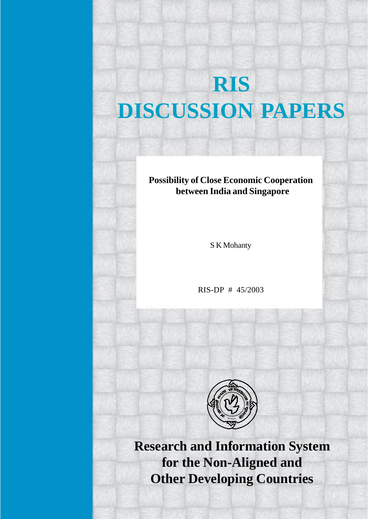# **RIS DISCUSSION PAPERS**

## **Possibility of Close Economic Cooperation between India and Singapore**

S K Mohanty

RIS-DP # 45/2003



**Research and Information System for the Non-Aligned and Other Developing Countries**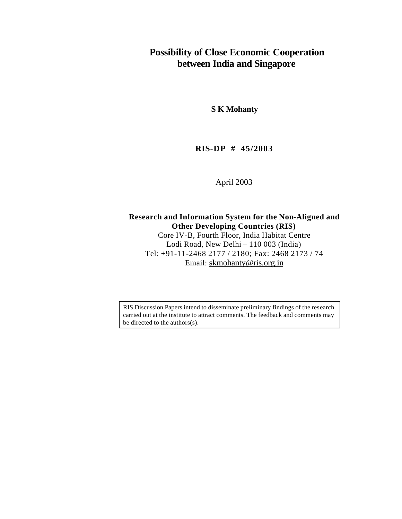## **Possibility of Close Economic Cooperation between India and Singapore**

**S K Mohanty**

### **RIS-DP # 45/2003**

April 2003

**Research and Information System for the Non-Aligned and Other Developing Countries (RIS)** Core IV-B, Fourth Floor, India Habitat Centre Lodi Road, New Delhi – 110 003 (India) Tel: +91-11-2468 2177 / 2180; Fax: 2468 2173 / 74 Email: skmohanty@ris.org.in

RIS Discussion Papers intend to disseminate preliminary findings of the research carried out at the institute to attract comments. The feedback and comments may be directed to the authors(s).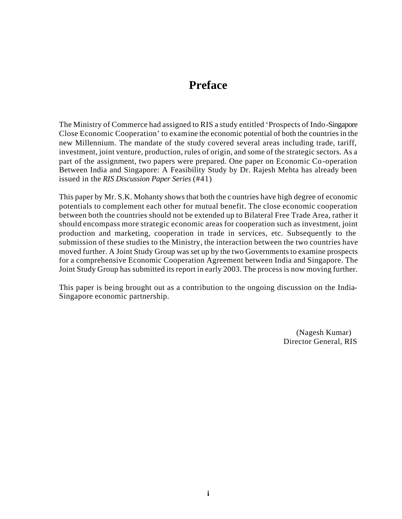## **Preface**

The Ministry of Commerce had assigned to RIS a study entitled 'Prospects of Indo-Singapore Close Economic Cooperation' to examine the economic potential of both the countries in the new Millennium. The mandate of the study covered several areas including trade, tariff, investment, joint venture, production, rules of origin, and some of the strategic sectors. As a part of the assignment, two papers were prepared. One paper on Economic Co-operation Between India and Singapore: A Feasibility Study by Dr. Rajesh Mehta has already been issued in the *RIS Discussion Paper Series* (#41)

This paper by Mr. S.K. Mohanty shows that both the c ountries have high degree of economic potentials to complement each other for mutual benefit. The close economic cooperation between both the countries should not be extended up to Bilateral Free Trade Area, rather it should encompass more strategic economic areas for cooperation such as investment, joint production and marketing, cooperation in trade in services, etc. Subsequently to the submission of these studies to the Ministry, the interaction between the two countries have moved further. A Joint Study Group was set up by the two Governments to examine prospects for a comprehensive Economic Cooperation Agreement between India and Singapore. The Joint Study Group has submitted its report in early 2003. The process is now moving further.

This paper is being brought out as a contribution to the ongoing discussion on the India-Singapore economic partnership.

> (Nagesh Kumar) Director General, RIS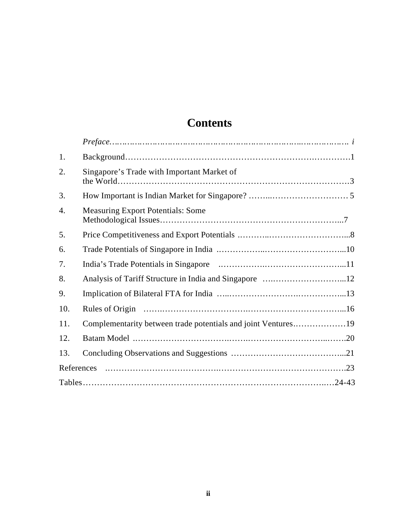## **Contents**

| 1.  |                                                               |  |
|-----|---------------------------------------------------------------|--|
| 2.  | Singapore's Trade with Important Market of                    |  |
| 3.  |                                                               |  |
| 4.  | <b>Measuring Export Potentials: Some</b>                      |  |
| 5.  |                                                               |  |
| 6.  |                                                               |  |
| 7.  |                                                               |  |
| 8.  |                                                               |  |
| 9.  |                                                               |  |
| 10. |                                                               |  |
| 11. | Complementarity between trade potentials and joint Ventures19 |  |
| 12. |                                                               |  |
| 13. |                                                               |  |
|     | References                                                    |  |
|     |                                                               |  |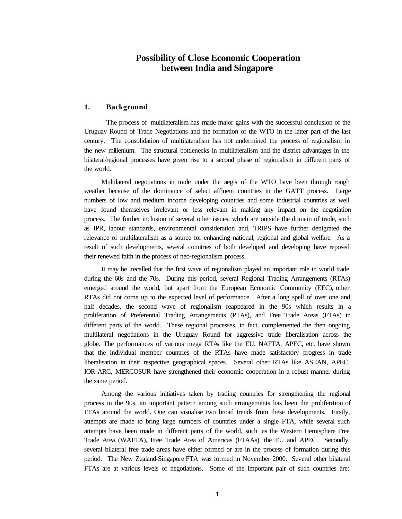#### **Possibility of Close Economic Cooperation between India and Singapore**

#### **1. Background**

The process of multilateralism has made major gains with the successful conclusion of the Uruguay Round of Trade Negotiations and the formation of the WTO in the latter part of the last century. The consolidation of multilateralism has not undermined the process of regionalism in the new millenium. The structural bottlenecks in multilateralism and the district advantages in the bilateral/regional processes have given rise to a second phase of regionalism in different parts of the world.

Multilateral negotiations in trade under the aegis of the WTO have been through rough weather because of the dominance of select affluent countries in the GATT process. Large numbers of low and medium income developing countries and some industrial countries as well have found themselves irrelevant or less relevant in making any impact on the negotiation process. The further inclusion of several other issues, which are outside the domain of trade, such as IPR, labour standards, environmental consideration and, TRIPS have further denigrated the relevance of multilateralism as a source for enhancing national, regional and global welfare. As a result of such developments, several countries of both developed and developing have reposed their renewed faith in the process of neo-regionalism process.

It may be recalled that the first wave of regionalism played an important role in world trade during the 60s and the 70s. During this period, several Regional Trading Arrangements (RTAs) emerged around the world, but apart from the European Economic Community (EEC), other RTAs did not come up to the expected level of performance. After a long spell of over one and half decades, the second wave of regionalism reappeared in the 90s which results in a proliferation of Preferential Trading Arrangements (PTAs), and Free Trade Areas (FTAs) in different parts of the world. These regional processes, in fact, complemented the then ongoing multilateral negotiations in the Uruguay Round for aggressive trade liberalisation across the globe. The performances of various mega RTAs like the EU, NAFTA, APEC, etc. have shown that the individual member countries of the RTAs have made satisfactory progress in trade liberalisation in their respective geographical spaces. Several other RTAs like ASEAN, APEC, IOR-ARC, MERCOSUR have strengthened their economic cooperation in a robust manner during the same period.

Among the various initiatives taken by trading countries for strengthening the regional process in the 90s, an important pattern among such arrangements has been the proliferation of FTAs around the world. One can visualise two broad trends from these developments. Firstly, attempts are made to bring large numbers of countries under a single FTA, while several such attempts have been made in different parts of the world, such as the Western Hemisphere Free Trade Area (WAFTA), Free Trade Area of Americas (FTAAs), the EU and APEC. Secondly, several bilateral free trade areas have either formed or are in the process of formation during this period. The New Zealand-Singapore FTA was formed in November 2000. Several other bilateral FTAs are at various levels of negotiations. Some of the important pair of such countries are: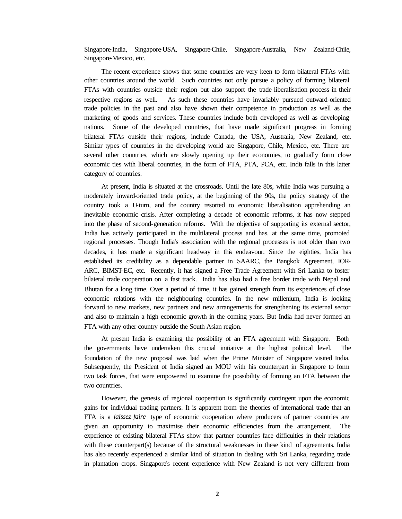Singapore-India, Singapore-USA, Singapore-Chile, Singapore-Australia, New Zealand-Chile, Singapore-Mexico, etc.

The recent experience shows that some countries are very keen to form bilateral FTAs with other countries around the world. Such countries not only pursue a policy of forming bilateral FTAs with countries outside their region but also support the trade liberalisation process in their respective regions as well. As such these countries have invariably pursued outward-oriented trade policies in the past and also have shown their competence in production as well as the marketing of goods and services. These countries include both developed as well as developing nations. Some of the developed countries, that have made significant progress in forming bilateral FTAs outside their regions, include Canada, the USA, Australia, New Zealand, etc. Similar types of countries in the developing world are Singapore, Chile, Mexico, etc. There are several other countries, which are slowly opening up their economies, to gradually form close economic ties with liberal countries, in the form of FTA, PTA, PCA, etc. India falls in this latter category of countries.

At present, India is situated at the crossroads. Until the late 80s, while India was pursuing a moderately inward-oriented trade policy, at the beginning of the 90s, the policy strategy of the country took a U-turn, and the country resorted to economic liberalisation apprehending an inevitable economic crisis. After completing a decade of economic reforms, it has now stepped into the phase of second-generation reforms. With the objective of supporting its external sector, India has actively participated in the multilateral process and has, at the same time, promoted regional processes. Though India's association with the regional processes is not older than two decades, it has made a significant headway in this endeavour. Since the eighties, India has established its credibility as a dependable partner in SAARC, the Bangkok Agreement, IOR-ARC, BIMST-EC, etc. Recently, it has signed a Free Trade Agreement with Sri Lanka to foster bilateral trade cooperation on a fast track. India has also had a free border trade with Nepal and Bhutan for a long time. Over a period of time, it has gained strength from its experiences of close economic relations with the neighbouring countries. In the new millenium, India is looking forward to new markets, new partners and new arrangements for strengthening its external sector and also to maintain a high economic growth in the coming years. But India had never formed an FTA with any other country outside the South Asian region.

At present India is examining the possibility of an FTA agreement with Singapore. Both the governments have undertaken this crucial initiative at the highest political level. The foundation of the new proposal was laid when the Prime Minister of Singapore visited India. Subsequently, the President of India signed an MOU with his counterpart in Singapore to form two task forces, that were empowered to examine the possibility of forming an FTA between the two countries.

However, the genesis of regional cooperation is significantly contingent upon the economic gains for individual trading partners. It is apparent from the theories of international trade that an FTA is a *laissez faire* type of economic cooperation where producers of partner countries are given an opportunity to maximise their economic efficiencies from the arrangement. The experience of existing bilateral FTAs show that partner countries face difficulties in their relations with these counterpart(s) because of the structural weaknesses in these kind of agreements. India has also recently experienced a similar kind of situation in dealing with Sri Lanka, regarding trade in plantation crops. Singapore's recent experience with New Zealand is not very different from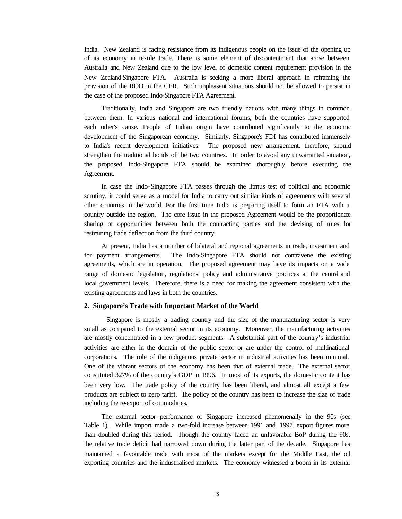India. New Zealand is facing resistance from its indigenous people on the issue of the opening up of its economy in textile trade. There is some element of discontentment that arose between Australia and New Zealand due to the low level of domestic content requirement provision in the New Zealand-Singapore FTA. Australia is seeking a more liberal approach in reframing the provision of the ROO in the CER. Such unpleasant situations should not be allowed to persist in the case of the proposed Indo-Singapore FTA Agreement.

Traditionally, India and Singapore are two friendly nations with many things in common between them. In various national and international forums, both the countries have supported each other's cause. People of Indian origin have contributed significantly to the economic development of the Singaporean economy. Similarly, Singapore's FDI has contributed immensely to India's recent development initiatives. The proposed new arrangement, therefore, should strengthen the traditional bonds of the two countries. In order to avoid any unwarranted situation, the proposed Indo-Singapore FTA should be examined thoroughly before executing the Agreement.

In case the Indo-Singapore FTA passes through the litmus test of political and economic scrutiny, it could serve as a model for India to carry out similar kinds of agreements with several other countries in the world. For the first time India is preparing itself to form an FTA with a country outside the region. The core issue in the proposed Agreement would be the proportionate sharing of opportunities between both the contracting parties and the devising of rules for restraining trade deflection from the third country.

At present, India has a number of bilateral and regional agreements in trade, investment and for payment arrangements. The Indo-Singapore FTA should not contravene the existing agreements, which are in operation. The proposed agreement may have its impacts on a wide range of domestic legislation, regulations, policy and administrative practices at the central and local government levels. Therefore, there is a need for making the agreement consistent with the existing agreements and laws in both the countries.

#### **2. Singapore's Trade with Important Market of the World**

Singapore is mostly a trading country and the size of the manufacturing sector is very small as compared to the external sector in its economy. Moreover, the manufacturing activities are mostly concentrated in a few product segments. A substantial part of the country's industrial activities are either in the domain of the public sector or are under the control of multinational corporations. The role of the indigenous private sector in industrial activities has been minimal. One of the vibrant sectors of the economy has been that of external trade. The external sector constituted 327% of the country's GDP in 1996. In most of its exports, the domestic content has been very low. The trade policy of the country has been liberal, and almost all except a few products are subject to zero tariff. The policy of the country has been to increase the size of trade including the re-export of commodities.

The external sector performance of Singapore increased phenomenally in the 90s (see Table 1). While import made a two-fold increase between 1991 and 1997, export figures more than doubled during this period. Though the country faced an unfavorable BoP during the 90s, the relative trade deficit had narrowed down during the latter part of the decade. Singapore has maintained a favourable trade with most of the markets except for the Middle East, the oil exporting countries and the industrialised markets. The economy witnessed a boom in its external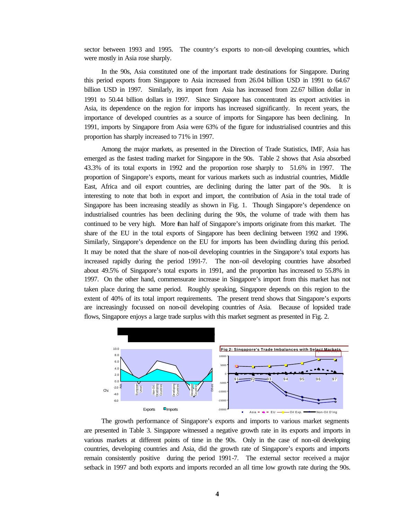sector between 1993 and 1995. The country's exports to non-oil developing countries, which were mostly in Asia rose sharply.

In the 90s, Asia constituted one of the important trade destinations for Singapore. During this period exports from Singapore to Asia increased from 26.04 billion USD in 1991 to 64.67 billion USD in 1997. Similarly, its import from Asia has increased from 22.67 billion dollar in 1991 to 50.44 billion dollars in 1997. Since Singapore has concentrated its export activities in Asia, its dependence on the region for imports has increased significantly. In recent years, the importance of developed countries as a source of imports for Singapore has been declining. In 1991, imports by Singapore from Asia were 63% of the figure for industrialised countries and this proportion has sharply increased to 71% in 1997.

Among the major markets, as presented in the Direction of Trade Statistics, IMF, Asia has emerged as the fastest trading market for Singapore in the 90s. Table 2 shows that Asia absorbed 43.3% of its total exports in 1992 and the proportion rose sharply to 51.6% in 1997. The proportion of Singapore's exports, meant for various markets such as industrial countries, Middle East, Africa and oil export countries, are declining during the latter part of the 90s. It is interesting to note that both in export and import, the contribution of Asia in the total trade of Singapore has been increasing steadily as shown in Fig. 1. Though Singapore's dependence on industrialised countries has been declining during the 90s, the volume of trade with them has continued to be very high. More than half of Singapore's imports originate from this market. The share of the EU in the total exports of Singapore has been declining between 1992 and 1996. Similarly, Singapore's dependence on the EU for imports has been dwindling during this period. It may be noted that the share of non-oil developing countries in the Singapore's total exports has increased rapidly during the period 1991-7. The non-oil developing countries have absorbed about 49.5% of Singapore's total exports in 1991, and the proportion has increased to 55.8% in 1997. On the other hand, commensurate increase in Singapore's import from this market has not taken place during the same period. Roughly speaking, Singapore depends on this region to the extent of 40% of its total import requirements. The present trend shows that Singapore's exports are increasingly focussed on non-oil developing countries of Asia. Because of lopsided trade flows, Singapore enjoys a large trade surplus with this market segment as presented in Fig. 2.



The growth performance of Singapore's exports and imports to various market segments are presented in Table 3. Singapore witnessed a negative growth rate in its exports and imports in various markets at different points of time in the 90s. Only in the case of non-oil developing countries, developing countries and Asia, did the growth rate of Singapore's exports and imports remain consistently positive during the period 1991-7. The external sector received a major setback in 1997 and both exports and imports recorded an all time low growth rate during the 90s.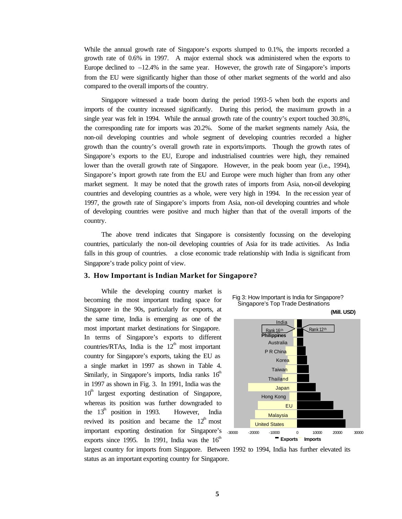While the annual growth rate of Singapore's exports slumped to 0.1%, the imports recorded a growth rate of 0.6% in 1997. A major external shock was administered when the exports to Europe declined to  $-12.4\%$  in the same year. However, the growth rate of Singapore's imports from the EU were significantly higher than those of other market segments of the world and also compared to the overall imports of the country.

Singapore witnessed a trade boom during the period 1993-5 when both the exports and imports of the country increased significantly. During this period, the maximum growth in a single year was felt in 1994. While the annual growth rate of the country's export touched 30.8%, the corresponding rate for imports was 20.2%. Some of the market segments namely Asia, the non-oil developing countries and whole segment of developing countries recorded a higher growth than the country's overall growth rate in exports/imports. Though the growth rates of Singapore's exports to the EU, Europe and industrialised countries were high, they remained lower than the overall growth rate of Singapore. However, in the peak boom year (i.e., 1994), Singapore's import growth rate from the EU and Europe were much higher than from any other market segment. It may be noted that the growth rates of imports from Asia, non-oil developing countries and developing countries as a whole, were very high in 1994. In the rec ession year of 1997, the growth rate of Singapore's imports from Asia, non-oil developing countries and whole of developing countries were positive and much higher than that of the overall imports of the country.

The above trend indicates that Singapore is consistently focussing on the developing countries, particularly the non-oil developing countries of Asia for its trade activities. As India falls in this group of countries. a close economic trade relationship with India is significant from Singapore's trade policy point of view.

#### **3. How Important is Indian Market for Singapore?**

While the developing country market is becoming the most important trading space for Singapore in the 90s, particularly for exports, at the same time, India is emerging as one of the most important market destinations for Singapore. In terms of Singapore's exports to different countries/RTAs, India is the  $12<sup>th</sup>$  most important country for Singapore's exports, taking the EU as a single market in 1997 as shown in Table 4. Similarly, in Singapore's imports, India ranks  $16<sup>th</sup>$ in 1997 as shown in Fig. 3. In 1991, India was the  $10<sup>th</sup>$  largest exporting destination of Singapore, whereas its position was further downgraded to the  $13<sup>th</sup>$  position in 1993. However, India revived its position and became the  $12<sup>th</sup>$  most important exporting destination for Singapore's <sub>-3000</sub> exports since 1995. In 1991, India was the  $16<sup>th</sup>$ 



Fig 3: How Important is India for Singapore?

largest country for imports from Singapore. Between 1992 to 1994, India has further elevated its status as an important exporting country for Singapore.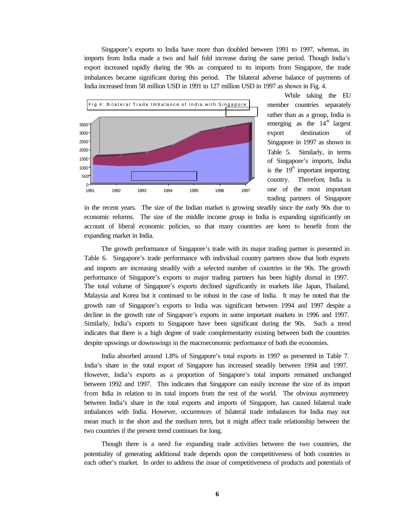Singapore's exports to India have more than doubled between 1991 to 1997, whereas, its imports from India made a two and half fold increase during the same period. Though India's export increased rapidly during the 90s as compared to its imports from Singapore, the trade imbalances became significant during this period. The bilateral adverse balance of payments of India increased from 58 million USD in 1991 to 127 million USD in 1997 as shown in Fig. 4.



While taking the EU member countries separately rather than as a group, India is emerging as the  $14<sup>th</sup>$  largest export destination of Singapore in 1997 as shown in Table 5. Similarly, in terms of Singapore's imports, India is the  $19<sup>th</sup>$  important importing country. Therefore, India is one of the most important trading partners of Singapore

in the recent years. The size of the Indian market is growing steadily since the early 90s due to economic reforms. The size of the middle income group in India is expanding significantly on account of liberal economic policies, so that many countries are keen to benefit from the expanding market in India.

The growth performance of Singapore's trade with its major trading partner is presented in Table 6. Singapore's trade performance with individual country partners show that both exports and imports are increasing steadily with a selected number of countries in the 90s. The growth performance of Singapore's exports to major trading partners has been highly dismal in 1997. The total volume of Singapore's exports declined significantly in markets like Japan, Thailand, Malaysia and Korea but it continued to be robust in the case of India. It may be noted that the growth rate of Singapore's exports to India was significant between 1994 and 1997 despite a decline in the growth rate of Singapore's exports in some important markets in 1996 and 1997. Similarly, India's exports to Singapore have been significant during the 90s. Such a trend indicates that there is a high degree of trade complementarity existing between both the countries despite upswings or downswings in the macroeconomic performance of both the economies.

India absorbed around 1.8% of Singapore's total exports in 1997 as presented in Table 7. India's share in the total export of Singapore has increased steadily between 1994 and 1997. However, India's exports as a proportion of Singapore's total imports remained unchanged between 1992 and 1997. This indicates that Singapore can easily increase the size of its import from India in relation to its total imports from the rest of the world. The obvious asymmetry between India's share in the total exports and imports of Singapore, has caused bilateral trade imbalances with India. However, occurrences of bilateral trade imbalances for India may not mean much in the short and the medium term, but it might affect trade relationship between the two countries if the present trend continues for long.

Though there is a need for expanding trade activities between the two countries, the potentiality of generating additional trade depends upon the competitiveness of both countries in each other's market. In order to address the issue of competitiveness of products and potentials of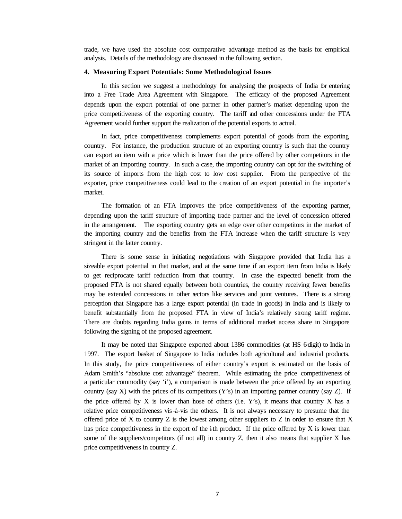trade, we have used the absolute cost comparative advantage method as the basis for empirical analysis. Details of the methodology are discussed in the following section.

#### **4. Measuring Export Potentials: Some Methodological Issues**

In this section we suggest a methodology for analysing the prospects of India for entering into a Free Trade Area Agreement with Singapore. The efficacy of the proposed Agreement depends upon the export potential of one partner in other partner's market depending upon the price competitiveness of the exporting country. The tariff and other concessions under the FTA Agreement would further support the realization of the potential exports to actual.

In fact, price competitiveness complements export potential of goods from the exporting country. For instance, the production structure of an exporting country is such that the country can export an item with a price which is lower than the price offered by other competitors in the market of an importing country. In such a case, the importing country can opt for the switching of its source of imports from the high cost to low cost supplier. From the perspective of the exporter, price competitiveness could lead to the creation of an export potential in the importer's market.

The formation of an FTA improves the price competitiveness of the exporting partner, depending upon the tariff structure of importing trade partner and the level of concession offered in the arrangement. The exporting country gets an edge over other competitors in the market of the importing country and the benefits from the FTA increase when the tariff structure is very stringent in the latter country.

There is some sense in initiating negotiations with Singapore provided that India has a sizeable export potential in that market, and at the same time if an export item from India is likely to get reciprocate tariff reduction from that country. In case the expected benefit from the proposed FTA is not shared equally between both countries, the country receiving fewer benefits may be extended concessions in other sectors like services and joint ventures. There is a strong perception that Singapore has a large export potential (in trade in goods) in India and is likely to benefit substantially from the proposed FTA in view of India's relatively strong tariff regime. There are doubts regarding India gains in terms of additional market access share in Singapore following the signing of the proposed agreement.

It may be noted that Singapore exported about 1386 commodities (at HS 6-digit) to India in 1997. The export basket of Singapore to India includes both agricultural and industrial products. In this study, the price competitiveness of either country's export is estimated on the basis of Adam Smith's "absolute cost advantage" theorem. While estimating the price competitiveness of a particular commodity (say 'i'), a comparison is made between the price offered by an exporting country (say X) with the prices of its competitors  $(Y')$  in an importing partner country (say Z). If the price offered by X is lower than hose of others (i.e. Y's), it means that country X has a relative price competitiveness vis-à-vis the others. It is not always necessary to presume that the offered price of X to country Z is the lowest among other suppliers to Z in order to ensure that X has price competitiveness in the export of the  $\mathbf{i}$ th product. If the price offered by X is lower than some of the suppliers/competitors (if not all) in country  $Z$ , then it also means that supplier  $X$  has price competitiveness in country Z.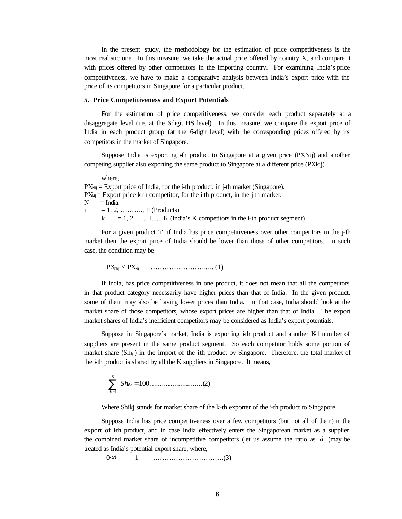In the present study, the methodology for the estimation of price competitiveness is the most realistic one. In this measure, we take the actual price offered by country X, and compare it with prices offered by other competitors in the importing country. For examining India's price competitiveness, we have to make a comparative analysis between India's export price with the price of its competitors in Singapore for a particular product.

#### **5. Price Competitiveness and Export Potentials**

For the estimation of price competitiveness, we consider each product separately at a disaggregate level (i.e. at the 6 digit HS level). In this measure, we compare the export price of India in each product group (at the 6-digit level) with the corresponding prices offered by its competitors in the market of Singapore.

Suppose India is exporting ith product to Singapore at a given price (PXNij) and another competing supplier also exporting the same product to Singapore at a different price (PXkij)

where,

 $PX<sub>Nij</sub>$  = Export price of India, for the i-th product, in j-th market (Singapore).  $PX_{kij}$  = Export price k-th competitor, for the i-th product, in the j-th market.  $N = India$  $i = 1, 2, \dots, P$  (Products)  $k = 1, 2, \dots, l, K$  (India's K competitors in the i-th product segment)

For a given product 'i', if India has price competitiveness over other competitors in the  $\dot{\uparrow}$ th market then the export price of India should be lower than those of other competitors. In such case, the condition may be

PXNij < PXkij …………………..….. (1)

If India, has price competitiveness in one product, it does not mean that all the competitors in that product category necessarily have higher prices than that of India. In the given product, some of them may also be having lower prices than India. In that case, India should look at the market share of those competitors, whose export prices are higher than that of India. The export market shares of India's inefficient competitors may be considered as India's export potentials.

Suppose in Singapore's market, India is exporting  $\mathbf{i}$ th product and another K-1 number of suppliers are present in the same product segment. So each competitor holds some portion of market share  $(Sh_{ki})$  in the import of the ith product by Singapore. Therefore, the total market of the i-th product is shared by all the K suppliers in Singapore. It means,

$$
\sum_{k=1}^{K} Sh_{ikj}=100 \dots \dots \dots \dots \dots \dots \dots \dots \dots \dots (2)
$$

Where Shikj stands for market share of the k-th exporter of the i-th product to Singapore.

Suppose India has price competitiveness over a few competitors (but not all of them) in the  $\epsilon$  export of ith product, and in case India effectively enters the Singaporean market as a supplier the combined market share of incompetitive competitors (let us assume the ratio as *á* )may be treated as India's potential export share, where,

0<*á* 1 ………………………….(3)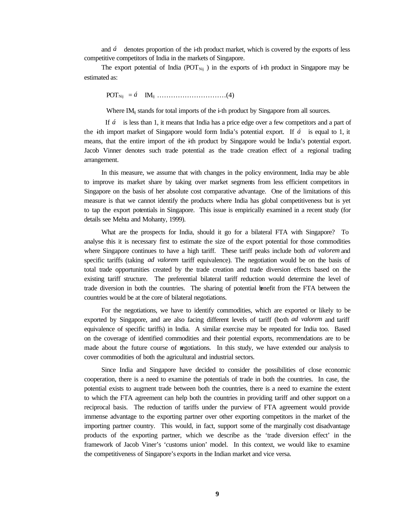and *á* denotes proportion of the i-th product market, which is covered by the exports of less competitive competitors of India in the markets of Singapore.

The export potential of India (POT<sub>Nij</sub>) in the exports of  $\pm$ th product in Singapore may be estimated as:

POTNij = *á* IMij …………………………(4)

Where  $IM_{ij}$  stands for total imports of the i-th product by Singapore from all sources.

 If *á* is less than 1, it means that India has a price edge over a few competitors and a part of the ith import market of Singapore would form India's potential export. If  $\acute{a}$  is equal to 1, it means, that the entire import of the ith product by Singapore would be India's potential export. Jacob Vinner denotes such trade potential as the trade creation effect of a regional trading arrangement.

In this measure, we assume that with changes in the policy environment, India may be able to improve its market share by taking over market segments from less efficient competitors in Singapore on the basis of her absolute cost comparative advantage. One of the limitations of this measure is that we cannot identify the products where India has global competitiveness but is yet to tap the export potentials in Singapore. This issue is empirically examined in a recent study (for details see Mehta and Mohanty, 1999).

What are the prospects for India, should it go for a bilateral FTA with Singapore? To analyse this it is necessary first to estimate the size of the export potential for those commodities where Singapore continues to have a high tariff. These tariff peaks include both *ad valorem* and specific tariffs (taking *ad valorem* tariff equivalence). The negotiation would be on the basis of total trade opportunities created by the trade creation and trade diversion effects based on the existing tariff structure. The preferential bilateral tariff reduction would determine the level of trade diversion in both the countries. The sharing of potential benefit from the FTA between the countries would be at the core of bilateral negotiations.

For the negotiations, we have to identify commodities, which are exported or likely to be exported by Singapore, and are also facing different levels of tariff (both *ad valorem* and tariff equivalence of specific tariffs) in India. A similar exercise may be repeated for India too. Based on the coverage of identified commodities and their potential exports, recommendations are to be made about the future course of negotiations. In this study, we have extended our analysis to cover commodities of both the agricultural and industrial sectors.

Since India and Singapore have decided to consider the possibilities of close economic cooperation, there is a need to examine the potentials of trade in both the countries. In case, the potential exists to augment trade between both the countries, there is a need to examine the extent to which the FTA agreement can help both the countries in providing tariff and other support on a reciprocal basis. The reduction of tariffs under the purview of FTA agreement would provide immense advantage to the exporting partner over other exporting competitors in the market of the importing partner country. This would, in fact, support some of the marginally cost disadvantage products of the exporting partner, which we describe as the 'trade diversion effect' in the framework of Jacob Viner's 'customs union' model. In this context, we would like to examine the competitiveness of Singapore's exports in the Indian market and vice versa.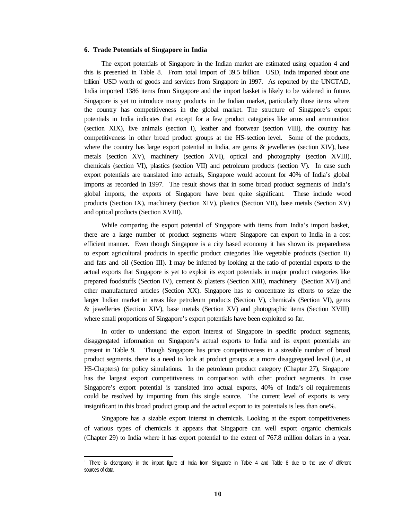#### **6. Trade Potentials of Singapore in India**

The export potentials of Singapore in the Indian market are estimated using equation 4 and this is presented in Table 8. From total import of 39.5 billion USD, India imported about one billion<sup>1</sup> USD worth of goods and services from Singapore in 1997. As reported by the UNCTAD, India imported 1386 items from Singapore and the import basket is likely to be widened in future. Singapore is yet to introduce many products in the Indian market, particularly those items where the country has competitiveness in the global market. The structure of Singapore's export potentials in India indicates that except for a few product categories like arms and ammunition (section XIX), live animals (section I), leather and footwear (section VIII), the country has competitiveness in other broad product groups at the HS-section level. Some of the products, where the country has large export potential in India, are gems & jewelleries (section XIV), base metals (section XV), machinery (section XVI), optical and photography (section XVIII), chemicals (section VI), plastics (section VII) and petroleum products (section V). In case such export potentials are translated into actuals, Singapore would account for 40% of India's global imports as recorded in 1997. The result shows that in some broad product segments of India's global imports, the exports of Singapore have been quite significant. These include wood products (Section IX), machinery (Section XIV), plastics (Section VII), base metals (Section XV) and optical products (Section XVIII).

While comparing the export potential of Singapore with items from India's import basket, there are a large number of product segments where Singapore can export to India in a cost efficient manner. Even though Singapore is a city based economy it has shown its preparedness to export agricultural products in specific product categories like vegetable products (Section II) and fats and oil (Section III). It may be inferred by looking at the ratio of potential exports to the actual exports that Singapore is yet to exploit its export potentials in major product categories like prepared foodstuffs (Section IV), cement & plasters (Section XIII), machinery (Section XVI) and other manufactured articles (Section XX). Singapore has to concentrate its efforts to seize the larger Indian market in areas like petroleum products (Section V), chemicals (Section VI), gems & jewelleries (Section XIV), base metals (Section XV) and photographic items (Section XVIII) where small proportions of Singapore's export potentials have been exploited so far.

In order to understand the export interest of Singapore in specific product segments, disaggregated information on Singapore's actual exports to India and its export potentials are present in Table 9. Though Singapore has price competitiveness in a sizeable number of broad product segments, there is a need to look at product groups at a more disaggregated level (i.e., at HS-Chapters) for policy simulations. In the petroleum product category (Chapter 27), Singapore has the largest export competitiveness in comparison with other product segments. In case Singapore's export potential is translated into actual exports, 40% of India's oil requirements could be resolved by importing from this single source. The current level of exports is very insignificant in this broad product group and the actual export to its potentials is less than one%.

Singapore has a sizable export interest in chemicals. Looking at the export competitiveness of various types of chemicals it appears that Singapore can well export organic chemicals (Chapter 29) to India where it has export potential to the extent of 767.8 million dollars in a year.

<sup>1</sup> There is discrepancy in the import figure of India from Singapore in Table 4 and Table 8 due to the use of different sources of data.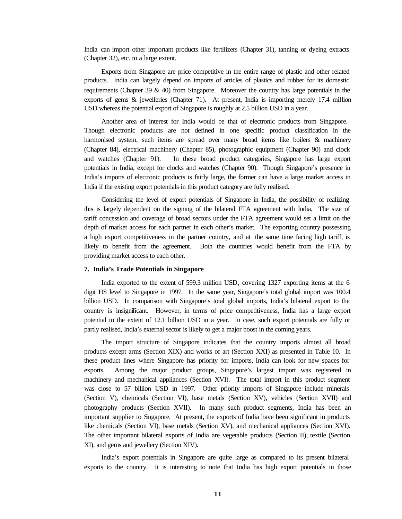India can import other important products like fertilizers (Chapter 31), tanning or dyeing extracts (Chapter 32), etc. to a large extent.

Exports from Singapore are price competitive in the entire range of plastic and other related products. India can largely depend on imports of articles of plastics and rubber for its domestic requirements (Chapter 39  $\&$  40) from Singapore. Moreover the country has large potentials in the exports of gems & jewelleries (Chapter 71). At present, India is importing merely 17.4 million USD whereas the potential export of Singapore is roughly at 2.5 billion USD in a year.

Another area of interest for India would be that of electronic products from Singapore. Though electronic products are not defined in one specific product classification in the harmonised system, such items are spread over many broad items like boilers & machinery (Chapter 84), electrical machinery (Chapter 85), photographic equipment (Chapter 90) and clock and watches (Chapter 91). In these broad product categories, Singapore has large export potentials in India, except for clocks and watches (Chapter 90). Though Singapore's presence in India's imports of electronic products is fairly large, the former can have a large market access in India if the existing export potentials in this product category are fully realised.

Considering the level of export potentials of Singapore in India, the possibility of realizing this is largely dependent on the signing of the bilateral FTA agreement with India. The size of tariff concession and coverage of broad sectors under the FTA agreement would set a limit on the depth of market access for each partner in each other's market. The exporting country possessing a high export competitiveness in the partner country, and at the same time facing high tariff, is likely to benefit from the agreement. Both the countries would benefit from the FTA by providing market access to each other.

#### **7. India's Trade Potentials in Singapore**

India exported to the extent of 599.3 million USD, covering 1327 exporting items at the 6 digit HS level to Singapore in 1997. In the same year, Singapore's total global import was 100.4 billion USD. In comparison with Singapore's total global imports, India's bilateral export to the country is insignificant. However, in terms of price competitiveness, India has a large export potential to the extent of 12.1 billion USD in a year. In case, such export potentials are fully or partly realised, India's external sector is likely to get a major boost in the coming years.

The import structure of Singapore indicates that the country imports almost all broad products except arms (Section XIX) and works of art (Section XXI) as presented in Table 10. In these product lines where Singapore has priority for imports, India can look for new spaces for exports. Among the major product groups, Singapore's largest import was registered in machinery and mechanical appliances (Section XVI). The total import in this product segment was close to 57 billion USD in 1997. Other priority imports of Singapore include minerals (Section V), chemicals (Section VI), base metals (Section XV), vehicles (Section XVII) and photography products (Section XVII). In many such product segments, India has been an important supplier to Singapore. At present, the exports of India have been significant in products like chemicals (Section VI), base metals (Section XV), and mechanical appliances (Section XVI). The other important bilateral exports of India are vegetable products (Section II), textile (Section XI), and gems and jewellery (Section XIV).

India's export potentials in Singapore are quite large as compared to its present bilateral exports to the country. It is interesting to note that India has high export potentials in those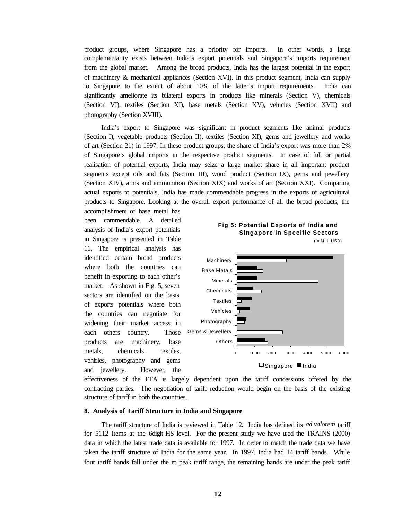product groups, where Singapore has a priority for imports. In other words, a large complementarity exists between India's export potentials and Singapore's imports requirement from the global market. Among the broad products, India has the largest potential in the export of machinery & mechanical appliances (Section XVI). In this product segment, India can supply to Singapore to the extent of about 10% of the latter's import requirements. India can significantly ameliorate its bilateral exports in products like minerals (Section V), chemicals (Section VI), textiles (Section XI), base metals (Section XV), vehicles (Section XVII) and photography (Section XVIII).

India's export to Singapore was significant in product segments like animal products (Section I), vegetable products (Section II), textiles (Section XI), gems and jewellery and works of art (Section 21) in 1997. In these product groups, the share of India's export was more than 2% of Singapore's global imports in the respective product segments. In case of full or partial realisation of potential exports, India may seize a large market share in all important product segments except oils and fats (Section III), wood product (Section IX), gems and jewellery (Section XIV), arms and ammunition (Section XIX) and works of art (Section XXI). Comparing actual exports to potentials, India has made commendable progress in the exports of agricultural products to Singapore. Looking at the overall export performance of all the broad products, the

accomplishment of base metal has been commendable. A detailed analysis of India's export potentials in Singapore is presented in Table 11. The empirical analysis has identified certain broad products where both the countries can benefit in exporting to each other's market. As shown in Fig. 5, seven sectors are identified on the basis of exports potentials where both the countries can negotiate for widening their market access in each others country. Those products are machinery, base metals, chemicals, textiles, vehicles, photography and gems and jewellery. However, the



effectiveness of the FTA is largely dependent upon the tariff concessions offered by the contracting parties. The negotiation of tariff reduction would begin on the basis of the existing structure of tariff in both the countries.

#### **8. Analysis of Tariff Structure in India and Singapore**

The tariff structure of India is reviewed in Table 12. India has defined its *ad valorem* tariff for 5112 items at the 6-digit-HS level. For the present study we have used the TRAINS (2000) data in which the latest trade data is available for 1997. In order to match the trade data we have taken the tariff structure of India for the same year. In 1997, India had 14 tariff bands. While four tariff bands fall under the no peak tariff range, the remaining bands are under the peak tariff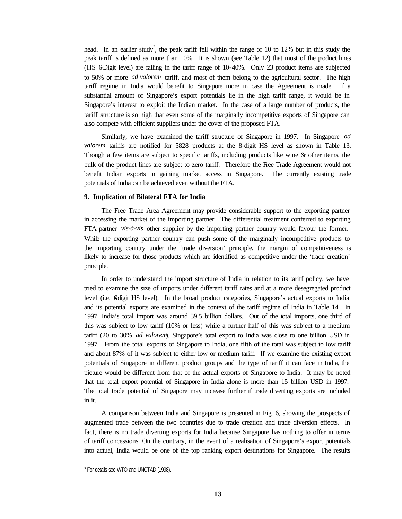head. In an earlier study<sup>2</sup>, the peak tariff fell within the range of 10 to 12% but in this study the peak tariff is defined as more than 10%. It is shown (see Table 12) that most of the product lines (HS 6-Digit level) are falling in the tariff range of 10-40%. Only 23 product items are subjected to 50% or more *ad valorem* tariff, and most of them belong to the agricultural sector. The high tariff regime in India would benefit to Singapore more in case the Agreement is made. If a substantial amount of Singapore's export potentials lie in the high tariff range, it would be in Singapore's interest to exploit the Indian market. In the case of a large number of products, the tariff structure is so high that even some of the marginally incompetitive exports of Singapore can also compete with efficient suppliers under the cover of the proposed FTA.

Similarly, we have examined the tariff structure of Singapore in 1997. In Singapore *ad valorem* tariffs are notified for 5828 products at the 8-digit HS level as shown in Table 13. Though a few items are subject to specific tariffs, including products like wine & other items, the bulk of the product lines are subject to zero tariff. Therefore the Free Trade Agreement would not benefit Indian exports in gaining market access in Singapore. The currently existing trade potentials of India can be achieved even without the FTA.

#### **9. Implication of Bilateral FTA for India**

The Free Trade Area Agreement may provide considerable support to the exporting partner in accessing the market of the importing partner. The differential treatment conferred to exporting FTA partner *vis-à-vis* other supplier by the importing partner country would favour the former. While the exporting partner country can push some of the marginally incompetitive products to the importing country under the 'trade diversion' principle, the margin of competitiveness is likely to increase for those products which are identified as competitive under the 'trade creation' principle.

In order to understand the import structure of India in relation to its tariff policy, we have tried to examine the size of imports under different tariff rates and at a more desegregated product level (i.e. 6 digit HS level). In the broad product categories, Singapore's actual exports to India and its potential exports are examined in the context of the tariff regime of India in Table 14. In 1997, India's total import was around 39.5 billion dollars. Out of the total imports, one third of this was subject to low tariff (10% or less) while a further half of this was subject to a medium tariff (20 to 30% *ad valorem*). Singapore's total export to India was close to one billion USD in 1997. From the total exports of Singapore to India, one fifth of the total was subject to low tariff and about 87% of it was subject to either low or medium tariff. If we examine the existing export potentials of Singapore in different product groups and the type of tariff it can face in India, the picture would be different from that of the actual exports of Singapore to India. It may be noted that the total export potential of Singapore in India alone is more than 15 billion USD in 1997. The total trade potential of Singapore may increase further if trade diverting exports are included in it.

A comparison between India and Singapore is presented in Fig. 6, showing the prospects of augmented trade between the two countries due to trade creation and trade diversion effects. In fact, there is no trade diverting exports for India because Singapore has nothing to offer in terms of tariff concessions. On the contrary, in the event of a realisation of Singapore's export potentials into actual, India would be one of the top ranking export destinations for Singapore. The results

<sup>2</sup> For details see WTO and UNCTAD (1998).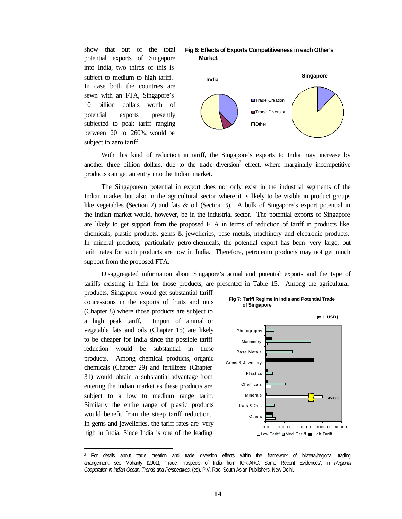show that out of the total potential exports of Singapore into India, two thirds of this is subject to medium to high tariff. In case both the countries are sewn with an FTA, Singapore's 10 billion dollars worth of potential exports presently subjected to peak tariff ranging between 20 to 260%, would be subject to zero tariff.





With this kind of reduction in tariff, the Singapore's exports to India may increase by another three billion dollars, due to the trade diversion<sup>3</sup> effect, where marginally incompetitive products can get an entry into the Indian market.

The Singaporean potential in export does not only exist in the industrial segments of the Indian market but also in the agricultural sector where it is likely to be visible in product groups like vegetables (Section 2) and fats & oil (Section 3). A bulk of Singapore's export potential in the Indian market would, however, be in the industrial sector. The potential exports of Singapore are likely to get support from the proposed FTA in terms of reduction of tariff in products like chemicals, plastic products, gems & jewelleries, base metals, machinery and electronic products. In mineral products, particularly petro-chemicals, the potential export has been very large, but tariff rates for such products are low in India. Therefore, petroleum products may not get much support from the proposed FTA.

Disaggregated information about Singapore's actual and potential exports and the type of tariffs existing in India for those products, are presented in Table 15. Among the agricultural

products, Singapore would get substantial tariff concessions in the exports of fruits and nuts (Chapter 8) where those products are subject to a high peak tariff. Import of animal or vegetable fats and oils (Chapter 15) are likely to be cheaper for India since the possible tariff reduction would be substantial in these products. Among chemical products, organic chemicals (Chapter 29) and fertilizers (Chapter 31) would obtain a substantial advantage from entering the Indian market as these products are subject to a low to medium range tariff. Similarly the entire range of plastic products would benefit from the steep tariff reduction. In gems and jewelleries, the tariff rates are very high in India. Since India is one of the leading



<sup>3</sup> For details about trade creation and trade diversion effects within the framework of bilateral/regional trading arrangement, see Mohanty (2001), 'Trade Prospects of India from IOR-ARC: Some Recent Evidences', in *Regional Cooperation in Indian Ocean: Trends and Perspectives*, (ed). P.V. Rao, South Asian Publishers, New Delhi.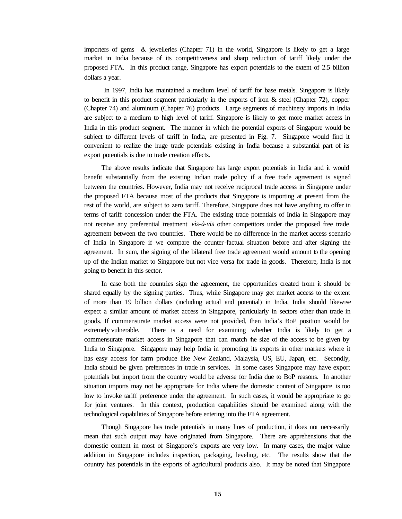importers of gems & jewelleries (Chapter 71) in the world, Singapore is likely to get a large market in India because of its competitiveness and sharp reduction of tariff likely under the proposed FTA. In this product range, Singapore has export potentials to the extent of 2.5 billion dollars a year.

 In 1997, India has maintained a medium level of tariff for base metals. Singapore is likely to benefit in this product segment particularly in the exports of iron  $\&$  steel (Chapter 72), copper (Chapter 74) and aluminum (Chapter 76) products. Large segments of machinery imports in India are subject to a medium to high level of tariff. Singapore is likely to get more market access in India in this product segment. The manner in which the potential exports of Singapore would be subject to different levels of tariff in India, are presented in Fig. 7. Singapore would find it convenient to realize the huge trade potentials existing in India because a substantial part of its export potentials is due to trade creation effects.

The above results indicate that Singapore has large export potentials in India and it would benefit substantially from the existing Indian trade policy if a free trade agreement is signed between the countries. However, India may not receive reciprocal trade access in Singapore under the proposed FTA because most of the products that Singapore is importing at present from the rest of the world, are subject to zero tariff. Therefore, Singapore does not have anything to offer in terms of tariff concession under the FTA. The existing trade potentials of India in Singapore may not receive any preferential treatment *vis-à-vis* other competitors under the proposed free trade agreement between the two countries. There would be no difference in the market access scenario of India in Singapore if we compare the counter-factual situation before and after signing the agreement. In sum, the signing of the bilateral free trade agreement would amount to the opening up of the Indian market to Singapore but not vice versa for trade in goods. Therefore, India is not going to benefit in this sector.

In case both the countries sign the agreement, the opportunities created from it should be shared equally by the signing parties. Thus, while Singapore may get market access to the extent of more than 19 billion dollars (including actual and potential) in India, India should likewise expect a similar amount of market access in Singapore, particularly in sectors other than trade in goods. If commensurate market access were not provided, then India's BoP position would be extremely vulnerable. There is a need for examining whether India is likely to get a commensurate market access in Singapore that can match the size of the access to be given by India to Singapore. Singapore may help India in promoting its exports in other markets where it has easy access for farm produce like New Zealand, Malaysia, US, EU, Japan, etc. Secondly, India should be given preferences in trade in services. In some cases Singapore may have export potentials but import from the country would be adverse for India due to BoP reasons. In another situation imports may not be appropriate for India where the domestic content of Singapore is too low to invoke tariff preference under the agreement. In such cases, it would be appropriate to go for joint ventures. In this context, production capabilities should be examined along with the technological capabilities of Singapore before entering into the FTA agreement.

Though Singapore has trade potentials in many lines of production, it does not necessarily mean that such output may have originated from Singapore. There are apprehensions that the domestic content in most of Singapore's exports are very low. In many cases, the major value addition in Singapore includes inspection, packaging, leveling, etc. The results show that the country has potentials in the exports of agricultural products also. It may be noted that Singapore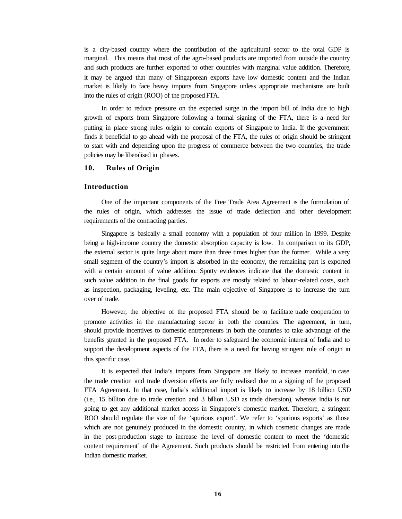is a city-based country where the contribution of the agricultural sector to the total GDP is marginal. This means that most of the agro-based products are imported from outside the country and such products are further exported to other countries with marginal value addition. Therefore, it may be argued that many of Singaporean exports have low domestic content and the Indian market is likely to face heavy imports from Singapore unless appropriate mechanisms are built into the rules of origin (ROO) of the proposed FTA.

In order to reduce pressure on the expected surge in the import bill of India due to high growth of exports from Singapore following a formal signing of the FTA, there is a need for putting in place strong rules origin to contain exports of Singapore to India. If the government finds it beneficial to go ahead with the proposal of the FTA, the rules of origin should be stringent to start with and depending upon the progress of commerce between the two countries, the trade policies may be liberalised in phases.

#### **10. Rules of Origin**

#### **Introduction**

One of the important components of the Free Trade Area Agreement is the formulation of the rules of origin, which addresses the issue of trade deflection and other development requirements of the contracting parties.

Singapore is basically a small economy with a population of four million in 1999. Despite being a high-income country the domestic absorption capacity is low. In comparison to its GDP, the external sector is quite large about more than three times higher than the former. While a very small segment of the country's import is absorbed in the economy, the remaining part is exported with a certain amount of value addition. Spotty evidences indicate that the domestic content in such value addition in the final goods for exports are mostly related to labour-related costs, such as inspection, packaging, leveling, etc. The main objective of Singapore is to increase the turn over of trade.

However, the objective of the proposed FTA should be to facilitate trade cooperation to promote activities in the manufacturing sector in both the countries. The agreement, in turn, should provide incentives to domestic entrepreneurs in both the countries to take advantage of the benefits granted in the proposed FTA. In order to safeguard the economic interest of India and to support the development aspects of the FTA, there is a need for having stringent rule of origin in this specific case.

It is expected that India's imports from Singapore are likely to increase manifold, in case the trade creation and trade diversion effects are fully realised due to a signing of the proposed FTA Agreement. In that case, India's additional import is likely to increase by 18 billion USD (i.e., 15 billion due to trade creation and 3 billion USD as trade diversion), whereas India is not going to get any additional market access in Singapore's domestic market. Therefore, a stringent ROO should regulate the size of the 'spurious export'. We refer to 'spurious exports' as those which are not genuinely produced in the domestic country, in which cosmetic changes are made in the post-production stage to increase the level of domestic content to meet the 'domestic content requirement' of the Agreement. Such products should be restricted from entering into the Indian domestic market.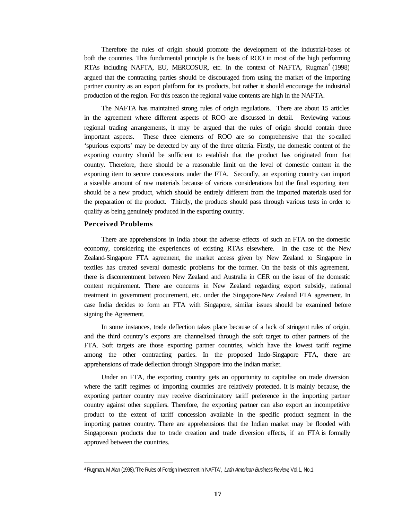Therefore the rules of origin should promote the development of the industrial-bases of both the countries. This fundamental principle is the basis of ROO in most of the high performing RTAs including NAFTA, EU, MERCOSUR, etc. In the context of NAFTA, Rugman<sup>4</sup> (1998) argued that the contracting parties should be discouraged from using the market of the importing partner country as an export platform for its products, but rather it should encourage the industrial production of the region. For this reason the regional value contents are high in the NAFTA.

The NAFTA has maintained strong rules of origin regulations. There are about 15 articles in the agreement where different aspects of ROO are discussed in detail. Reviewing various regional trading arrangements, it may be argued that the rules of origin should contain three important aspects. These three elements of ROO are so comprehensive that the so-called 'spurious exports' may be detected by any of the three criteria. Firstly, the domestic content of the exporting country should be sufficient to establish that the product has originated from that country. Therefore, there should be a reasonable limit on the level of domestic content in the exporting item to secure concessions under the FTA. Secondly, an exporting country can import a sizeable amount of raw materials because of various considerations but the final exporting item should be a new product, which should be entirely different from the imported materials used for the preparation of the product. Thirdly, the products should pass through various tests in order to qualify as being genuinely produced in the exporting country.

#### **Perceived Problems**

There are apprehensions in India about the adverse effects of such an FTA on the domestic economy, considering the experiences of existing RTAs elsewhere. In the case of the New Zealand-Singapore FTA agreement, the market access given by New Zealand to Singapore in textiles has created several domestic problems for the former. On the basis of this agreement, there is discontentment between New Zealand and Australia in CER on the issue of the domestic content requirement. There are concerns in New Zealand regarding export subsidy, national treatment in government procurement, etc. under the Singapore-New Zealand FTA agreement. In case India decides to form an FTA with Singapore, similar issues should be examined before signing the Agreement.

In some instances, trade deflection takes place because of a lack of stringent rules of origin, and the third country's exports are channelised through the soft target to other partners of the FTA. Soft targets are those exporting partner countries, which have the lowest tariff regime among the other contracting parties. In the proposed Indo-Singapore FTA, there are apprehensions of trade deflection through Singapore into the Indian market.

Under an FTA, the exporting country gets an opportunity to capitalise on trade diversion where the tariff regimes of importing countries are relatively protected. It is mainly because, the exporting partner country may receive discriminatory tariff preference in the importing partner country against other suppliers. Therefore, the exporting partner can also export an incompetitive product to the extent of tariff concession available in the specific product segment in the importing partner country. There are apprehensions that the Indian market may be flooded with Singaporean products due to trade creation and trade diversion effects, if an FTA is formally approved between the countries.

<sup>4</sup> Rugman, M Alan (1998),"The Rules of Foreign Investment in NAFTA", *Latin American BusinessReview*, Vol.1, No.1.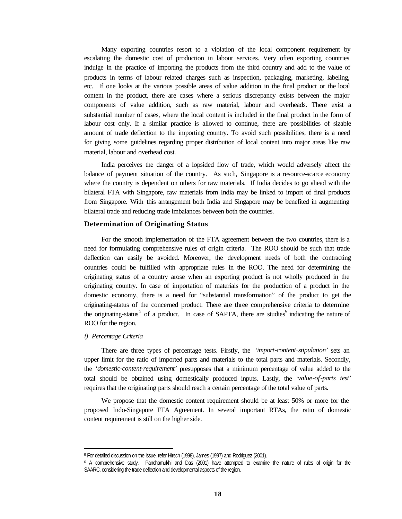Many exporting countries resort to a violation of the local component requirement by escalating the domestic cost of production in labour services. Very often exporting countries indulge in the practice of importing the products from the third country and add to the value of products in terms of labour related charges such as inspection, packaging, marketing, labeling, etc. If one looks at the various possible areas of value addition in the final product or the local content in the product, there are cases where a serious discrepancy exists between the major components of value addition, such as raw material, labour and overheads. There exist a substantial number of cases, where the local content is included in the final product in the form of labour cost only. If a similar practice is allowed to continue, there are possibilities of sizable amount of trade deflection to the importing country. To avoid such possibilities, there is a need for giving some guidelines regarding proper distribution of local content into major areas like raw material, labour and overhead cost.

India perceives the danger of a lopsided flow of trade, which would adversely affect the balance of payment situation of the country. As such, Singapore is a resource-scarce economy where the country is dependent on others for raw materials. If India decides to go ahead with the bilateral FTA with Singapore, raw materials from India may be linked to import of final products from Singapore. With this arrangement both India and Singapore may be benefited in augmenting bilateral trade and reducing trade imbalances between both the countries.

#### **Determination of Originating Status**

For the smooth implementation of the FTA agreement between the two countries, there is a need for formulating comprehensive rules of origin criteria. The ROO should be such that trade deflection can easily be avoided. Moreover, the development needs of both the contracting countries could be fulfilled with appropriate rules in the ROO. The need for determining the originating status of a country arose when an exporting product is not wholly produced in the originating country. In case of importation of materials for the production of a product in the domestic economy, there is a need for "substantial transformation" of the product to get the originating–status of the concerned product. There are three comprehensive criteria to determine the originating-status<sup>5</sup> of a product. In case of SAPTA, there are studies<sup>6</sup> indicating the nature of ROO for the region.

#### *i) Percentage Criteria*

There are three types of percentage tests. Firstly, the *'import-content*-*stipulation'* sets an upper limit for the ratio of imported parts and materials to the total parts and materials. Secondly, the *'domestic-content-requirement'* presupposes that a minimum percentage of value added to the total should be obtained using domestically produced inputs. Lastly, the *'value-of-parts test'* requires that the originating parts should reach a certain percentage of the total value of parts.

We propose that the domestic content requirement should be at least 50% or more for the proposed Indo-Singapore FTA Agreement. In several important RTAs, the ratio of domestic content requirement is still on the higher side.

<sup>5</sup> For detailed discussion on the issue, refer Hirsch (1998), James (1997) and Rodriguez (2001).

<sup>6</sup> A comprehensive study, Panchamukhi and Das (2001) have attempted to examine the nature of rules of origin for the SAARC, considering the trade deflection and developmental aspects of the region.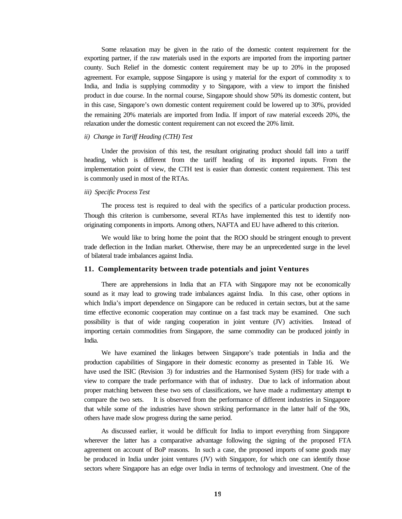Some relaxation may be given in the ratio of the domestic content requirement for the exporting partner, if the raw materials used in the exports are imported from the importing partner county. Such Relief in the domestic content requirement may be up to 20% in the proposed agreement. For example, suppose Singapore is using y material for the export of commodity x to India, and India is supplying commodity y to Singapore, with a view to import the finished product in due course. In the normal course, Singapore should show 50% its domestic content, but in this case, Singapore's own domestic content requirement could be lowered up to 30%, provided the remaining 20% materials are imported from India. If import of raw material exceeds 20%, the relaxation under the domestic content requirement can not exceed the 20% limit.

#### *ii) Change in Tariff Heading (CTH) Test*

Under the provision of this test, the resultant originating product should fall into a tariff heading, which is different from the tariff heading of its imported inputs. From the implementation point of view, the CTH test is easier than domestic content requirement. This test is commonly used in most of the RTAs.

#### *iii) Specific Process Test*

The process test is required to deal with the specifics of a particular production process. Though this criterion is cumbersome, several RTAs have implemented this test to identify nonoriginating components in imports. Among others, NAFTA and EU have adhered to this criterion.

We would like to bring home the point that the ROO should be stringent enough to prevent trade deflection in the Indian market. Otherwise, there may be an unprecedented surge in the level of bilateral trade imbalances against India.

#### **11. Complementarity between trade potentials and joint Ventures**

There are apprehensions in India that an FTA with Singapore may not be economically sound as it may lead to growing trade imbalances against India. In this case, other options in which India's import dependence on Singapore can be reduced in certain sectors, but at the same time effective economic cooperation may continue on a fast track may be examined. One such possibility is that of wide ranging cooperation in joint venture (JV) activities. Instead of importing certain commodities from Singapore, the same commodity can be produced jointly in India.

We have examined the linkages between Singapore's trade potentials in India and the production capabilities of Singapore in their domestic economy as presented in Table 16. We have used the ISIC (Revision 3) for industries and the Harmonised System (HS) for trade with a view to compare the trade performance with that of industry. Due to lack of information about proper matching between these two sets of classifications, we have made a rudimentary attempt to compare the two sets. It is observed from the performance of different industries in Singapore that while some of the industries have shown striking performance in the latter half of the 90s, others have made slow progress during the same period.

As discussed earlier, it would be difficult for India to import everything from Singapore wherever the latter has a comparative advantage following the signing of the proposed FTA agreement on account of BoP reasons. In such a case, the proposed imports of some goods may be produced in India under joint ventures (JV) with Singapore, for which one can identify those sectors where Singapore has an edge over India in terms of technology and investment. One of the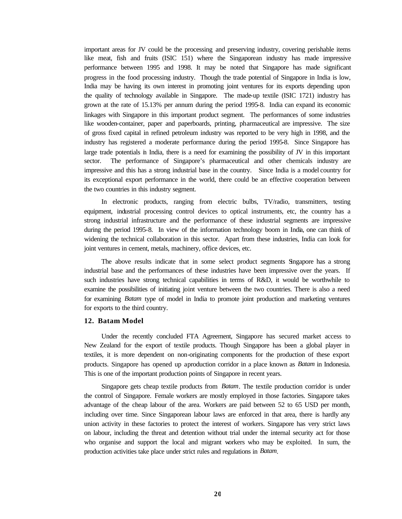important areas for JV could be the processing and preserving industry, covering perishable items like meat, fish and fruits (ISIC 151) where the Singaporean industry has made impressive performance between 1995 and 1998. It may be noted that Singapore has made significant progress in the food processing industry. Though the trade potential of Singapore in India is low, India may be having its own interest in promoting joint ventures for its exports depending upon the quality of technology available in Singapore. The made-up textile (ISIC 1721) industry has grown at the rate of 15.13% per annum during the period 1995-8. India can expand its economic linkages with Singapore in this important product segment. The performances of some industries like wooden-container, paper and paperboards, printing, pharmaceutical are impressive. The size of gross fixed capital in refined petroleum industry was reported to be very high in 1998, and the industry has registered a moderate performance during the period 1995-8. Since Singapore has large trade potentials in India, there is a need for examining the possibility of JV in this important sector. The performance of Singapore's pharmaceutical and other chemicals industry are impressive and this has a strong industrial base in the country. Since India is a model country for its exceptional export performance in the world, there could be an effective cooperation between the two countries in this industry segment.

In electronic products, ranging from electric bulbs, TV/radio, transmitters, testing equipment, industrial processing control devices to optical instruments, etc, the country has a strong industrial infrastructure and the performance of these industrial segments are impressive during the period 1995-8. In view of the information technology boom in India, one can think of widening the technical collaboration in this sector. Apart from these industries, India can look for joint ventures in cement, metals, machinery, office devices, etc.

The above results indicate that in some select product segments Singapore has a strong industrial base and the performances of these industries have been impressive over the years. If such industries have strong technical capabilities in terms of R&D, it would be worthwhile to examine the possibilities of initiating joint venture between the two countries. There is also a need for examining *Batam* type of model in India to promote joint production and marketing ventures for exports to the third country.

#### **12. Batam Model**

Under the recently concluded FTA Agreement, Singapore has secured market access to New Zealand for the export of textile products. Though Singapore has been a global player in textiles, it is more dependent on non-originating components for the production of these export products. Singapore has opened up a production corridor in a place known as *Batam* in Indonesia. This is one of the important production points of Singapore in recent years.

Singapore gets cheap textile products from *Batam*. The textile production corridor is under the control of Singapore. Female workers are mostly employed in those factories. Singapore takes advantage of the cheap labour of the area. Workers are paid between 52 to 65 USD per month, including over time. Since Singaporean labour laws are enforced in that area, there is hardly any union activity in these factories to protect the interest of workers. Singapore has very strict laws on labour, including the threat and detention without trial under the internal security act for those who organise and support the local and migrant workers who may be exploited. In sum, the production activities take place under strict rules and regulations in *Batam*.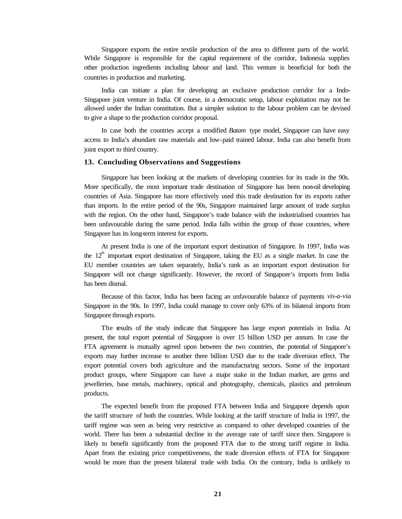Singapore exports the entire textile production of the area to different parts of the world. While Singapore is responsible for the capital requirement of the corridor, Indonesia supplies other production ingredients including labour and land. This venture is beneficial for both the countries in production and marketing.

India can initiate a plan for developing an exclusive production corridor for a Indo-Singapore joint venture in India. Of course, in a democratic setup, labour exploitation may not be allowed under the Indian constitution. But a simpler solution to the labour problem can be devised to give a shape to the production corridor proposal.

In case both the countries accept a modified *Batam* type model, Singapore can have easy access to India's abundant raw materials and low-paid trained labour. India can also benefit from joint export to third country.

#### **13. Concluding Observations and Suggestions**

Singapore has been looking at the markets of developing countries for its trade in the 90s. More specifically, the most important trade destination of Singapore has been non-oil developing countries of Asia. Singapore has more effectively used this trade destination for its exports rather than imports. In the entire period of the 90s, Singapore maintained large amount of trade surplus with the region. On the other hand, Singapore's trade balance with the industrialised countries has been unfavourable during the same period. India falls within the group of those countries, where Singapore has its long-term interest for exports.

At present India is one of the important export destination of Singapore. In 1997, India was the  $12<sup>th</sup>$  important export destination of Singapore, taking the EU as a single market. In case the EU member countries are taken separately, India's rank as an important export destination for Singapore will not change significantly. However, the record of Singapore's imports from India has been dismal.

Because of this factor, India has been facing an unfavourable balance of payments *vis-a-via*  Singapore in the 90s. In 1997, India could manage to cover only 63% of its bilateral imports from Singapore through exports.

The results of the study indicate that Singapore has large export potentials in India. At present, the total export potential of Singapore is over 15 billion USD per annum. In case the FTA agreement is mutually agreed upon between the two countries, the potential of Singapore's exports may further increase to another three billion USD due to the trade diversion effect. The export potential covers both agriculture and the manufacturing sectors. Some of the important product groups, where Singapore can have a major stake in the Indian market, are gems and jewelleries, base metals, machinery, optical and photography, chemicals, plastics and petroleum products.

The expected benefit from the proposed FTA between India and Singapore depends upon the tariff structure of both the countries. While looking at the tariff structure of India in 1997, the tariff regime was seen as being very restrictive as compared to other developed countries of the world. There has been a substantial decline in the average rate of tariff since then. Singapore is likely to benefit significantly from the proposed FTA due to the strong tariff regime in India. Apart from the existing price competitiveness, the trade diversion effects of FTA for Singapore would be more than the present bilateral trade with India. On the contrary, India is unlikely to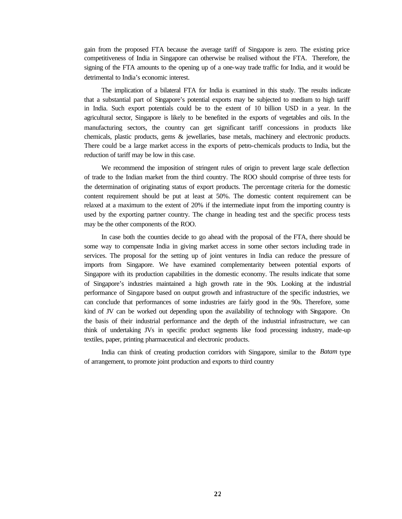gain from the proposed FTA because the average tariff of Singapore is zero. The existing price competitiveness of India in Singapore can otherwise be realised without the FTA. Therefore, the signing of the FTA amounts to the opening up of a one-way trade traffic for India, and it would be detrimental to India's economic interest.

The implication of a bilateral FTA for India is examined in this study. The results indicate that a substantial part of Singapore's potential exports may be subjected to medium to high tariff in India. Such export potentials could be to the extent of 10 billion USD in a year. In the agricultural sector, Singapore is likely to be benefited in the exports of vegetables and oils. In the manufacturing sectors, the country can get significant tariff concessions in products like chemicals, plastic products, gems & jewellaries, base metals, machinery and electronic products. There could be a large market access in the exports of petro-chemicals products to India, but the reduction of tariff may be low in this case.

We recommend the imposition of stringent rules of origin to prevent large scale deflection of trade to the Indian market from the third country. The ROO should comprise of three tests for the determination of originating status of export products. The percentage criteria for the domestic content requirement should be put at least at 50%. The domestic content requirement can be relaxed at a maximum to the extent of 20% if the intermediate input from the importing country is used by the exporting partner country. The change in heading test and the specific process tests may be the other components of the ROO.

In case both the counties decide to go ahead with the proposal of the FTA, there should be some way to compensate India in giving market access in some other sectors including trade in services. The proposal for the setting up of joint ventures in India can reduce the pressure of imports from Singapore. We have examined complementarity between potential exports of Singapore with its production capabilities in the domestic economy. The results indicate that some of Singapore's industries maintained a high growth rate in the 90s. Looking at the industrial performance of Singapore based on output growth and infrastructure of the specific industries, we can conclude that performances of some industries are fairly good in the 90s. Therefore, some kind of JV can be worked out depending upon the availability of technology with Singapore. On the basis of their industrial performance and the depth of the industrial infrastructure, we can think of undertaking JVs in specific product segments like food processing industry, made-up textiles, paper, printing pharmaceutical and electronic products.

India can think of creating production corridors with Singapore, similar to the *Batam* type of arrangement, to promote joint production and exports to third country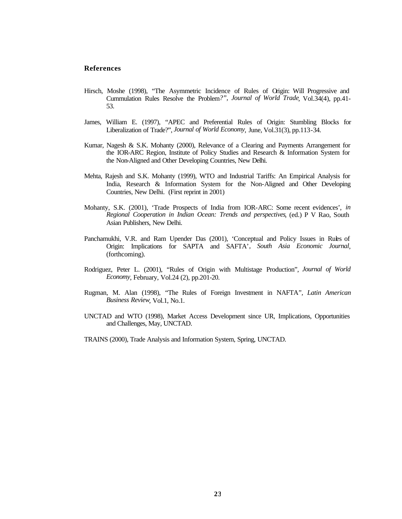#### **References**

- Hirsch, Moshe (1998), "The Asymmetric Incidence of Rules of Origin: Will Progressive and Cummulation Rules Resolve the Problem*?", Journal of World Trade*, Vol.34(4), pp.41- 53.
- James, William E. (1997), "APEC and Preferential Rules of Origin: Stumbling Blocks for Liberalization of Trade?", *Journal of World Economy*, June, Vol.31(3), pp.113-34.
- Kumar, Nagesh & S.K. Mohanty (2000), Relevance of a Clearing and Payments Arrangement for the IOR-ARC Region, Institute of Policy Studies and Research & Information System for the Non-Aligned and Other Developing Countries, New Delhi.
- Mehta, Rajesh and S.K. Mohanty (1999), WTO and Industrial Tariffs: An Empirical Analysis for India, Research & Information System for the Non-Aligned and Other Developing Countries, New Delhi. (First reprint in 2001)
- Mohanty, S.K. (2001), 'Trade Prospects of India from IOR-ARC: Some recent evidences', *in Regional Cooperation in Indian Ocean: Trends and perspectives*, (ed.) P V Rao, South Asian Publishers, New Delhi.
- Panchamukhi, V.R. and Ram Upender Das (2001), 'Conceptual and Policy Issues in Rules of Origin: Implications for SAPTA and SAFTA'*, South Asia Economic Journal*, (forthcoming).
- Rodriguez, Peter L. (2001), "Rules of Origin with Multistage Production", *Journal of World Economy*, February, Vol.24 (2), pp.201-20.
- Rugman, M. Alan (1998), "The Rules of Foreign Investment in NAFTA*", Latin American Business Review*, Vol.1, No.1.
- UNCTAD and WTO (1998), Market Access Development since UR, Implications, Opportunities and Challenges, May, UNCTAD.
- TRAINS (2000), Trade Analysis and Information System, Spring, UNCTAD.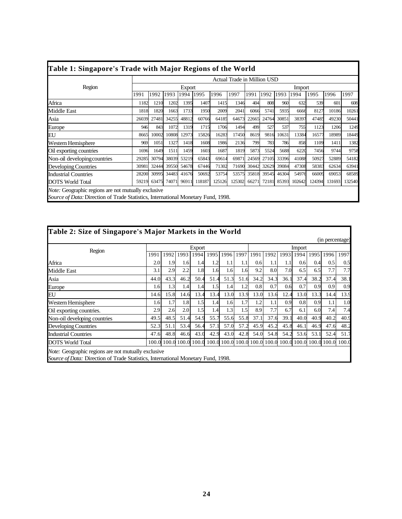|                              |       |       |       |        |              |        | Actual Trade in Million USD |       |             |       |        |        |        |        |
|------------------------------|-------|-------|-------|--------|--------------|--------|-----------------------------|-------|-------------|-------|--------|--------|--------|--------|
| Region                       |       |       |       | Export |              |        |                             |       |             |       | Import |        |        |        |
|                              | 1991  | 1992  | 1993  | 1994   | 1995         | 1996   | 1997                        | 1991  | 1992        | 1993  | 1994   | 1995   | 1996   | 1997   |
| Africa                       | 1182  | 1210  | 1202  | 1395   | 1407         | 1415   | 1346                        | 404   | 808         | 960   | 632    | 539    | 601    | 608    |
| Middle East                  | 1818  | 1820  | 1663  | 1733   | 1950         | 2009   | 2041                        | 6066  | 5741        | 5935  | 6666   | 8127   | 10186  | 10261  |
| Asia                         | 26039 | 27481 | 34255 | 48812  | 60766        | 64185  | 64673                       | 22665 | 24764       | 30851 | 38397  | 47485  | 49230  | 50441  |
| Europe                       | 946   | 843   | 1072  | 1319   | 1715         | 1706   | 1494                        | 499   | 527         | 537   | 755    | 1123   | 1206   | 1249   |
| EU                           | 8665  | 10002 | 10808 | 12973  | 15826        | 16283  | 17450                       | 8619  | 9816        | 10631 | 13384  | 16577  | 18989  | 18449  |
| Western Hemisphere           | 969   | 1051  | 1327  | 1418   | 1608         | 1986   | 2136                        | 799   | 783         | 786   | 858    | 1109   | 1411   | 1382   |
| Oil exporting countries      | 1696  | 1649  | 1511  | 1459   | 1603         | 1687   | 1819                        | 5873  | 5524        | 5688  | 6220   | 7456   | 9744   | 9758   |
| Non-oil developing countries | 29285 | 30794 | 38039 | 53219  | 65843        | 69614  | 69871                       | 24569 | 27105       | 33396 | 41088  | 50927  | 52889  | 54182  |
| Developing Countries         | 30981 | 32444 | 39550 | 54678  | 67446        | 71302  | 71690                       | 30442 | 32629       | 39084 | 47308  | 58383  | 62634  | 63941  |
| <b>Industrial Countries</b>  | 28200 | 30995 | 34483 | 41676  | 50692        | 53754  | 53575                       | 35818 | 39545       | 46304 | 54976  | 66009  | 69053  | 68589  |
| <b>DOTS</b> World Total      | 59219 | 63475 | 74071 |        | 96911 118187 | 125126 | 125302                      |       | 66271 72181 | 85393 | 102642 | 124394 | 131693 | 132540 |

|                                                                                   |       |       |       |        |       |      |             |       |       |         |        |       | (in percentage) |       |
|-----------------------------------------------------------------------------------|-------|-------|-------|--------|-------|------|-------------|-------|-------|---------|--------|-------|-----------------|-------|
| Region                                                                            |       |       |       | Export |       |      |             |       |       |         | Import |       |                 |       |
|                                                                                   | 1991  | 1992  | 1993  | 1994   | 1995  | 1996 | 1997        | 1991  | 1992  | 1993    | 1994   | 1995  | 1996            | 1997  |
| Africa                                                                            | 2.0   | 1.9   | 1.6   | 1.4    | 1.2   | 1.1  | 1.1         | 0.6   | 1.1   | $1.1\,$ | 0.6    | 0.4   | 0.5             | 0.5   |
| Middle East                                                                       | 3.1   | 2.9   | 2.2   | 1.8    | 1.6   | 1.6  | 1.6         | 9.2   | 8.0   | 7.0     | 6.5    | 6.5   | 7.7             | 7.7   |
| Asia                                                                              | 44.0  | 43.3  | 46.2  | 50.4   | 51.4  | 51.3 | 51.6        | 34.2  | 34.3  | 36.1    | 37.4   | 38.2  | 37.4            | 38.1  |
| Europe                                                                            | 1.6   | 1.3   | 1.4   | 1.4    | 1.5   | 1.4  | 1.2         | 0.8   | 0.7   | 0.6     | 0.7    | 0.9   | 0.9             | 0.9   |
| EU                                                                                | 14.6  | 15.8  | 14.6  | 13.4   | 13.4  | 13.0 | 13.9        | 13.0  | 13.6  | 12.4    | 13.0   | 13.3  | 14.4            | 13.9  |
| Western Hemisphere                                                                | 1.6   | 1.7   | 1.8   | 1.5    | 1.4   | 1.6  | 1.7         | 1.2   | 1.1   | 0.9     | 0.8    | 0.9   | 1.1             | 1.0   |
| Oil exporting countries.                                                          | 2.9   | 2.6   | 2.0   | 1.5    | 1.4   | 1.3  | 1.5         | 8.9   | 7.7   | 6.7     | 6.1    | 6.0   | 7.4             | 7.4   |
| Non-oil developing countries                                                      | 49.5  | 48.5  | 51.4  | 54.9   | 55.7  | 55.6 | 55.8        | 37.1  | 37.6  | 39.1    | 40.0   | 40.9  | 40.2            | 40.9  |
| Developing Countries                                                              | 52.3  | 51.1  | 53.4  | 56.4   | 57.1  | 57.0 | 57.2        | 45.9  | 45.2  | 45.8    | 46.1   | 46.9  | 47.6            | 48.2  |
| <b>Industrial Countries</b>                                                       | 47.6  | 48.8  | 46.6  | 43.0   | 42.9  | 43.0 | 42.8        | 54.0  | 54.8  | 54.2    | 53.6   | 53.1  | 52.4            | 51.7  |
| <b>DOTS</b> World Total                                                           | 100.0 | 100.0 | 100.0 | 100.0  | 100.0 |      | 100.0 100.0 | 100.0 | 100.0 | 100.0   | 100.0  | 100.0 | 100.0           | 100.0 |
| <i>Note:</i> Geographic regions are not mutually exclusive                        |       |       |       |        |       |      |             |       |       |         |        |       |                 |       |
| Source of Data: Direction of Trade Statistics, International Monetary Fund, 1998. |       |       |       |        |       |      |             |       |       |         |        |       |                 |       |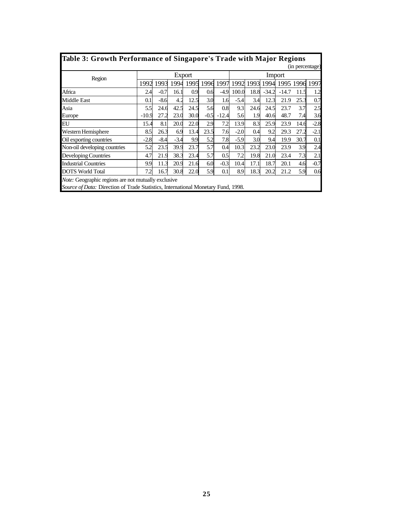| <b>Table 3: Growth Performance of Singapore's Trade with Major Regions</b>                     |         |        |        |        |        |         |        |      |         |         |                 |        |  |  |
|------------------------------------------------------------------------------------------------|---------|--------|--------|--------|--------|---------|--------|------|---------|---------|-----------------|--------|--|--|
|                                                                                                |         |        |        |        |        |         |        |      |         |         | (in percentage) |        |  |  |
| Region                                                                                         |         |        |        | Export |        |         |        |      |         | Import  |                 |        |  |  |
|                                                                                                | 1992    | 1993   | 1994   | 1995   | 1996   | 1997    | 1992   | 1993 | 1994    |         | 1995 1996       | 1997   |  |  |
| Africa                                                                                         | 2.4     | $-0.7$ | 16.1   | 0.9    | 0.6    | $-4.9$  | 100.0  | 18.8 | $-34.2$ | $-14.7$ | 11.5            | 1.2    |  |  |
| <b>Middle East</b>                                                                             | 0.1     | $-8.6$ | 4.2    | 12.5   | 3.0    | 1.6     | $-5.4$ | 3.4  | 12.3    | 21.9    | 25.3            | 0.7    |  |  |
| Asia<br>42.5<br>5.6<br>2.5<br>24.6<br>0.8<br>9.3<br>3.7<br>5.5<br>24.5<br>24.6<br>24.5<br>23.7 |         |        |        |        |        |         |        |      |         |         |                 |        |  |  |
| Europe                                                                                         | $-10.9$ | 27.2   | 23.0   | 30.0   | $-0.5$ | $-12.4$ | 5.6    | 1.9  | 40.6    | 48.7    | 7.4             | 3.6    |  |  |
| <b>EU</b>                                                                                      | 15.4    | 8.1    | 20.0   | 22.0   | 2.9    | 7.2     | 13.9   | 8.3  | 25.9    | 23.9    | 14.6            | $-2.8$ |  |  |
| Western Hemisphere                                                                             | 8.5     | 26.3   | 6.9    | 13.4   | 23.5   | 7.6     | $-2.0$ | 0.4  | 9.2     | 29.3    | 27.2            | $-2.1$ |  |  |
| Oil exporting countries                                                                        | $-2.8$  | $-8.4$ | $-3.4$ | 9.9    | 5.2    | 7.8     | $-5.9$ | 3.0  | 9.4     | 19.9    | 30.7            | 0.1    |  |  |
| Non-oil developing countries                                                                   | 5.2     | 23.5   | 39.9   | 23.7   | 5.7    | 0.4     | 10.3   | 23.2 | 23.0    | 23.9    | 3.9             | 2.4    |  |  |
| Developing Countries                                                                           | 4.7     | 21.9   | 38.3   | 23.4   | 5.7    | 0.5     | 7.2    | 19.8 | 21.0    | 23.4    | 7.3             | 2.1    |  |  |
| <b>Industrial Countries</b>                                                                    | 9.9     | 11.3   | 20.9   | 21.6   | 6.0    | $-0.3$  | 10.4   | 17.1 | 18.7    | 20.1    | 4.6             | $-0.7$ |  |  |
| <b>DOTS</b> World Total                                                                        | 7.2     | 16.7   | 30.8   | 22.0   | 5.9    | 0.1     | 8.9    | 18.3 | 20.2    | 21.2    | 5.9             | 0.6    |  |  |
| <i>Note:</i> Geographic regions are not mutually exclusive                                     |         |        |        |        |        |         |        |      |         |         |                 |        |  |  |
| <i>Source of Data:</i> Direction of Trade Statistics, International Monetary Fund, 1998.       |         |        |        |        |        |         |        |      |         |         |                 |        |  |  |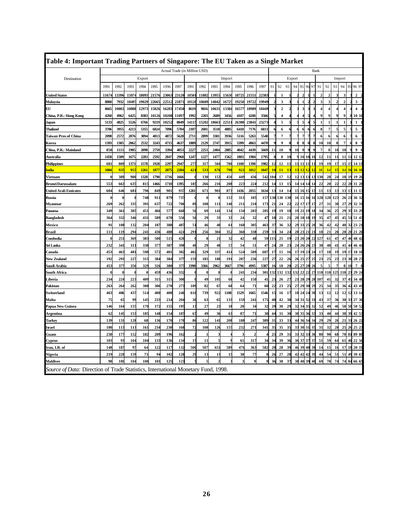| Table 4: Important Trading Partners of Singapore: The EU Taken as a Single Market |             |                 |                 |                 |        |       |                               |      |       |                 |                 |                 |                         |       |                           |              |        |                |                |                             |                |              |                         |                |                |                         |
|-----------------------------------------------------------------------------------|-------------|-----------------|-----------------|-----------------|--------|-------|-------------------------------|------|-------|-----------------|-----------------|-----------------|-------------------------|-------|---------------------------|--------------|--------|----------------|----------------|-----------------------------|----------------|--------------|-------------------------|----------------|----------------|-------------------------|
|                                                                                   |             |                 |                 |                 |        |       | Actual Trade (in Million USD) |      |       |                 |                 |                 |                         |       |                           |              |        |                |                |                             | Rank           |              |                         |                |                |                         |
| Destination                                                                       |             |                 |                 | Export          |        |       |                               |      |       |                 | Import          |                 |                         |       |                           |              | Export |                |                |                             |                |              |                         | Import         |                |                         |
|                                                                                   | 1991        | 1992            | 1993            | 1994            | 1995   | 1996  | 1997                          | 1991 | 1992  | 1993            | 1994            | 1995            | 1996                    | 1997  | 91                        | 92           | 93     | 94             | 95             | 97<br>96                    | 91             | 92           | 93                      | 94             | 95             | 96 97                   |
| <b>Jnited States</b>                                                              | 1167        | 1339            | 1507            | 18093           | 2157   | 23063 | 23120                         | 1050 | 11882 | 1395:           | 15630           | 1872            | 2155                    | 22383 |                           |              |        |                |                |                             |                |              |                         |                |                | $\overline{2}$          |
| Malaysia                                                                          | 8800        | 7932            | 10497           | 19029           | 2266   | 22512 | 21871                         | 1012 | 10609 | 14042           | 16725           | 19250           | 1972                    | 19949 |                           | 3            | 3      |                |                |                             | 3              |              |                         | $\overline{2}$ |                | 3                       |
| ЕU                                                                                | 8665        | 10002           | 10808           | 12973           | 15826  | 16283 | 17450                         | 8619 | 9816  | 10631           | 13384           | 16577           | 18989                   | 18449 |                           | $\mathbf{2}$ | 2      |                | з              | 3<br>3                      | 4              |              |                         |                |                | $\overline{\mathbf{4}}$ |
| China, P.R.: Hong Kong                                                            | 4260        | 4962            | 6425            | 8383            | 10126  | 10208 | 11097                         | 1992 | 2203  | 2689            | 3456            | 4107            | 4200                    | 3566  |                           | 4            |        |                |                | 5<br>Δ                      | 9              |              |                         | 9              |                | 10 10                   |
| Japan                                                                             | 5133        | 4825            | 5526            | 6766            | 9219   | 10252 | 8849                          | 1411 | 15202 | 18663           | 22511           | 26308           | 23841                   | 23273 |                           | 5            | 5      |                | 5              | f,                          |                | 1            |                         |                |                | $\mathbf{1}$            |
| Thailand                                                                          | 3706        | 395.            | 4213            | 5355            | 6824   | 7096  | 5784                          | 2107 | 2681  | 3518            | 4885            | 6418            | 7176                    | 6813  |                           | 6            |        |                | 6              |                             | 8              |              |                         | 5              |                | 5                       |
| Taiwan Prov.of China                                                              | 2098        | 2572            | 2876            | 3894            | 4813   | 4872  | 5628                          | 2711 | 2899  | 3381            | 3936            | 5116            | 5263                    | 5548  |                           | 7            | 7      |                |                |                             | 6              |              |                         | 6              |                | 6                       |
| Korea                                                                             | 1393        | 130:            | 2062            | 2532            | 3243   | 4715  | 4637                          | 1889 | 2129  | 2747            | 3915            | 5399            | 4863                    | 4470  |                           | 9            |        |                | 8              | 8<br>ş                      | 10             | 10           |                         | 7              |                | 8                       |
| China, P.R.: Mainland                                                             | 858         | 1113            | 1905            | 2098            | 2759   | 3394  | 4053                          | 2227 | 2253  | 2404            | 2885            | 4042            | 4439                    | 5669  | $\mathbf{1}$              | 10           | 9      | $\mathbf{10}$  |                |                             | $\overline{7}$ |              | 10                      | 10             |                | 9                       |
| Australia                                                                         | 1458        | 1509            | 1675            | 2283            | 2592   | 2847  | 2960                          | 1247 | 1227  | 1477            | 1562            | 1803            | 1984                    | 1795  |                           | 8            | 10     |                | 10             | 10<br>$\mathbf{1}$          | 12             | 11           | 11                      | 11             | 11             | 12 12                   |
| Philippines                                                                       | 681         | 809             | 1373            | 1578            | 1928   | 2297  | 2947                          | 27   | 317   | 50              | 780             | 1100            | 1390                    | 1982  | 12                        | 12           | 11     |                | 11             | 11                          | 19             | 19           | 17                      | 15             | 15             | 14 11                   |
| <u>ndia</u>                                                                       | 1004        | 93              | 95'             | 1261            | 187    | 207   | 2284                          | 42   | 533   | 67              | 79              | 92              | 1012                    | 1047  |                           | 11           |        |                | 12             |                             |                | $\mathbf{1}$ |                         |                |                | 161                     |
| Vietnam                                                                           | $\mathbf 0$ | 389             | 980             | 1328            | 1790   | 1716  | 1666                          |      | 130   | 153             | 450             | 449             | 43                      | 542   | 104                       | 17           | 12     | 12             | 13             | 13<br>13                    | 130            | 28           | $\overline{\mathbf{2}}$ | 18             | 19             | 192                     |
| Brunei Darussalam                                                                 | 553         | 66.             | 63.             | 815             | 1466   | 1710  | 1395                          | 18   | 266   | 21 <sub>0</sub> | 208             | 22.             | 22 <sub>4</sub>         | 212   | 14                        | 13           | 15     |                |                |                             | 22             | 20           | $\overline{2}$          | 22             | 28             | 31 28                   |
| <b>United Arab Emirates</b>                                                       | 604         | 646             | 68              | 796             | 84     | 901   | 937                           | 1281 | 671   | 90              | 873             | 1436            | 2055                    | 1634  | 13                        | 14           | 14     | 15             | 16             | 15                          | 11             | 13           | 13                      | 13             |                | 111:                    |
| Russia                                                                            |             |                 |                 | 748             | 91     | 879   | 737                           |      |       |                 | 153             | 31              | 10:                     | 157   | 130                       | 130          | 130    | 16             | 15             | 16<br>16                    | 128            | 128          | 123                     | 26             | 21             | 36 3                    |
| Myanmar                                                                           | 269         | 262             | 33.             | 39              | 63     | 722   | 706                           | 89   | 108   | 11              | 140             | 21              | 21(                     | 173   | 2 <sub>i</sub>            | 24           | 22     | 22             | 17             | 17<br>17                    | 27             | 31           | 30                      | 27             | 29             | 32 31                   |
| Panama                                                                            | 349         | 36.             | 385             | 45              | 46     | 577   | 668                           | 56   | 69    | 141             | 13 <sup>2</sup> | 13 <sup>′</sup> | 203                     | 205   | 19                        | 19           | 18     | 19             | 21             | 19<br>18                    | 34             | 36           | 25                      | 29             | 35             | 33 29                   |
| <b>Bangladesh</b>                                                                 | 364         | 332             | 346             | 43              | 58     | 670   | 556                           | 56   | 29    | 3 <sup>3</sup>  | 33              | 24              | 32                      | 47    | 18                        | 21           | 21     | 20             | 18             | 18<br>$\mathbf{1}^{\prime}$ | 35             | 47           | 45                      | 45             | 51             | 51 43                   |
| <b>Mexico</b>                                                                     | 91          | 108             | 132             | 20 <sub>4</sub> | 18     | 388   | 487                           | 5.   | 46    | 40              | 61              | 16              | 30.                     | 463   | 37                        | 36           | 32     | 29             | 33             | 25<br>2(                    | 36             | 42           | 41                      | 40             | 32             | 23 21                   |
| Brazil                                                                            | 111         | 11              | 29 <sub>4</sub> | 24              | 43     | 488   | 42 <sub>6</sub>               | 29   | 256   | 30 <sub>°</sub> | 35.             | 36              | 338                     | 259   | 33                        | 34           | 24     | 28             | 2 <sup>1</sup> | 21<br>$\mathbf{Z}$          | 18             | 21           | 20                      | 20             | 20             | 212                     |
| Combodia                                                                          | O           | 25              | 369             | 383             | 50     | 51.   | 420                           |      |       | $\overline{2}$  | 32              | 42              | 48                      | 59    | 11                        | 25           | 19     | $\overline{2}$ | 20             | 20                          | 127            | 61           | 4'                      | 47             | 41             | 48 42                   |
| šri Lanka                                                                         | 232         | 34              | 31              | 338             | 37'    | 387   | 398                           | 46   | 29    | 40              | 57              | 54              | 51                      | 47    | $\boldsymbol{\mathsf{2}}$ | 20           | 23     | $\mathbf{z}$   | 26             | 26                          | 38             | 48           | 4                       | 41             | 4              | 464                     |
| Canada                                                                            | 453         | 46              | 481             | 598             | 57.    | 401   | 382                           | 402  | 329   | 337             | 414             | 52/             | 589                     | 687   | 17                        | 15           | 16     | 17             | 19             | 23                          | 17             | 18           | 19                      | 19             | -17            | 18 18                   |
| New Zealand                                                                       | 192         | 293             | 227             | 315             | 38     | 384   | 377                           | 159  | 185   | 180             | 19 <sup>°</sup> | 20 <sub>2</sub> | 23 <sub>0</sub>         | 227   | 27                        | 22           | 26     | 26             | 25             | 27<br>2:                    | 23             | 25           | $\overline{2}$          | 23             | 30             | 28 27                   |
| Saudi Arabia                                                                      | 453         | 37              | 356             | 329             | 32     | 380   | 375                           | 3398 | 3366  | 2962            | 3667            | 3796            | 4995                    | 5387  |                           | 18           | 20     | 2 <sup>i</sup> | 27             | 28                          |                |              |                         |                |                | $\overline{7}$          |
| South Africa                                                                      |             |                 |                 |                 | 45     | 436   | 332                           |      |       |                 |                 | 24              | 23 <sub>6</sub>         | 301   | 132                       | 132          | 132    | 132            | 22             | 22<br>$2^{\circ}$           | 118            | 118          | 125                     | 118            | $\overline{2}$ | 292                     |
| Liberia                                                                           | 234         | $22^{1}$        | 223             | 409             | 31.    | 315   | 300                           |      | 49    | 105             | 68              | 42              | 15                      | 41    | $\overline{2}$            | 26           | 27     | 21             | 28             | 29<br>22                    | 107            | 41           | 32                      | 37             | 45             | 34 48                   |
| Pakistan                                                                          | 263         | 26 <sup>2</sup> | 262             | 308             | 30     | 270   | 273                           | 109  | 82    | 67              | 68              | 64              | 7 <sub>i</sub>          | 60    | 22                        | 23           | 25     | 27             | 29             | 30<br>29                    | 25             | 34           | 35                      | 36             | 42             | 434                     |
| Switzerland                                                                       | 463         | 406             | 437             | 514             | 40     | 400   | 246                           | 610  | 739   | 922             | 1108            | 1529            | 1665                    | 1546  | 15                        | 16           | 17     | 18             | 24             | 30<br>24                    | 13             | 12           | 12                      | 12             | 12             | 13 14                   |
| Malta                                                                             | 75          | 6.              | 99              | 145             | 23.    | 214   | 20 <sub>4</sub>               | 31   | 63    | 6.              | 13              | 159             | 24                      | 175   | 40                        | 42           | 38     | 34             | 31             | 32<br>3                     | 43             | 37           | 36                      | 30             | 33             | 27 30                   |
| Papua New Guinea                                                                  | 146         | 16 <sup>2</sup> | 155             | 170             | 172    | 155   | 195                           | 13   | 27    | 2 <sup>2</sup>  | 18              | 28              | $\overline{\mathbf{3}}$ | 32    | 29                        | 30           | 29     | 32             | 34             | 35                          | 52             | 49           | 46                      | 50             | 50             | 50 52                   |
| <b>Argentina</b>                                                                  | 62          | 14.             | 153             | 185             | 148    | 154   | 187                           | 67   | 49    | 36              | 63              | 87              | 7 <sub>i</sub>          | 30    | 4                         | 31           | 30     | 30             | 35             | 36<br>3                     | 33             | 40           | 4                       | 38             | 39             | 42 5.                   |
| Turkey                                                                            | 139         | 13              | 128             | 68              | 13     | 170   | 170                           | 86   | 122   | 14              | 208             | 18              | 24'                     | 389   | 31                        | 33           | 33     | 44             | 36             | 34<br>$\mathbf{v}$          | 29             | 29           | 26                      | 21             | 31             | 2622                    |
| Israel                                                                            | 100         | 11.             | 113             | 161             | $23 -$ | 230   | 168                           | 72   | 108   | 126             | 155             | 232             | 27                      | 341   | 3 <sup>1</sup>            | 35           | 35     | 3.             | 30             | 31<br>3.                    | 31             | 32           | 28                      | 25             | 26             | 252                     |
| Guam                                                                              | 230         | 17'             | 152             | 182             | 20     | 196   | 162                           |      |       |                 |                 |                 |                         |       | 2 <sup>i</sup>            | 29           | 31     | 3 <sup>1</sup> | 32             | 33<br>30                    | 80             | 90           | 68                      | 70             | 8              | 89 80                   |
| Cyprus                                                                            | 103         | 93              | 10<             | 104             | 13     | 136   | 134                           | 15   | 11    |                 |                 | 65              | 31'                     | 34    | 34                        | 39           | 36     | 36             | 37             | 37<br>$3^{\circ}$           | 51             | 59           |                         | 61             | 40             | 22 50                   |
| Iran, I.R. of                                                                     | 148         | 18              | 97              | 64              | 122    | 117   | 132                           | 506  | 507   | 65              | 589             | 476             | 363                     | 582   | 28                        | 28           | 39     | 46             | 39             | 40<br>38                    | 14             | 15           | 16                      | 17             | -18            | 20 19                   |
| Nigeria                                                                           | 219         | 220             | 159             | 73              | 9      | 102   | 128                           | 29   | 13    | 1               | 15              | 38              | 77                      |       | 2 <sub>0</sub>            | 27           | 28     | 42             | 42             | 42<br>39                    | 44             | 54           | 51                      | 51             | 49             | 39 67                   |
| Maldives                                                                          | 98          | 103             | 10<             | 100             | 10     | 125   | 123                           |      |       |                 |                 |                 |                         |       | 3 <sub>0</sub>            | 38           | 37     | 38             | 40             | 39<br>40                    | 69             | 70           | 7 <sup>′</sup>          | 74             | 84             | 66 65                   |
| Source of Data: Direction of Trade Statistics, International Monetary Fund, 1998. |             |                 |                 |                 |        |       |                               |      |       |                 |                 |                 |                         |       |                           |              |        |                |                |                             |                |              |                         |                |                |                         |

Г

ī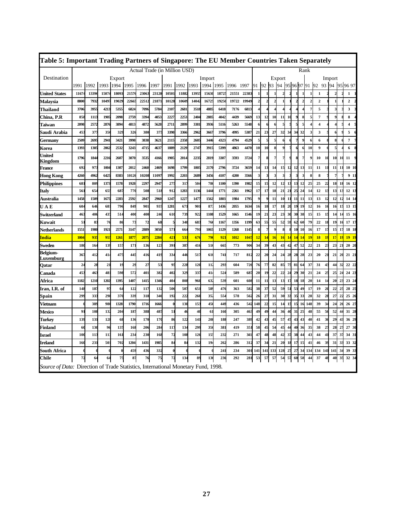| Table 5: Important Trading Partners of Singapore: The EU Member Countries Taken Separately |                  |       |       |                |       |                               |       |            |                 |                 |                 |       |           |       |                |     |                |              |    |                |                         |              |                   |               |        |                                  |
|--------------------------------------------------------------------------------------------|------------------|-------|-------|----------------|-------|-------------------------------|-------|------------|-----------------|-----------------|-----------------|-------|-----------|-------|----------------|-----|----------------|--------------|----|----------------|-------------------------|--------------|-------------------|---------------|--------|----------------------------------|
|                                                                                            |                  |       |       |                |       | Actual Trade (in Million USD) |       |            |                 |                 |                 |       |           |       |                |     |                |              |    |                | Rank                    |              |                   |               |        |                                  |
| Destination                                                                                |                  |       |       | Export         |       |                               |       |            |                 |                 | Import          |       |           |       |                |     |                | Export       |    |                |                         |              |                   |               | Import |                                  |
|                                                                                            | 1991             | 1992  |       | 1993 1994 1995 |       | 1996 1997                     |       | 1991       | 1992            | 1993            | 1994            | 1995  | 1996 1997 |       | 91             | 92  | 93             | 94           |    |                |                         |              | 95 96 97 91 92 93 |               | 94     | 95 96 97                         |
| <b>United States</b>                                                                       | 11674            | 13396 | 15074 | 18093          | 21576 | 23063                         | 23120 | 10501      | 11882           | 1395:           | 15630           | 18725 | 21551     | 22383 |                |     |                | $\mathbf{2}$ |    |                |                         |              | $\mathbf{1}$      |               |        | 1                                |
| Malaysia                                                                                   | 8800             | 7932  | 10497 | 19029          | 22665 | 22512                         | 21871 | 10128      | 1060            | 14042           | 1672            | 19250 | 19722     | 19949 | $\overline{2}$ | 2   | $\overline{2}$ | 1            |    | $\overline{2}$ | $\overline{\mathbf{z}}$ | $\mathbf{2}$ | $\mathbf{2}$      |               |        | $\overline{2}$                   |
| Thailand                                                                                   | 3706             | 3955  | 4213  | 5355           | 6824  | 7096                          | 5784  | 2107       | 2681            | 3518            | 488             | 6418  | 7176      | 6813  | $\overline{4}$ |     |                | Δ            |    | 4              |                         | 7            | 5                 |               |        | 3                                |
| China, P.R                                                                                 | 858              | 1113  | 1905  | 2098           | 2759  | 3394                          | 4053  | 222        | 2253            | 240             | 288             | 4042  | 4439      | 5669  | 13             | 12  | 10             | 11           | 10 | 9              |                         | 5            | $\overline{7}$    |               |        | 8                                |
| Taiwan                                                                                     | 2098             | 2572  | 2876  | 3894           | 4813  | 4872                          | 5628  | 2711       | 2899            | 3381            | 3936            | 5116  | 5263      | 5548  | 6              |     |                |              |    |                |                         |              | $\overline{4}$    |               |        | $\overline{4}$                   |
| Saudi Arabia                                                                               | 453              | 377   | 350   | 329            | 326   | 380                           | 375   | 3398       | 3366            | 296             | 3667            | 3796  | 4995      | 5387  | 21             | 23  | 27             | 32           | 34 | 34             | 32                      | 3            | 3                 |               |        | 5                                |
| Germany                                                                                    | 2509             | 2695  | 2941  | 3421           | 3998  | 3838                          | 3621  | 2115       | 2358            | 260:            | 3446            | 4323  | 4794      | 4529  | 5              | 5   | 5              | 6            |    | 7              |                         | 6            | 6                 |               |        | 7                                |
| Korea                                                                                      | 1393             | 1305  | 2062  | 2532           | 3243  | 4715                          | 4637  | 1889       | 2129            | 274.            | 391.            | 5399  | 4863      | 4470  | 10             | 10  | 8              | $\bf{Q}$     |    | 6              |                         | 10           | 9                 |               |        | 6                                |
| United<br>Kingdom                                                                          | 1796             | 1844  | 2216  | 2607           | 3070  | 3535                          | 4166  | 1905       | 2014            | 2235            | 2819            | 3307  | 3593      | 3724  | 7              |     |                |              |    | 8              | 7                       |              | 10                | 10            | 10     | 11<br>10                         |
| France                                                                                     | 692              | 973   | 1004  | 1307           | 2012  | 2460                          | 2469  | 1698       | 1799            | 1805            | 2170            | 2796  | 3724      | 3659  | 14             | 13  | 14             | 15           | 12 | 12             | 13                      | 11           | 11                | 11            | 11     | 101<br>11                        |
| Hong Kong                                                                                  | 4260             | 4962  | 6425  | 8383           | 10126 | 10208                         | 11097 | 1992       | 2203            | 2689            | 3456            | 4107  | 4200      | 3566  | 3              | 3   | 3              |              |    |                |                         | 8            | 8                 |               |        | 911                              |
| <b>Philippines</b>                                                                         | 681              | 809   | 1373  | 1578           | 1928  | 2297                          | 2947  | 275        | 31'             | 50              | 78              | 1100  | 1390      | 1982  | 15             | 15  | 12             | 12           | 13 | 13             | 12                      | 25           | 25                | 22            | 18     | 16 12<br>18                      |
| Italy                                                                                      | 561              | 654   | 65.   | 687            | 770   | 508                           | 518   | 912        | 1283            | 1136            | 144             | 1771  | 2261      | 1962  | 17             | 17  | 18             | 21           | 21 | 25             | 24                      | 14           | 12                | 13            | 13     | $12 \quad 1$<br>13               |
| Australia                                                                                  | 1458             | 1509  | 1675  | 2283           | 2592  | 2847                          | 2960  | 1247       | 1227            | 147             | 1562            | 1803  | 1984      | 1795  | q              | q   | 11             | 10           | 11 | 11             | 11                      | 13           | 13                | 12            | 12     | 14 14<br>12                      |
| UАE                                                                                        | 604              | 646   | 68    | 796            | 849   | 901                           | 937   | 1281       | 67              | 90              | 87              | 1436  | 2055      | 1634  | 16             | 18  | 17             | 18           | 20 | 19             | 19                      | 12           | 16                | 16            | 16     | 15<br>13 15                      |
| Switzerland                                                                                | 463              | 406   | 437   | 514            | 400   | 400                           | 246   | 61         | 739             | 922             | 1108            | 1529  | 1665      | 1546  | 19             | 21  | 23             | 23           | 30 | 30             | 38                      | 15           | 15                | 15            | 14     | 15 16<br>14                      |
| Kuwait                                                                                     | 51               | 83    | 76    | 86             | 73    | 72                            | 68    |            | 340             | 68.             | 76              | 1167  | 1356      | 1199  | 63             | 55  | 55             | 52           | 59 | 62             | 60                      | 79           | 22                | 18            | 19     | 17 17<br>16                      |
| Netherlands                                                                                | 1551             | 1980  | 1921  | 2571           | 3147  | 2889                          | 3050  | 57         | 66              | 791             | 1065            | 1129  | 1268      | 1145  | 8              |     | 9              | 8            |    | 10             | 10                      | 16           | 17                | 17            | 15     | 18 18<br>17                      |
| India                                                                                      | 100 <sup>2</sup> | 935   | 955   | 1261           | 1877  | 2075                          | 2284  | 42         | 53              | 67              | 79              | 92    | 1012      | 104   | 12             | 14  | 16             | 16           | 14 | 14             | 14                      | 19           | <b>18</b>         | $\frac{1}{2}$ | 17     | 19 <sup>19</sup><br>$\mathbf{1}$ |
| Sweden                                                                                     | 180              | 164   | 139   | 157            | 171   | 136                           | 123   | 39         | 38              | 41              | 51              | 665   | 773       | 90    | 34             | 39  | 43             | 43           | 42 | 47             | 52                      | 22           | 21                | 23            | 23     | 2 <sub>i</sub><br>202            |
| Belgium-<br>Luxemburg                                                                      | 367              | 412   | 41    | 475            | 445   | 416                           | 419   | 334        | 44              | 51.             | 61              | 741   | 717       | 812   | 22             | 20  | 24             | 24           | 28 | 28             | 28                      | 23           | 20                | 21            | 21     | 20<br>21 21                      |
| Oatar                                                                                      | 24               | 28    | 21    | 19             | 29    | 27                            | 53    | 95         | 228             | 120             | 11              | 293   | 604       | 726   | 76             | 77  | 82             | 85           | 75 | 81             | 64                      | 37           | 31                | 43            | 44     | 22 22<br>32                      |
| Canada                                                                                     | 45               | 463   | 48    | 598            | 572   | 401                           | 382   | 40         | 329             | 33              | 41              | 52/   | 589       | 68    | 20             | 19  | 22             | 22           | 24 | 29             | 30                      | 21           | 24                | 25            | 25     | 24 23<br>$\mathbf{z}$            |
| Africa                                                                                     | 1182             | 1210  | 1202  | 1395           | 1407  | 1415                          | 1346  | 40         | 808             | 960             | 63              | 539   | 601       | 608   | 11             | 11  | 13             | 13           | 17 | 18             | 18                      | 20           | 14                | -14           | 20     | 23 24<br>23                      |
| Iran, I.R. of                                                                              | 148              | 187   | 97    | 64             | 122   | 117                           | 132   | 506        | 50              | 65              | 58              | 476   | 363       | 582   | 38             | 37  | 52             | 59           | 51 | 53             | 49                      | 17           | 19                | 2(            | 22     | 25<br>25<br>28                   |
| Spain                                                                                      | 299              | 333   | 298   | 370            | 339   | 318                           | 346   | 192        | 222             | 26              | 35.             | 55    | 578       | 562   | 26             | 27  | 31             | 30           | 33 | 35             | 33                      | 28           | 32                | 28            | 27     | 22<br>2526                       |
| Vietnam                                                                                    |                  | 389   | 980   | 1328           | 1790  | 1716                          | 1666  | $\sqrt{ }$ | 130             | 153             | 45              | 449   | 436       | 542   | 148            | 22  | 15             | 14           | 15 | 15             | 16                      | 148          | 39                | 3<            | 24     | 26 27<br>26                      |
| Mexico                                                                                     | 91               | 108   | 132   | 204            | 187   | 388                           | 487   | 51         | 40              | 40              | 61              | 160   | 305       | 463   | 49             | 49  | 44             | 36           | 40 | 31             | 25                      | 48           | 55                | 56            | 52     | 31 28<br>44                      |
| Turkey                                                                                     | 139              | 131   | 128   | 68             | 136   | 170                           | 170   | 86         | 122             | 14              | 20              | 188   | 247       | 389   | 42             | 43  | 45             | 57           | 47 | 43             | 43                      | 40           | 41                | 36            | 29     | 36 29<br>43                      |
| Finland                                                                                    | 60               | 130   | 96    | 137            | 168   | 206                           | 284   | 11'        | 13 <sub>4</sub> | 299             | 35              | 38    | 419       | 35    | 58             | 45  | 54             | 45           | 44 | 40             | 36                      | 35           | 38                | $2^{\circ}$   | 28     | 27 30<br>$2^{\circ}$             |
| Israel                                                                                     | 100              | 113   | 113   | 161            | 234   | 230                           | 168   | 72         | 108             | 12 <sub>0</sub> | 15              | 232   | 271       | 341   | 47             | 48  | 48             | 42           | 37 | 38             | 44                      | 43           | 44                | 41            | 37     | 34 31<br>37                      |
| Ireland                                                                                    | 160              | 231   | 501   | 702            | 1204  | 1431                          | 1985  | 84         | 8<              | 132             | 19 <sub>6</sub> | 262   | 286       | 312   | 37             | 34  | 21             | 20           | 18 | 17             | 15                      | 41           | 46                | 39            | 31     | 33 32<br>33                      |
| South Africa                                                                               |                  |       |       | 0              | 459   | 436                           | 332   |            |                 |                 |                 | 241   | 234       | 301   | 141            | 141 | 133            | 128          | 27 | 27             | 34                      | 134          | 134 141           |               | 141    | 39 33<br>34                      |
| <b>Chile</b>                                                                               | 72               | 64    | 64    | 75             | 87    | 76                            | 75    | 72         | 134             | 89              | 13 <sub>0</sub> | 236   | 292       | 281   | 53             | 57  | 57             | 54           | 57 | 60             | 58                      | 44           | 37                | 48            | 40     | $32 \frac{3}{4}$<br>35           |
| Source of Data: Direction of Trade Statistics, International Monetary Fund, 1998.          |                  |       |       |                |       |                               |       |            |                 |                 |                 |       |           |       |                |     |                |              |    |                |                         |              |                   |               |        |                                  |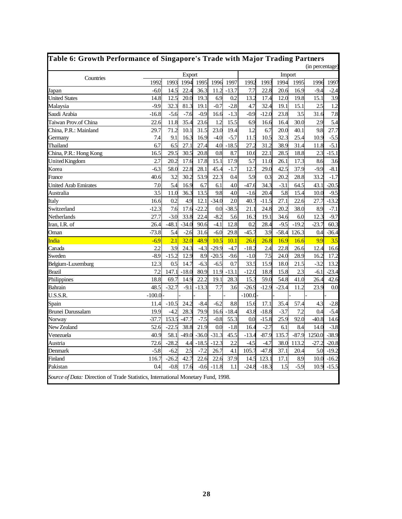| Table 6: Growth Performance of Singapore's Trade with Major Trading Partners |          |         |         |         |         |         |          |         |         |         | (in percentage) |         |
|------------------------------------------------------------------------------|----------|---------|---------|---------|---------|---------|----------|---------|---------|---------|-----------------|---------|
|                                                                              |          |         | Export  |         |         |         |          |         | Import  |         |                 |         |
| Countries                                                                    | 1992     | 1993    | 1994    | 1995    | 1996    | 1997    | 1992     | 1993    | 1994    | 1995    | 1996            | 1997    |
| Japan                                                                        | $-6.0$   | 14.5    | 22.4    | 36.3    | 11.2    | $-13.7$ | 7.7      | 22.8    | 20.6    | 16.9    | $-9.4$          | $-2.4$  |
| <b>United States</b>                                                         | 14.8     | 12.5    | 20.0    | 19.3    | 6.9     | 0.2     | 13.2     | 17.4    | 12.0    | 19.8    | 15.1            | 3.9     |
| Malaysia                                                                     | $-9.9$   | 32.3    | 81.3    | 19.1    | $-0.7$  | $-2.8$  | 4.7      | 32.4    | 19.1    | 15.1    | 2.5             | 1.2     |
| Saudi Arabia                                                                 | $-16.8$  | $-5.6$  | $-7.6$  | $-0.9$  | 16.6    | $-1.3$  | $-0.9$   | $-12.0$ | 23.8    | 3.5     | 31.6            | 7.8     |
| Taiwan Prov.of China                                                         | 22.6     | 11.8    | 35.4    | 23.6    | 1.2     | 15.5    | 6.9      | 16.6    | 16.4    | 30.0    | 2.9             | 5.4     |
| China, P.R.: Mainland                                                        | 29.7     | 71.2    | 10.1    | 31.5    | 23.0    | 19.4    | 1.2      | 6.7     | 20.0    | 40.1    | 9.8             | 27.7    |
| Germany                                                                      | 7.4      | 9.1     | 16.3    | 16.9    | $-4.0$  | $-5.7$  | 11.5     | 10.5    | 32.3    | 25.4    | 10.9            | $-5.5$  |
| Thailand                                                                     | 6.7      | 6.5     | 27.1    | 27.4    | 4.0     | $-18.5$ | 27.2     | 31.2    | 38.9    | 31.4    | 11.8            | $-5.1$  |
| China, P.R.: Hong Kong                                                       | 16.5     | 29.5    | 30.5    | 20.8    | 0.8     | 8.7     | 10.6     | 22.1    | 28.5    | 18.8    | 2.3             | $-15.1$ |
| <b>United Kingdom</b>                                                        | 2.7      | 20.2    | 17.6    | 17.8    | 15.1    | 17.9    | 5.7      | 11.0    | 26.1    | 17.3    | 8.6             | 3.6     |
| Korea                                                                        | $-6.3$   | 58.0    | 22.8    | 28.1    | 45.4    | $-1.7$  | 12.7     | 29.0    | 42.5    | 37.9    | $-9.9$          | $-8.1$  |
| France                                                                       | 40.6     | 3.2     | 30.2    | 53.9    | 22.3    | 0.4     | 5.9      | 0.3     | 20.2    | 28.8    | 33.2            | $-1.7$  |
| <b>United Arab Emirates</b>                                                  | 7.0      | 5.4     | 16.9    | 6.7     | 6.1     | 4.0     | $-47.6$  | 34.3    | $-3.1$  | 64.5    | 43.1            | $-20.5$ |
| Australia                                                                    | 3.5      | 11.0    | 36.3    | 13.5    | 9.8     | 4.0     | $-1.6$   | 20.4    | 5.8     | 15.4    | 10.0            | $-9.5$  |
| Italy                                                                        | 16.6     | 0.2     | 4.9     | 12.1    | $-34.0$ | 2.0     | 40.7     | $-11.5$ | 27.1    | 22.6    | 27.7            | $-13.2$ |
| Switzerland                                                                  | $-12.3$  | 7.6     | 17.6    | $-22.2$ | 0.0     | $-38.5$ | 21.1     | 24.8    | 20.2    | 38.0    | 8.9             | $-7.1$  |
| Netherlands                                                                  | 27.7     | $-3.0$  | 33.8    | 22.4    | $-8.2$  | 5.6     | 16.3     | 19.1    | 34.6    | 6.0     | 12.3            | $-9.7$  |
| Iran, I.R. of                                                                | 26.4     | $-48.1$ | $-34.0$ | 90.6    | $-4.1$  | 12.8    | 0.2      | 28.4    | $-9.5$  | $-19.2$ | $-23.7$         | 60.3    |
| Oman                                                                         | $-73.8$  | 5.4     | $-2.6$  | 31.6    | $-6.0$  | 29.8    | $-45.7$  | 3.9     | $-58.4$ | 126.3   | 0.4             | $-36.4$ |
| <b>India</b>                                                                 | $-6.9$   | 2.1     | 32.0    | 48.9    | 10.5    | 10.1    | 26.6     | 26.8    | 16.9    | 16.6    | 9.9             | 3.5     |
| Canada                                                                       | 2.2      | 3.9     | 24.3    | $-4.3$  | $-29.9$ | $-4.7$  | $-18.2$  | 2.4     | 22.8    | 26.6    | 12.4            | 16.6    |
| Sweden                                                                       | $-8.9$   | $-15.2$ | 12.9    | 8.9     | $-20.5$ | $-9.6$  | $-1.0$   | 7.5     | 24.0    | 28.9    | 16.2            | 17.2    |
| Belgium-Luxemburg                                                            | 12.3     | 0.5     | 14.7    | $-6.3$  | $-6.5$  | 0.7     | 33.5     | 15.9    | 18.0    | 21.5    | $-3.2$          | 13.2    |
| <b>Brazil</b>                                                                | 7.2      | 147.1   | $-18.0$ | 80.9    | 11.9    | $-13.1$ | $-12.0$  | 18.8    | 15.8    | 2.3     | $-6.1$          | $-23.4$ |
| Philippines                                                                  | 18.8     | 69.7    | 14.9    | 22.2    | 19.1    | 28.3    | 15.3     | 59.0    | 54.8    | 41.0    | 26.4            | 42.6    |
| Bahrain                                                                      | 48.5     | $-32.7$ | $-9.1$  | $-13.3$ | 7.7     | 3.6     | $-26.9$  | $-12.9$ | $-23.4$ | 11.2    | 23.9            | 0.0     |
| U.S.S.R.                                                                     | $-100.0$ |         |         |         |         |         | $-100.0$ |         |         |         |                 |         |
| Spain                                                                        | 11.4     | $-10.5$ | 24.2    | $-8.4$  | $-6.2$  | 8.8     | 15.6     | 17.1    | 35.4    | 57.4    | 4.3             | $-2.8$  |
| <b>Brunei Darussalam</b>                                                     | 19.9     | $-4.2$  | 28.3    | 79.9    | 16.6    | $-18.4$ | 43.8     | $-18.8$ | $-3.7$  | 7.2     | 0.4             | $-5.4$  |
| Norway                                                                       | $-37.7$  | 153.5   | $-47.7$ | $-7.5$  | $-0.8$  | 55.3    | 0.0      | $-15.8$ | 25.9    | 92.0    | $-40.8$         | 14.6    |
| New Zealand                                                                  | 52.6     | $-22.5$ | 38.8    | 21.9    | 0.0     | $-1.8$  | 16.4     | $-2.7$  | 6.1     | 8.4     | 14.0            | $-3.8$  |
| Venezuela                                                                    | 40.9     | 58.1    | $-49.0$ | $-36.0$ | $-31.3$ | 45.5    | $-13.4$  | $-87.9$ | 135.7   | $-87.9$ | 1250.0          | $-38.9$ |
| Austria                                                                      | 72.6     | $-28.2$ | 4.4     | $-18.5$ | $-12.3$ | 2.2     | $-4.5$   | $-4.7$  | 38.0    | 113.2   | $-27.2$         | $-20.8$ |
| Denmark                                                                      | $-5.8$   | $-6.2$  | 2.5     | $-7.2$  | 26.7    | 4.1     | 105.7    | $-47.8$ | 37.1    | 20.4    | 5.0             | $-19.2$ |
| Finland                                                                      | 116.7    | $-26.2$ | 42.7    | 22.6    | 22.6    | 37.9    | 14.5     | 123.1   | 17.1    | 8.9     | 10.0            | $-16.2$ |
| Pakistan                                                                     | 0.4      | $-0.8$  | 17.6    | $-0.6$  | $-11.8$ | 1.1     | $-24.8$  | $-18.3$ | 1.5     | $-5.9$  | 10.9            | $-15.5$ |

Г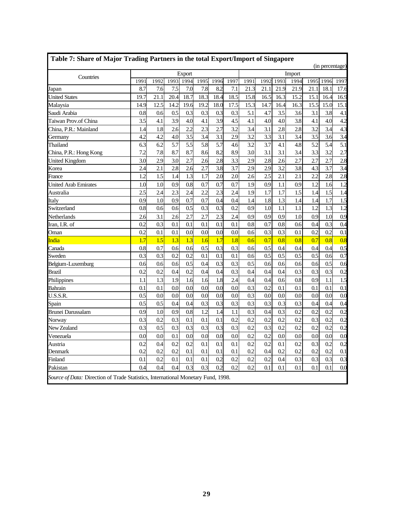|                          |      |      |      | <b>Export</b>    |      |      |      |      |      |      | Import |      |      |      |
|--------------------------|------|------|------|------------------|------|------|------|------|------|------|--------|------|------|------|
| Countries                | 1991 | 1992 | 1993 | 1994             | 1995 | 1996 | 1997 | 1991 | 1992 | 1993 | 1994   | 1995 | 1996 | 1997 |
| Japan                    | 8.7  | 7.6  | 7.5  | 7.0              | 7.8  | 8.2  | 7.1  | 21.3 | 21.1 | 21.9 | 21.9   | 21.1 | 18.1 | 17.6 |
| <b>United States</b>     | 19.7 | 21.1 | 20.4 | 18.7             | 18.3 | 18.4 | 18.5 | 15.8 | 16.5 | 16.3 | 15.2   | 15.1 | 16.4 | 16.9 |
| Malaysia                 | 14.9 | 12.5 | 14.2 | 19.6             | 19.2 | 18.0 | 17.5 | 15.3 | 14.7 | 16.4 | 16.3   | 15.5 | 15.0 | 15.1 |
| Saudi Arabia             | 0.8  | 0.6  | 0.5  | 0.3              | 0.3  | 0.3  | 0.3  | 5.1  | 4.7  | 3.5  | 3.6    | 3.1  | 3.8  | 4.1  |
| Taiwan Prov.of China     | 3.5  | 4.1  | 3.9  | 4.0              | 4.1  | 3.9  | 4.5  | 4.1  | 4.0  | 4.0  | 3.8    | 4.1  | 4.0  | 4.2  |
| China, P.R.: Mainland    | 1.4  | 1.8  | 2.6  | $\overline{2.2}$ | 2.3  | 2.7  | 3.2  | 3.4  | 3.1  | 2.8  | 2.8    | 3.2  | 3.4  | 4.3  |
| Germany                  | 4.2  | 4.2  | 4.0  | 3.5              | 3.4  | 3.1  | 2.9  | 3.2  | 3.3  | 3.1  | 3.4    | 3.5  | 3.6  | 3.4  |
| Thailand                 | 6.3  | 6.2  | 5.7  | 5.5              | 5.8  | 5.7  | 4.6  | 3.2  | 3.7  | 4.1  | 4.8    | 5.2  | 5.4  | 5.1  |
| China, P.R.: Hong Kong   | 7.2  | 7.8  | 8.7  | 8.7              | 8.6  | 8.2  | 8.9  | 3.0  | 3.1  | 3.1  | 3.4    | 3.3  | 3.2  | 2.7  |
| <b>United Kingdom</b>    | 3.0  | 2.9  | 3.0  | 2.7              | 2.6  | 2.8  | 3.3  | 2.9  | 2.8  | 2.6  | 2.7    | 2.7  | 2.7  | 2.8  |
| Korea                    | 2.4  | 2.1  | 2.8  | 2.6              | 2.7  | 3.8  | 3.7  | 2.9  | 2.9  | 3.2  | 3.8    | 4.3  | 3.7  | 3.4  |
| France                   | 1.2  | 1.5  | 1.4  | 1.3              | 1.7  | 2.0  | 2.0  | 2.6  | 2.5  | 2.1  | 2.1    | 2.2  | 2.8  | 2.8  |
| United Arab Emirates     | 1.0  | 1.0  | 0.9  | 0.8              | 0.7  | 0.7  | 0.7  | 1.9  | 0.9  | 1.1  | 0.9    | 1.2  | 1.6  | 1.2  |
| Australia                | 2.5  | 2.4  | 2.3  | 2.4              | 2.2  | 2.3  | 2.4  | 1.9  | 1.7  | 1.7  | 1.5    | 1.4  | 1.5  | 1.4  |
| Italy                    | 0.9  | 1.0  | 0.9  | 0.7              | 0.7  | 0.4  | 0.4  | 1.4  | 1.8  | 1.3  | 1.4    | 1.4  | 1.7  | 1.5  |
| Switzerland              | 0.8  | 0.6  | 0.6  | 0.5              | 0.3  | 0.3  | 0.2  | 0.9  | 1.0  | 1.1  | 1.1    | 1.2  | 1.3  | 1.2  |
| Netherlands              | 2.6  | 3.1  | 2.6  | 2.7              | 2.7  | 2.3  | 2.4  | 0.9  | 0.9  | 0.9  | 1.0    | 0.9  | 1.0  | 0.9  |
| Iran, I.R. of            | 0.2  | 0.3  | 0.1  | 0.1              | 0.1  | 0.1  | 0.1  | 0.8  | 0.7  | 0.8  | 0.6    | 0.4  | 0.3  | 0.4  |
| Oman                     | 0.2  | 0.1  | 0.1  | 0.0              | 0.0  | 0.0  | 0.0  | 0.6  | 0.3  | 0.3  | 0.1    | 0.2  | 0.2  | 0.1  |
| India                    | 1.7  | 1.5  | 1.3  | 1.3              | 1.6  | 1.7  | 1.8  | 0.6  | 0.7  | 0.8  | 0.8    | 0.7  | 0.8  | 0.8  |
| Canada                   | 0.8  | 0.7  | 0.6  | 0.6              | 0.5  | 0.3  | 0.3  | 0.6  | 0.5  | 0.4  | 0.4    | 0.4  | 0.4  | 0.5  |
| Sweden                   | 0.3  | 0.3  | 0.2  | 0.2              | 0.1  | 0.1  | 0.1  | 0.6  | 0.5  | 0.5  | 0.5    | 0.5  | 0.6  | 0.7  |
| Belgium-Luxemburg        | 0.6  | 0.6  | 0.6  | 0.5              | 0.4  | 0.3  | 0.3  | 0.5  | 0.6  | 0.6  | 0.6    | 0.6  | 0.5  | 0.6  |
| Brazil                   | 0.2  | 0.2  | 0.4  | 0.2              | 0.4  | 0.4  | 0.3  | 0.4  | 0.4  | 0.4  | 0.3    | 0.3  | 0.3  | 0.2  |
| Philippines              | 1.1  | 1.3  | 1.9  | 1.6              | 1.6  | 1.8  | 2.4  | 0.4  | 0.4  | 0.6  | 0.8    | 0.9  | 1.1  | 1.5  |
| Bahrain                  | 0.1  | 0.1  | 0.0  | 0.0              | 0.0  | 0.0  | 0.0  | 0.3  | 0.2  | 0.1  | 0.1    | 0.1  | 0.1  | 0.1  |
| U.S.S.R.                 | 0.5  | 0.0  | 0.0  | 0.0              | 0.0  | 0.0  | 0.0  | 0.3  | 0.0  | 0.0  | 0.0    | 0.0  | 0.0  | 0.0  |
| Spain                    | 0.5  | 0.5  | 0.4  | 0.4              | 0.3  | 0.3  | 0.3  | 0.3  | 0.3  | 0.3  | 0.3    | 0.4  | 0.4  | 0.4  |
| <b>Brunei Darussalam</b> | 0.9  | 1.0  | 0.9  | 0.8              | 1.2  | 1.4  | 1.1  | 0.3  | 0.4  | 0.3  | 0.2    | 0.2  | 0.2  | 0.2  |
| Norway                   | 0.3  | 0.2  | 0.3  | 0.1              | 0.1  | 0.1  | 0.2  | 0.2  | 0.2  | 0.2  | 0.2    | 0.3  | 0.2  | 0.2  |
| New Zealand              | 0.3  | 0.5  | 0.3  | 0.3              | 0.3  | 0.3  | 0.3  | 0.2  | 0.3  | 0.2  | 0.2    | 0.2  | 0.2  | 0.2  |
| Venezuela                | 0.0  | 0.0  | 0.1  | 0.0              | 0.0  | 0.0  | 0.0  | 0.2  | 0.2  | 0.0  | 0.0    | 0.0  | 0.0  | 0.0  |
| Austria                  | 0.2  | 0.4  | 0.2  | 0.2              | 0.1  | 0.1  | 0.1  | 0.2  | 0.2  | 0.1  | 0.2    | 0.3  | 0.2  | 0.2  |
| Denmark                  | 0.2  | 0.2  | 0.2  | 0.1              | 0.1  | 0.1  | 0.1  | 0.2  | 0.4  | 0.2  | 0.2    | 0.2  | 0.2  | 0.1  |
| Finland                  | 0.1  | 0.2  | 0.1  | 0.1              | 0.1  | 0.2  | 0.2  | 0.2  | 0.2  | 0.4  | 0.3    | 0.3  | 0.3  | 0.3  |
| Pakistan                 | 0.4  | 0.4  | 0.4  | 0.3              | 0.3  | 0.2  | 0.2  | 0.2  | 0.1  | 0.1  | 0.1    | 0.1  | 0.1  | 0.0  |

ī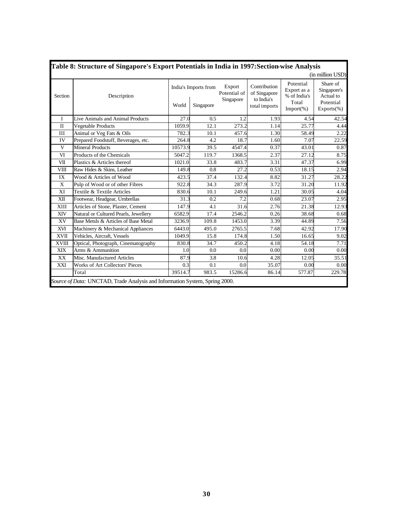|              | Table 8: Structure of Singapore's Export Potentials in India in 1997: Section wise Analysis |         |                                   |                                     |                                                             |                                                                    |                                                                     |
|--------------|---------------------------------------------------------------------------------------------|---------|-----------------------------------|-------------------------------------|-------------------------------------------------------------|--------------------------------------------------------------------|---------------------------------------------------------------------|
|              |                                                                                             |         |                                   |                                     |                                                             |                                                                    | (in million USD)                                                    |
| Section      | Description                                                                                 | World   | India's Imports from<br>Singapore | Export<br>Potential of<br>Singapore | Contribution<br>of Singapore<br>to India's<br>total imports | Potential<br>Export as a<br>% of India's<br>Total<br>$Import(\% )$ | Share of<br>Singapore's<br>Actual to<br>Potential<br>$Exports(\% )$ |
| $\mathbf{I}$ | Live Animals and Animal Products                                                            | 27.0    | 0.5                               | 1.2                                 | 1.93                                                        | 4.54                                                               | 42.54                                                               |
| $\mathbf{I}$ | Vegetable Products                                                                          | 1059.9  | 12.1                              | 273.2                               | 1.14                                                        | 25.77                                                              | 4.44                                                                |
| III          | Animal or Veg Fats & Oils                                                                   | 782.3   | 10.1                              | 457.6                               | 1.30                                                        | 58.49                                                              | 2.22                                                                |
| IV           | Prepared Foodstuff, Beverages, etc.                                                         | 264.8   | 4.2                               | 18.7                                | 1.60                                                        | 7.07                                                               | 22.59                                                               |
| $\mathbf{V}$ | <b>Mineral Products</b>                                                                     | 10573.9 | 39.5                              | 4547.4                              | 0.37                                                        | 43.01                                                              | 0.87                                                                |
| VI           | Products of the Chemicals                                                                   | 5047.2  | 119.7                             | 1368.5                              | 2.37                                                        | 27.12                                                              | 8.75                                                                |
| VII          | Plastics & Articles thereof                                                                 | 1021.0  | 33.8                              | 483.7                               | 3.31                                                        | 47.37                                                              | 6.99                                                                |
| <b>VIII</b>  | Raw Hides & Skins, Leather                                                                  | 149.8   | 0.8                               | 27.2                                | 0.53                                                        | 18.15                                                              | 2.94                                                                |
| IX           | Wood & Articles of Wood                                                                     | 423.5   | 37.4                              | 132.4                               | 8.82                                                        | 31.27                                                              | 28.22                                                               |
| X            | Pulp of Wood or of other Fibres                                                             | 922.8   | 34.3                              | 287.9                               | 3.72                                                        | 31.20                                                              | 11.92                                                               |
| XI           | Textile & Textile Articles                                                                  | 830.6   | 10.1                              | 249.6                               | 1.21                                                        | 30.05                                                              | 4.04                                                                |
| XII          | Footwear, Headgear, Umbrellas                                                               | 31.3    | 0.2                               | 7.2                                 | 0.68                                                        | 23.07                                                              | 2.95                                                                |
| XIII         | Articles of Stone, Plaster, Cement                                                          | 147.9   | 4.1                               | 31.6                                | 2.76                                                        | 21.38                                                              | 12.93                                                               |
| XIV          | Natural or Cultured Pearls, Jewellery                                                       | 6582.9  | 17.4                              | 2546.2                              | 0.26                                                        | 38.68                                                              | 0.68                                                                |
| XV           | Base Metsls & Articles of Base Metal                                                        | 3236.9  | 109.8                             | 1453.0                              | 3.39                                                        | 44.89                                                              | 7.56                                                                |
| XVI          | Machinery & Mechanical Appliances                                                           | 6443.0  | 495.0                             | 2765.5                              | 7.68                                                        | 42.92                                                              | 17.90                                                               |
| <b>XVII</b>  | Vehicles, Aircraft, Vessels                                                                 | 1049.9  | 15.8                              | 174.8                               | 1.50                                                        | 16.65                                                              | 9.02                                                                |
| <b>XVIII</b> | Optical, Photograph, Cinematography                                                         | 830.8   | 34.7                              | 450.2                               | 4.18                                                        | 54.18                                                              | 7.71                                                                |
| XIX          | Arms & Ammunition                                                                           | 1.0     | 0.0                               | 0.0                                 | 0.00                                                        | 0.00                                                               | 0.00                                                                |
| XX           | Misc. Manufactured Articles                                                                 | 87.9    | 3.8                               | 10.6                                | 4.28                                                        | 12.05                                                              | 35.51                                                               |
| XXI          | <b>Works of Art Collectors' Pieces</b>                                                      | 0.3     | 0.1                               | 0.0                                 | 35.07                                                       | 0.00                                                               | 0.00                                                                |
|              | Total                                                                                       | 39514.7 | 983.5                             | 15286.6                             | 86.14                                                       | 577.87                                                             | 229.78                                                              |
|              | Source of Data: UNCTAD, Trade Analysis and Information System, Spring 2000.                 |         |                                   |                                     |                                                             |                                                                    |                                                                     |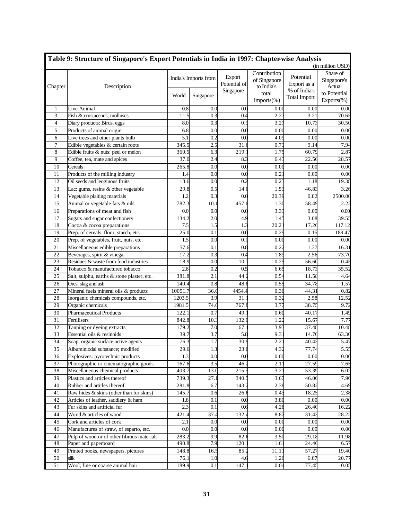|         | Table 9: Structure of Singapore's Export Potentials in India in 1997: Chapter-wise Analysis |         |                      |              |                  |                     |                  |
|---------|---------------------------------------------------------------------------------------------|---------|----------------------|--------------|------------------|---------------------|------------------|
|         |                                                                                             |         |                      |              |                  |                     | (in million USD) |
|         |                                                                                             |         | India's Imports from | Export       | Contribution     | Potential           | Share of         |
|         |                                                                                             |         |                      | Potential of | of Singapore     | Export as a         | Singapore's      |
| Chapter | Description                                                                                 |         |                      | Singapore    | to India's       | % of India's        | Actual           |
|         |                                                                                             | World   | Singapore            |              | total            | <b>Total Import</b> | to Potential     |
|         |                                                                                             |         |                      |              | imports(%)       |                     | Exports(%)       |
| 1       | Live Animal                                                                                 | 0.8     | 0.0                  | 0.0          | 0.0(             | 0.00                | 0.00             |
| 3       | Fish & crustaceans, molluscs                                                                | 11.5    | 0.3                  | 0.4          | 2.27             | 3.21                | 70.65            |
| 4       | Diary products: Birds, eggs                                                                 | 8.0     | 0.3                  | 0.9          | 3.27             | 10.73               | 30.50            |
| 5       | Products of animal origin                                                                   | 6.8     | 0.0                  | 0.0          | 0.00             | 0.00                | 0.00             |
| 6       | Live trees and other plants bulb                                                            | 5.1     | 0.2                  | 0.0          | 4.09             | 0.00                | 0.00             |
| 7       | Edible vegetables & certain roots                                                           | 345.5   | 2.5                  | 31.6         | 0.73             | 9.14                | 7.94             |
| 8       | Edible fruits & nuts: peel or melon                                                         | 360.5   | 6.3                  | 219.         | 1.75             | 60.79               | 2.87             |
| 9       | Coffee, tea, mate and spices                                                                | 37.0    | 2.4                  | 8.3          | 6.43             | 22.50               | 28.57            |
| 10      | Cereals                                                                                     | 265.8   | 0.0                  | 0.0          | 0.00             | 0.00                | 0.00             |
| 11      | Products of the milling industry                                                            | 1.4     | 0.0                  | 0.0          | 0.21             | 0.00                | 0.00             |
| 12      | Oil seeds and leoginous fruits                                                              | 13.6    | 0.0                  | 0.2          | 0.23             | 1.18                | 19.38            |
| 13      | Lac; gums, resins & other vegetable                                                         | 29.8    | 0.5                  | 14.0         | 1.53             | 46.83               | 3.26             |
| 14      | Vegetable plaiting materials                                                                | 1.2     | 0.3                  | 0.0          | 20.39            | 0.82                | 2500.00          |
| 15      | Animal or vegetable fats & oils                                                             | 782.3   | 10.1                 | 457.6        | 1.3 <sub>0</sub> | 58.49               | 2.22             |
| 16      | Preparations of meat and fish                                                               | 0.0     | 0.0                  | 0.0          | 3.33             | 0.00                | 0.00             |
| 17      | Sugars and sugar confectionery                                                              | 134.2   | 2.0                  | 4.9          | 1.45             | 3.68                | 39.55            |
| 18      | Cocoa & cocoa preparations                                                                  | 7.5     | 1.5                  | 1.3          | 20.21            | 17.26               | 117.12           |
| 19      | Prep. of cereals, floor, starch, etc.                                                       | 25.0    | 0.1                  | 0.0          | 0.29             | 0.15                | 189.47           |
| 20      | Prep. of vegetables, fruit, nuts, etc.                                                      | 1.5     | 0.0                  | 0.0          | 0.00             | 0.00                | 0.00             |
| 21      | Miscellaneous edible preparations                                                           | 57.6    | 0.1                  | 0.8          | 0.22             | 1.37                | 16.31            |
| 22      | Beverages, spirit & vinegar                                                                 | 17.2    | 0.3                  | 0.4          | 1.89             | 2.56                | 73.70            |
| 23      | Residues & waste from food industries                                                       | 18.9    | 0.0                  | 10.7         | 0.25             | 56.60               | 0.45             |
| 24      | Tobacco & manufactured tobacco                                                              | 2.8     | 0.2                  | 0.5          | 6.65             | 18.73               | 35.52            |
| 25      | Salt, sulphu, earths & stone plaster, etc.                                                  | 381.8   | 2.1                  | 44.          | 0.54             | 11.58               | 4.64             |
| 26      | Ores, slag and ash                                                                          | 140.4   | 0.8                  | 48.8         | 0.55             | 34.78               | 1.57             |
| 27      | Mineral fuels mineral oils & products                                                       | 10051.7 | 36.6                 | 4454.4       | 0.36             | 44.31               | 0.82             |
| 28      | Inorganic chemicals compounds, etc.                                                         | 1203.5  | 3.9                  | 31.          | 0.32             | 2.58                | 12.52            |
| 29      | Organic chemicals                                                                           | 1981.5  | 74.6                 | 767.8        | 3.77             | 38.75               | 9.72             |
| 30      | <b>Pharmaceutical Products</b>                                                              | 122.1   | 0.7                  | 49.          | 0.60             | 40.17               | 1.49             |
| 31      | Fertilisers                                                                                 | 842.8   | 10.3                 | 132.0        | 1.22             | 15.67               | 7.77             |
| 32      | Tanning or dyeing extracts                                                                  | 179.2   | 7.0                  | 67.3         | 3.93             | 37.48               | 10.48            |
| 33      | Essential oils & resinoids                                                                  | 39.7    | 3.7                  | 5.8          | 9.31             | 14.70               | 63.30            |
| 34      | Soap, organic surface active agents                                                         | 76.3    | 1.7                  | 30.9         | 2.21             | 40.43               | 5.47             |
| 35      | Albuminiodal substance; modified                                                            | 29.6    | 1.3                  | 23.0         | 4.32             | 77.74               | 5.55             |
| 36      | Explosives: pyrotechnic products                                                            | 1.3     | 0.0                  | 0.0          | 0.00             | 0.00                | 0.00             |
| 37      | Photographic or cinematographic goods                                                       | 167.6   | 3.5                  | 46.2         | $2.1^{\circ}$    | 27.59               | 7.65             |
| 38      | Miscellaneous chemical products                                                             | 403.7   | 13.0                 | 215.         | 3.21             | 53.39               | 6.02             |
| 39      | Plastics and articles thereof                                                               | 739.3   | 27.1                 | 340.         | 3.67             | 46.06               | 7.96             |
| 40      | Rubber and articles thereof                                                                 | 281.8   | 6.7                  | 143.2        | 2.38             | 50.82               | 4.69             |
| 41      | Raw hides & skins (other than fur skins)                                                    | 145.7   | 0.6                  | 26.6         | 0.43             | 18.25               | 2.38             |
| 42      | Articles of leather, saddlery & ham                                                         | 1.8     | 0.1                  | 0.0          | 3.80             | 0.00                | 0.00             |
| 43      | Fur skins and artificial fur                                                                | 2.3     | 0.1                  | 0.6          | 4.28             | 26.40               | 16.22            |
| 44      | Wood & articles of wood                                                                     | 421.4   | 37.4                 | 132.4        | 8.87             | 31.43               | 28.22            |
| 45      | Cork and articles of cork                                                                   | 2.1     | 0.0                  | 0.0          | 0.00             | 0.00                | 0.00             |
| 46      | Manufactures of straw, of esparto, etc.                                                     | 0.0     | 0.0                  | 0.0          | 0.00             | 0.00                | 0.00             |
| 47      | Pulp of wood or of other fibrous materials                                                  | 283.2   | 9.9                  | 82.6         | 3.50             | 29.18               | 11.98            |
| 48      | Paper and paperboard                                                                        | 490.8   | 7.9                  | 120.1        | 1.61             | 24.46               | 6.57             |
| 49      | Printed books, newspapers, pictures                                                         | 148.8   | 16.5                 | 85.2         | 11.1             | 57.27               | 19.40            |
| 50      | silk                                                                                        | 76.1    | 1.0                  | 4.6          | 1.26             | 6.07                | 20.77            |
| 51      | Wool, fine or coarse animal hair                                                            | 189.9   | 0.1                  | 147.1        | 0.04             | 77.45               | 0.05             |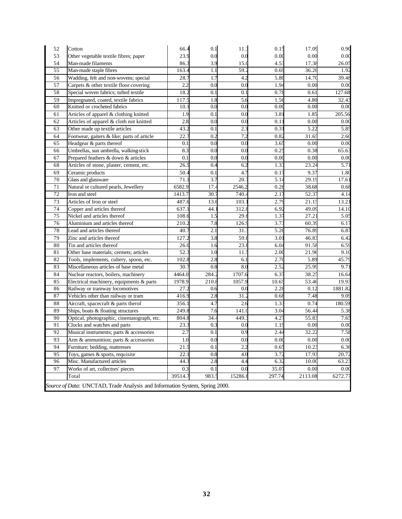| 52 | Cotton                                                                      | 66.4    | 0.1   | 11.3    | 0.15             | 17.09   | 0.90    |
|----|-----------------------------------------------------------------------------|---------|-------|---------|------------------|---------|---------|
| 53 | Other vegetable textile fibres; paper                                       | 23.9    | 0.0   | 0.0     | 0.00             | 0.00    | 0.00    |
| 54 | Man-made filaments                                                          | 86.3    | 3.9   | 15.0    | 4.53             | 17.38   | 26.05   |
| 55 | Man-made staple fibres                                                      | 163.4   | 1.1   | 59.2    | 0.69             | 36.26   | 1.92    |
| 56 | Wadding, felt and non-wovens; special                                       | 28.7    | 1.7   | 4.2     | 5.80             | 14.70   | 39.48   |
| 57 | Carpets & other textile floor covering                                      | 2.2     | 0.0   | 0.0     | 1.94             | 0.00    | 0.00    |
| 58 | Special woven fabrics; tufted textile                                       | 18.2    | 0.1   | 0.1     | 0.78             | 0.61    | 127.68  |
| 59 | Impregnated, coated, textile fabrics                                        | 117.5   | 1.8   | 5.6     | 1.56             | 4.80    | 32.43   |
| 60 | Knitted or crocheted fabrics                                                | 10.1    | 0.0   | 0.0     | 0.00             | 0.00    | 0.00    |
| 61 | Articles of apparel & clothing knitted                                      | 1.9     | 0.1   | 0.0     | 3.81             | 1.85    | 205.56  |
| 62 | Articles of apparel & cloth not knitted                                     | 2.8     | 0.0   | 0.0     | 0.1              | 0.00    | 0.00    |
| 63 | Other made up textile articles                                              | 43.2    | 0.1   | 2.3     | 0.31             | 5.22    | 5.85    |
| 64 | Footwear, gaiters & like; parts of article                                  | 22.7    | 0.2   | 7.2     | 0.82             | 31.65   | 2.60    |
| 65 | Headgear & parts thereof                                                    | 0.1     | 0.0   | 0.0     | 3.65             | 0.00    | 0.00    |
| 66 | Umbrellas, sun umbrella, walking-stick                                      | 8.3     | 0.0   | 0.0     | 0.25             | 0.38    | 65.63   |
| 67 | Prepared feathers & down & articles                                         | 0.1     | 0.0   | 0.0     | 0.00             | 0.00    | 0.00    |
| 68 | Articles of stone, plaster, cement, etc.                                    | 26.5    | 0.4   | 6.2     | 1.33             | 23.24   | 5.71    |
| 69 | Ceramic products                                                            | 50.4    | 0.1   | 4.7     | 0.17             | 9.37    | 1.80    |
| 70 | Glass and glassware                                                         | 71.1    | 3.7   | 20.7    | 5.14             | 29.19   | 17.61   |
| 71 | Natural or cultured pearls, Jewellery                                       | 6582.9  | 17.4  | 2546.2  | 0.26             | 38.68   | 0.68    |
| 72 | Iron and steel                                                              | 1413.7  | 30.7  | 740.4   | 2.17             | 52.37   | 4.14    |
| 73 | Articles of Iron or steel                                                   | 487.6   | 13.6  | 103.    | 2.79             | 21.15   | 13.21   |
| 74 | Copper and articles thereof                                                 | 637.    | 44.   | 312.8   | 6.92             | 49.09   | 14.10   |
| 75 | Nickel and articles thereof                                                 | 108.6   | 1.5   | 29.6    | 1.37             | 27.2    | 5.05    |
| 76 | Aluminium and articles thereof                                              | 210.2   | 7.8   | 126.9   | 3.73             | 60.39   | 6.17    |
| 78 | Lead and articles thereof                                                   | 40.7    | 2.1   | 31.     | 5.28             | 76.89   | 6.87    |
| 79 | Zinc and articles thereof                                                   | 127.2   | 3.8   | 59.6    | 3.01             | 46.83   | 6.42    |
| 80 | Tin and articles thereof                                                    | 26.0    | 1.6   | 23.8    | 6.04             | 91.58   | 6.59    |
| 81 | Other base materials; cermets; articles                                     | 52.3    | 1.0   | 11.3    | 2.00             | 21.96   | 9.10    |
| 82 | Tools, implements, cultery, spoon, etc.                                     | 102.8   | 2.8   | 6.1     | 2.7(             | 5.89    | 45.79   |
| 83 | Miscellaneous articles of base metal                                        | 30.7    | 0.8   | 8.0     | 2.52             | 25.99   | 9.71    |
| 84 | Nuclear reactors, boilers, machinery                                        | 4464.0  | 284.2 | 1707.6  | 6.3 <sup>′</sup> | 38.25   | 16.64   |
| 85 | Electrical machinery, equipments & parts                                    | 1978.9  | 210.8 | 1057.9  | 10.65            | 53.46   | 19.93   |
| 86 | Railway or tramway locomotives                                              | 27.2    | 0.6   | 0.0     | 2.28             | 0.12    | 1881.82 |
| 87 | Vehicles other than railway or tram                                         | 416.9   | 2.8   | 31.2    | 0.68             | 7.48    | 9.09    |
| 88 | Aircraft, spacecraft & parts therof                                         | 356.1   | 4.7   | 2.6     | 1.33             | 0.74    | 180.59  |
| 89 | Ships, boats & floating structures                                          | 249.8   | 7.6   | 141.0   | 3.04             | 56.44   | 5.38    |
| 90 | Optical, photographic, cinematograph, etc.                                  | 804.8   | 34.4  | 449.    | 4.27             | 55.83   | 7.65    |
| 91 | Clocks and watches and parts                                                | 23.3    | 0.3   | 0.0     | 1.19             | 0.00    | 0.00    |
| 92 | Musical instruments; parts & accessories                                    | 2.7     | 0.1   | 0.9     | 2.44             | 32.22   | 7.58    |
| 93 | Arm $\&$ ammunition; parts $\&$ accessories                                 | 1.0     | 0.0   | 0.0     | 0.00             | 0.00    | 0.00    |
| 94 | Furniture; bedding, mattresses                                              | 21.5    | 0.1   | 2.2     | 0.65             | 10.23   | 6.36    |
| 95 | Toys, games & sports, requisite                                             | 22.1    | 0.8   | 4.0     | 3.72             | 17.93   | 20.72   |
| 96 | Misc. Manufactured articles                                                 | 44.3    | 2.8   | 4.4     | 6.32             | 10.00   | 63.23   |
| 97 | Works of art, collectors' pieces                                            | 0.3     | 0.1   | 0.0     | 35.07            | 0.00    | 0.00    |
|    | Total                                                                       | 39514.7 | 983.5 | 15286.6 | 297.74           | 2113.08 | 6272.77 |
|    | Source of Data: UNCTAD, Trade Analysis and Information System, Spring 2000. |         |       |         |                  |         |         |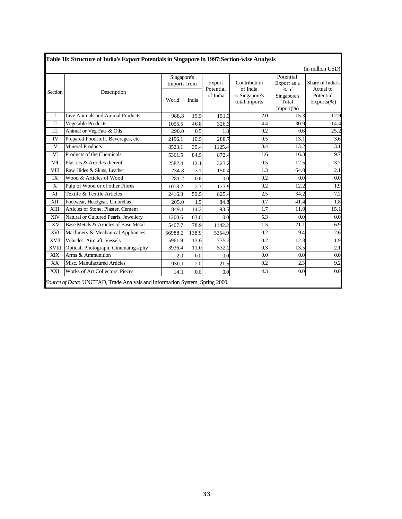|                    |                                        |                             |       |                       |                                             |                                                 | (in million USD)                         |
|--------------------|----------------------------------------|-----------------------------|-------|-----------------------|---------------------------------------------|-------------------------------------------------|------------------------------------------|
|                    |                                        | Singapore's<br>Imports from |       | Export                | Contribution                                | Potential<br>Export as a                        | Share of India's                         |
| Section            | Description                            | World                       | India | Potential<br>of India | of India<br>to Singapore's<br>total imports | $%$ of<br>Singapore's<br>Total<br>$Import(\% )$ | Actual to<br>Potential<br>$Exports(\% )$ |
| I                  | Live Animals and Animal Products       | 988.8                       | 19.5  | 151.3                 | 2.0                                         | 15.3                                            | 12.9                                     |
| $\mathbf{I}$       | Vegetable Products                     | 1055.5                      | 46.8  | 326.3                 | 4.4                                         | 30.9                                            | 14.4                                     |
| $\mathop{\rm III}$ | Animal or Veg Fats & Oils              | 290.0                       | 0.5   | 1.8                   | 0.2                                         | 0.6                                             | 25.2                                     |
| IV                 | Prepared Foodstuff, Beverages, etc.    | 2196.1                      | 10.5  | 288.7                 | 0.5                                         | 13.1                                            | 3.6                                      |
| V                  | <b>Mineral Products</b>                | 8523.1                      | 35.4  | 1125.4                | 0.4                                         | 13.2                                            | 3.1                                      |
| VI                 | Products of the Chemicals              | 5361.5                      | 84.5  | 872.4                 | 1.6                                         | 16.3                                            | 9.7                                      |
| VII                | Plastics & Articles thereof            | 2582.4                      | 12.1  | 323.2                 | 0.5                                         | 12.5                                            | 3.7                                      |
| <b>VIII</b>        | Raw Hides & Skins, Leather             | 234.8                       | 3.1   | 150.4                 | 1.3                                         | 64.0                                            | 2.1                                      |
| IX                 | Wood & Articles of Wood                | 281.2                       | 0.6   | 0.0                   | 0.2                                         | 0.0                                             | 0.0                                      |
| X                  | Pulp of Wood or of other Fibres        | 1013.2                      | 2.3   | 123.9                 | 0.2                                         | 12.2                                            | 1.9                                      |
| XI                 | Textile & Textile Articles             | 2416.3                      | 59.5  | 825.4                 | 2.5                                         | 34.2                                            | 7.2                                      |
| XII                | Footwear, Headgear, Umbrellas          | 205.0                       | 1.5   | 84.8                  | 0.7                                         | 41.4                                            | 1.8                                      |
| <b>XIII</b>        | Articles of Stone, Plaster, Cement     | 849.1                       | 14.2  | 93.5                  | 1.7                                         | 11.0                                            | 15.1                                     |
| XIV                | Natural or Cultured Pearls, Jewellery  | 1200.6                      | 63.8  | 0.0                   | 5.3                                         | 0.0                                             | 0.0                                      |
| XV                 | Base Metals & Articles of Base Metal   | 5407.7                      | 78.9  | 1142.2                | 1.5                                         | 21.1                                            | 6.9                                      |
| XVI                | Machinery & Mechanical Appliances      | 56988.2                     | 138.9 | 5354.9                | 0.2                                         | 9.4                                             | 2.6                                      |
| <b>XVII</b>        | Vehicles, Aircraft, Vessels            | 5961.9                      | 13.6  | 735.3                 | 0.2                                         | 12.3                                            | 1.9                                      |
| <b>XVIII</b>       | Optical, Photograph, Cinematography    | 3936.4                      | 11.0  | 532.2                 | 0.3                                         | 13.5                                            | 2.1                                      |
| <b>XIX</b>         | Arms & Ammunition                      | 2.0                         | 0.0   | 0.0                   | 0.0                                         | 0.0                                             | 0.0                                      |
| XX                 | Misc. Manufactured Articles            | 930.1                       | 2.0   | 21.5                  | 0.2                                         | 2.3                                             | 9.2                                      |
| XXI                | <b>Works of Art Collectors' Pieces</b> | 14.1                        | 0.6   | 0.0                   | 4.3                                         | 0.0                                             | 0.0                                      |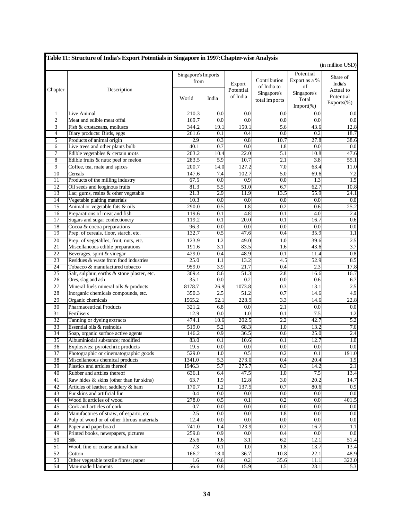|                       | Table 11: Structure of India's Export Potentials in Singapore in 1997: Chapter-wise Analysis |                             |                         |                     |                                            |                                                 | (in million USD)                 |
|-----------------------|----------------------------------------------------------------------------------------------|-----------------------------|-------------------------|---------------------|--------------------------------------------|-------------------------------------------------|----------------------------------|
| Chapter               | Description                                                                                  | Singapore's Imports<br>from |                         | Export<br>Potential | Contribution<br>of India to<br>Singapore's | Potential<br>Export as a %<br>of<br>Singapore's | Share of<br>India's<br>Actual to |
|                       |                                                                                              | World                       | India                   | of India            | total imports                              | Total<br>Import(%)                              | Potential<br>$Exports(\% )$      |
| 1                     | Live Animal                                                                                  | 210.3                       | 0.0                     | 0.0                 | 0.0                                        | 0.0                                             | 0.0                              |
| $\overline{2}$        | Meat and edible meat offal                                                                   | 169.7                       | 0.0                     | 0.0                 | 0.0                                        | 0.0                                             | $\overline{0.0}$                 |
| 3                     | Fish & crustaceans, molluscs                                                                 | 344.2                       | 19.1                    | 150.1               | 5.6                                        | 43.6                                            | 12.8                             |
| $\overline{4}$        | Diary products: Birds, eggs                                                                  | 261.6                       | 0.1                     | 0.4                 | $\overline{0.0}$                           | 0.2                                             | 18.7                             |
| 5                     | Products of animal origin                                                                    | 2.9                         | 0.3                     | 0.8                 | 10.7                                       | 27.8                                            | 38.6                             |
| 6                     | Live trees and other plants bulb                                                             | 40.1                        | 0.7                     | 0.0                 | 1.8                                        | 0.0                                             | 0.0                              |
| 7                     | Edible vegetables & certain roots                                                            | 203.2                       | 10.4                    | 22.0                | 5.1                                        | 10.8                                            | 47.6                             |
| 8                     | Edible fruits & nuts: peel or melon                                                          | 283.5                       | 5.9                     | 10.7                | 2.1                                        | 3.8                                             | 55.1                             |
| $\overline{9}$        | Coffee, tea, mate and spices                                                                 | 200.7                       | 14.0                    | 127.2               | 7.0                                        | 63.4                                            | 11.0                             |
| 10                    | Cereals                                                                                      | 147.6                       | 7.4                     | 102.7               | 5.0                                        | 69.6                                            | 7.2                              |
| 11                    | Products of the milling industry                                                             | 67.5                        | 0.0                     | $\overline{0.9}$    | 0.0                                        | 1.3                                             | 1.5                              |
| 12<br>13              | Oil seeds and leoginous fruits<br>Lac; gums, resins & other vegetable                        | 81.3<br>21.3                | 5.5<br>$\overline{2.9}$ | 51.0<br>11.9        | 6.7<br>13.5                                | 62.7<br>55.9                                    | 10.8<br>24.1                     |
| 14                    | Vegetable plaiting materials                                                                 | 10.3                        | 0.0                     | 0.0                 | 0.0                                        | 0.0                                             | 0.0                              |
| 15                    | Animal or vegetable fats & oils                                                              | 290.0                       | 0.5                     | 1.8                 | 0.2                                        | 0.6                                             | 25.2                             |
| 16                    | Preparations of meat and fish                                                                | 119.6                       | 0.1                     | 4.8                 | 0.1                                        | 4.0                                             | 2.4                              |
| 17                    | Sugars and sugar confectionery                                                               | 119.2                       | 0.1                     | 20.0                | 0.1                                        | 16.7                                            | 0.6                              |
| 18                    | Cocoa & cocoa preparations                                                                   | 96.3                        | 0.0                     | 0.0                 | 0.0                                        | 0.0                                             | 0.0                              |
| 19                    | Prep. of cereals, floor, starch, etc.                                                        | 132.7                       | 0.5                     | 47.6                | 0.4                                        | 35.9                                            | 1.1                              |
| 20                    | Prep. of vegetables, fruit, nuts, etc.                                                       | 123.9                       | 1.2                     | 49.0                | 1.0                                        | 39.6                                            | 2.5                              |
| 21                    | Miscellaneous edible preparations                                                            | 191.6                       | 3.1                     | 83.5                | 1.6                                        | 43.6                                            | 3.7                              |
| 22                    | Beverages, spirit & vinegar                                                                  | 429.0                       | 0.4                     | 48.9                | 0.1                                        | 11.4                                            | 0.8                              |
| 23                    | Residues & waste from food industries                                                        | 25.0                        | 1.1                     | 13.2                | 4.5                                        | 52.9                                            | 8.5                              |
| 24                    | Tobacco & manufactured tobacco                                                               | 959.0                       | $\overline{3.9}$        | 21.7                | 0.4                                        | 2.3                                             | 17.8                             |
| 25                    | Salt, sulphur, earths & stone plaster, etc.                                                  | 309.4                       | 8.6                     | 51.3                | 2.8                                        | 16.6                                            | 16.7                             |
| 26                    | Ores, slag and ash                                                                           | 35.1                        | 0.0                     | 0.2                 | 0.0                                        | 0.6                                             | 6.7                              |
| $\overline{27}$       | Mineral fuels mineral oils & products                                                        | 8178.7                      | 26.9                    | 1073.8              | 0.3                                        | 13.1                                            | 2.5                              |
| 28                    | Inorganic chemicals compounds, etc.                                                          | 350.3                       | 2.5                     | 51.2                | 0.7                                        | 14.6                                            | 4.9                              |
| 29                    | Organic chemicals                                                                            | 1565.2                      | 52.1                    | 228.9               | 3.3                                        | 14.6                                            | 22.8                             |
| 30                    | Pharmaceutical Products                                                                      | 321.2                       | 6.8                     | 0.0                 | 2.1                                        | 0.0                                             | 0.0                              |
| 31                    | Fertilisers                                                                                  | 12.9                        | 0.0                     | 1.0                 | 0.1                                        | 7.5                                             | 1.2                              |
| 32                    | Tanning or dyeing extracts                                                                   | 474.1                       | 10.6                    | 202.5               | 2.2                                        | 42.7                                            | 5.2                              |
| 33                    | Essential oils & resinoids                                                                   | 519.0                       | 5.2                     | 68.3                | 1.0                                        | 13.2                                            | 7.6                              |
| 34                    | Soap, organic surface active agents                                                          | 146.2                       | $\overline{0.9}$        | 36.5                | 0.6                                        | 25.0                                            | 2.4                              |
| $\overline{35}$<br>36 | Albuminiodal substance; modified<br>Explosives: pyrotechnic products                         | 83.0<br>19.5                | 0.1<br>$\overline{0.0}$ | 10.6<br>0.0         | 0.1<br>0.0                                 | 12.7<br>0.0                                     | 1.0<br>0.0                       |
| 37                    | Photographic or cinematographic goods                                                        | 529.0                       | 1.0                     | 0.5                 | 0.2                                        | 0.1                                             | 191.0                            |
| 38                    | Miscellaneous chemical products                                                              | 1341.0                      | $\overline{5.3}$        | 273.0               | 0.4                                        | 20.4                                            | 1.9                              |
| 39                    | Plastics and articles thereof                                                                | 1946.3                      | 5.7                     | 275.7               | 0.3                                        | 14.2                                            | 2.1                              |
| 40                    | Rubber and articles thereof                                                                  | 636.1                       | 6.4                     | 47.5                | 1.0                                        | 7.5                                             | 13.4                             |
| 41                    | Raw hides & skins (other than fur skins)                                                     | 63.7                        | 1.9                     | 12.8                | 3.0                                        | 20.2                                            | 14.7                             |
| 42                    | Articles of leather, saddlery & ham                                                          | 170.7                       | 1.2                     | 137.5               | 0.7                                        | 80.6                                            | 0.9                              |
| 43                    | Fur skins and artificial fur                                                                 | 0.4                         | 0.0                     | 0.0                 | 0.0                                        | 0.0                                             | 0.0                              |
| 44                    | Wood & articles of wood                                                                      | 278.0                       | 0.5                     | 0.1                 | 0.2                                        | $\overline{0.0}$                                | 401.5                            |
| 45                    | Cork and articles of cork                                                                    | 0.7                         | 0.0                     | 0.0                 | $\overline{0.0}$                           | 0.0                                             | 0.0                              |
| 46                    | Manufactures of straw, of esparto, etc.                                                      | 2.5                         | 0.0                     | 0.0                 | 1.8                                        | 0.0                                             | 0.0                              |
| 47                    | Pulp of wood or of other fibrous materials                                                   | 12.4                        | 0.0                     | $\overline{0.0}$    | 0.0                                        | 0.0                                             | 0.0                              |
| 48                    | Paper and paperboard                                                                         | 741.0                       | 1.4                     | 123.9               | 0.2                                        | 16.7                                            | 1.1                              |
| 49                    | Printed books, newspapers, pictures                                                          | 259.8                       | 0.9                     | 0.0                 | 0.4                                        | 0.0                                             | 0.0                              |
| 50                    | Silk                                                                                         | 25.6                        | 1.6                     | 3.1                 | 6.2                                        | 12.1                                            | 51.4                             |
| 51                    | Wool, fine or coarse animal hair                                                             | 7.3                         | 0.1                     | 1.0                 | 1.8                                        | 13.7                                            | 13.4                             |
| 52                    | Cotton                                                                                       | 166.2                       | 18.0                    | 36.7                | 10.8                                       | 22.1                                            | 48.9                             |
| 53                    | Other vegetable textile fibres; paper                                                        | 1.6                         | 0.6                     | 0.2                 | 35.6                                       | 11.1                                            | 322.0                            |
| 54                    | Man-made filaments                                                                           | 56.6                        | 0.8                     | 15.9                | 1.5                                        | 28.1                                            | 5.3                              |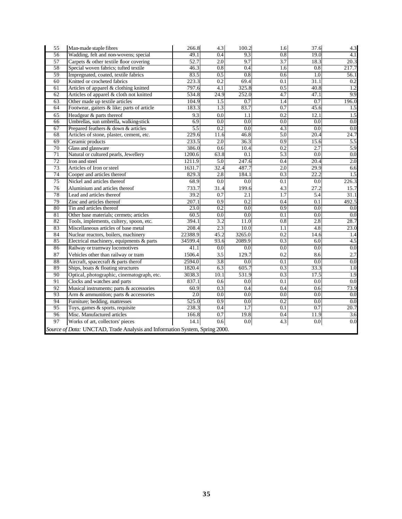| 55 | Man-made staple fibres                                                      | 266.8            | 4.3              | 100.2            | 1.6              | 37.6             | 4.3   |
|----|-----------------------------------------------------------------------------|------------------|------------------|------------------|------------------|------------------|-------|
| 56 | Wadding, felt and non-wovens; special                                       | 49.1             | 0.4              | 9.3              | 0.8              | 19.0             | 4.1   |
| 57 | Carpets & other textile floor covering                                      | 52.7             | 2.0              | 9.7              | 3.7              | 18.3             | 20.3  |
| 58 | Special woven fabrics; tufted textile                                       | 46.3             | 0.8              | 0.4              | 1.6              | 0.8              | 217.7 |
| 59 | Impregnated, coated, textile fabrics                                        | 83.5             | 0.5              | 0.8              | 0.6              | 1.0              | 56.1  |
| 60 | Knitted or crocheted fabrics                                                | 223.3            | $\overline{0.2}$ | 69.4             | $\overline{0.1}$ | 31.1             | 0.2   |
| 61 | Articles of apparel & clothing knitted                                      | 797.6            | 4.1              | 325.8            | 0.5              | 40.8             | 1.2   |
| 62 | Articles of apparel & cloth not knitted                                     | 534.8            | 24.9             | 252.0            | 4.7              | 47.1             | 9.9   |
| 63 | Other made up textile articles                                              | 104.9            | 1.5              | 0.7              | 1.4              | 0.7              | 196.0 |
| 64 | Footwear, gaiters & like; parts of article                                  | 183.3            | 1.3              | 83.7             | 0.7              | 45.6             | 1.5   |
| 65 | Headgear & parts thereof                                                    | 9.3              | 0.0              | 1.1              | 0.2              | 12.1             | 1.5   |
| 66 | Umbrellas, sun umbrella, walking-stick                                      | 6.9              | $\overline{0.0}$ | 0.0              | $\overline{0.0}$ | $\overline{0.0}$ | 0.0   |
| 67 | Prepared feathers & down & articles                                         | 5.5              | 0.2              | 0.0              | 4.3              | 0.0              | 0.0   |
| 68 | Articles of stone, plaster, cement, etc.                                    | 229.6            | 11.6             | 46.8             | 5.0              | 20.4             | 24.7  |
| 69 | Ceramic products                                                            | 233.5            | 2.0              | 36.3             | 0.9              | 15.6             | 5.5   |
| 70 | Glass and glassware                                                         | 386.0            | 0.6              | 10.4             | 0.2              | 2.7              | 5.9   |
| 71 | Natural or cultured pearls, Jewellery                                       | 1200.6           | 63.8             | 0.1              | 5.3              | 0.0              | 0.0   |
| 72 | Iron and steel                                                              | 1211.9           | 5.0              | 247.6            | 0.4              | 20.4             | 2.0   |
| 73 | Articles of Iron or steel                                                   | 1631.7           | 32.4             | 487.7            | 2.0              | 29.9             | 6.6   |
| 74 | Cooper and articles thereof                                                 | 829.3            | 2.8              | 184.1            | 0.3              | 22.2             | 1.5   |
| 75 | Nickel and articles thereof                                                 | 68.9             | 0.0              | 0.0              | 0.1              | 0.0              | 226.3 |
| 76 | Aluminium and articles thereof                                              | 733.7            | 31.4             | 199.6            | 4.3              | 27.2             | 15.7  |
| 78 | Lead and articles thereof                                                   | 39.2             | 0.7              | 2.1              | $\overline{1.7}$ | 5.4              | 31.1  |
| 79 | Zinc and articles thereof                                                   | 207.1            | 0.9              | 0.2              | 0.4              | 0.1              | 492.5 |
| 80 | Tin and articles thereof                                                    | 23.0             | $\overline{0.2}$ | $\overline{0.0}$ | $\overline{0.9}$ | $\overline{0.0}$ | 0.0   |
| 81 | Other base materials; cermets; articles                                     | 60.5             | 0.0              | 0.0              | $\overline{0.1}$ | 0.0              | 0.0   |
| 82 | Tools, implements, cultery, spoon, etc.                                     | 394.1            | 3.2              | 11.0             | $\overline{0.8}$ | $\overline{2.8}$ | 28.7  |
| 83 | Miscellaneous articles of base metal                                        | 208.4            | 2.3              | 10.0             | 1.1              | 4.8              | 23.0  |
| 84 | Nuclear reactors, boilers, machinery                                        | 22388.9          | 45.2             | 3265.0           | 0.2              | 14.6             | 1.4   |
| 85 | Electrical machinery, equipments & parts                                    | 34599.4          | 93.6             | 2089.9           | 0.3              | 6.0              | 4.5   |
| 86 | Railway or tramway locomotives                                              | 41.1             | 0.0              | 0.0              | 0.0              | 0.0              | 0.0   |
| 87 | Vehicles other than railway or tram                                         | 1506.4           | 3.5              | 129.7            | 0.2              | 8.6              | 2.7   |
| 88 | Aircraft, spacecraft & parts therof                                         | 2594.0           | 3.8              | 0.0              | 0.1              | 0.0              | 0.0   |
| 89 | Ships, boats & floating structures                                          | 1820.4           | 6.3              | 605.7            | 0.3              | 33.3             | 1.0   |
| 90 | Optical, photographic, cinematograph, etc.                                  | 3038.3           | 10.1             | 531.9            | 0.3              | 17.5             | 1.9   |
| 91 | Clocks and watches and parts                                                | 837.1            | 0.6              | 0.0              | $\overline{0.1}$ | $\overline{0.0}$ | 0.0   |
| 92 | Musical instruments; parts & accessories                                    | 60.9             | 0.3              | 0.4              | 0.4              | 0.6              | 73.9  |
| 93 | Arm & ammunition; parts & accessories                                       | $\overline{2.0}$ | 0.0              | $\overline{0.0}$ | 0.0              | $\overline{0.0}$ | 0.0   |
| 94 | Furniture; bedding, mattresses                                              | 525.0            | 0.9              | 0.0              | 0.2              | 0.0              | 0.0   |
| 95 | Toys, games $\&$ sports, requisite                                          | 238.3            | 0.4              | 1.7              | 0.1              | 0.7              | 20.7  |
| 96 | Misc. Manufactured articles                                                 | 166.8            | 0.7              | 19.8             | 0.4              | 11.9             | 3.6   |
| 97 | Works of art, collectors' pieces                                            | 14.1             | 0.6              | 0.0              | 4.3              | 0.0              | 0.0   |
|    | Source of Data: UNCTAD, Trade Analysis and Information System, Spring 2000. |                  |                  |                  |                  |                  |       |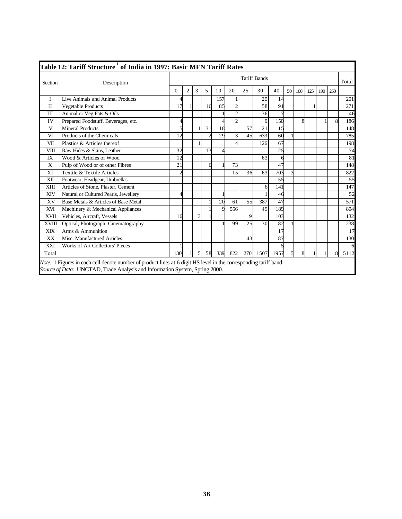|              | Table 12: Tariff Structure <sup>1</sup> of India in 1997: Basic MFN Tariff Rates                                                                                                                |                          |                |               |    |     |                       |     |                     |      |    |     |     |     |     |       |
|--------------|-------------------------------------------------------------------------------------------------------------------------------------------------------------------------------------------------|--------------------------|----------------|---------------|----|-----|-----------------------|-----|---------------------|------|----|-----|-----|-----|-----|-------|
| Section      | Description                                                                                                                                                                                     |                          |                |               |    |     |                       |     | <b>Tariff Bands</b> |      |    |     |     |     |     | Total |
|              |                                                                                                                                                                                                 | $\Omega$                 | $\overline{2}$ | 3             | 5  | 10  | 20                    | 25  | 30                  | 40   | 50 | 100 | 125 | 190 | 260 |       |
| T            | Live Animals and Animal Products                                                                                                                                                                |                          |                |               |    | 157 |                       |     | 25                  | 14   |    |     |     |     |     | 201   |
| $\mathbf{I}$ | Vegetable Products                                                                                                                                                                              | 17                       |                |               | 16 | 85  | $\overline{2}$        |     | 58                  | 91   |    |     |     |     |     | 271   |
| III          | Animal or Veg Fats & Oils                                                                                                                                                                       |                          |                |               |    |     | $\overline{c}$        |     | 36                  |      |    |     |     |     |     | 46    |
| IV           | Prepared Foodstuff, Beverages, etc.                                                                                                                                                             | 4                        |                |               |    |     | $\overline{c}$        |     | 9                   | 150  |    | 8   |     |     | 8   | 186   |
| $\mathbf{V}$ | <b>Mineral Products</b>                                                                                                                                                                         | $\overline{\phantom{0}}$ |                |               | 31 | 18  |                       | 57  | 21                  | 15   |    |     |     |     |     | 148   |
| VI           | Products of the Chemicals                                                                                                                                                                       | 12                       |                |               |    | 29  | 3                     | 45  | 633                 | 60   |    |     |     |     |     | 785   |
| VII          | Plastics & Articles thereof                                                                                                                                                                     |                          |                |               |    |     | $\boldsymbol{\Delta}$ |     | 126                 | 67   |    |     |     |     |     | 198   |
| <b>VIII</b>  | Raw Hides & Skins, Leather                                                                                                                                                                      | 32                       |                |               | 13 |     |                       |     |                     | 25   |    |     |     |     |     | 74    |
| IX           | Wood & Articles of Wood                                                                                                                                                                         | 12                       |                |               |    |     |                       |     | 63                  | 6    |    |     |     |     |     | 81    |
| X            | Pulp of Wood or of other Fibres                                                                                                                                                                 | 21                       |                |               | 6  |     | 73                    |     |                     | 47   |    |     |     |     |     | 148   |
| XI           | Textile & Textile Articles                                                                                                                                                                      |                          |                |               |    |     | 15                    | 36  | 63                  | 703  |    |     |     |     |     | 822   |
| XII          | Footwear, Headgear, Umbrellas                                                                                                                                                                   |                          |                |               |    |     |                       |     |                     | 55   |    |     |     |     |     | 55    |
| XIII         | Articles of Stone, Plaster, Cement                                                                                                                                                              |                          |                |               |    |     |                       |     | 6                   | 141  |    |     |     |     |     | 147   |
| <b>XIV</b>   | Natural or Cultured Pearls, Jewellery                                                                                                                                                           | 4                        |                |               |    |     |                       |     |                     | 46   |    |     |     |     |     | 52    |
| XV           | Base Metals & Articles of Base Metal                                                                                                                                                            |                          |                |               |    | 20  | 61                    | 55  | 387                 | 47   |    |     |     |     |     | 571   |
| XVI          | Machinery & Mechanical Appliances                                                                                                                                                               |                          |                |               |    | C   | 556                   |     | 49                  | 189  |    |     |     |     |     | 804   |
| <b>XVII</b>  | Vehicles, Aircraft, Vessels                                                                                                                                                                     | 16                       |                | 3             |    |     |                       | 9   |                     | 103  |    |     |     |     |     | 132   |
| <b>XVIII</b> | Optical, Photograph, Cinematography                                                                                                                                                             |                          |                |               |    |     | 99                    | 25  | 30                  | 82   |    |     |     |     |     | 238   |
| XIX          | Arms & Ammunition                                                                                                                                                                               |                          |                |               |    |     |                       |     |                     | 17   |    |     |     |     |     | 17    |
| <b>XX</b>    | Misc. Manufactured Articles                                                                                                                                                                     |                          |                |               |    |     |                       | 43  |                     | 87   |    |     |     |     |     | 130   |
| <b>XXI</b>   | Works of Art Collectors' Pieces                                                                                                                                                                 |                          |                |               |    |     |                       |     |                     | 5    |    |     |     |     |     | 6     |
| Total        |                                                                                                                                                                                                 | 130                      |                | $\mathcal{F}$ | 58 | 339 | 822                   | 270 | 1507                | 1957 |    | 8   |     |     | 8   | 5112  |
|              | Note: 1 Figures in each cell denote number of product lines at 6-digit HS level in the corresponding tariff band<br>Source of Data: UNCTAD, Trade Analysis and Information System, Spring 2000. |                          |                |               |    |     |                       |     |                     |      |    |     |     |     |     |       |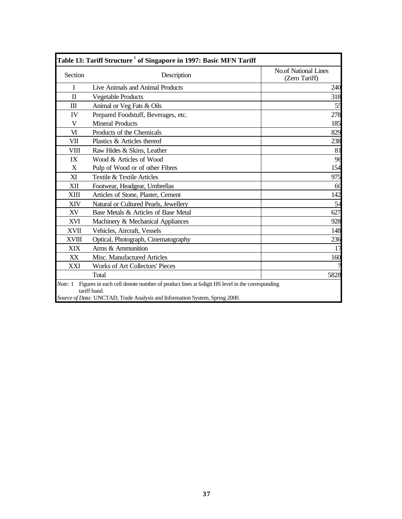|              | Table 13: Tariff Structure <sup>1</sup> of Singapore in 1997: Basic MFN Tariff                                                                                                              |                                              |
|--------------|---------------------------------------------------------------------------------------------------------------------------------------------------------------------------------------------|----------------------------------------------|
| Section      | Description                                                                                                                                                                                 | <b>No.of National Lines</b><br>(Zero Tariff) |
| I            | Live Animals and Animal Products                                                                                                                                                            | 240                                          |
| $\mathbf{I}$ | <b>Vegetable Products</b>                                                                                                                                                                   | 318                                          |
| $\mathbf{m}$ | Animal or Veg Fats & Oils                                                                                                                                                                   | 55                                           |
| IV           | Prepared Foodstuff, Beverages, etc.                                                                                                                                                         | 278                                          |
| V            | <b>Mineral Products</b>                                                                                                                                                                     | 185                                          |
| VI           | Products of the Chemicals                                                                                                                                                                   | 829                                          |
| VII          | Plastics & Articles thereof                                                                                                                                                                 | 238                                          |
| VIII         | Raw Hides & Skins, Leather                                                                                                                                                                  | 81                                           |
| IX           | Wood & Articles of Wood                                                                                                                                                                     | 96                                           |
| X            | Pulp of Wood or of other Fibres                                                                                                                                                             | 154                                          |
| XI           | Textile & Textile Articles                                                                                                                                                                  | 975                                          |
| XII          | Footwear, Headgear, Umbrellas                                                                                                                                                               | 60                                           |
| XIII         | Articles of Stone, Plaster, Cement                                                                                                                                                          | 142                                          |
| XIV          | Natural or Cultured Pearls, Jewellery                                                                                                                                                       | 54                                           |
| XV           | Base Metals & Articles of Base Metal                                                                                                                                                        | 627                                          |
| XVI          | Machinery & Mechanical Appliances                                                                                                                                                           | 928                                          |
| <b>XVII</b>  | Vehicles, Aircraft, Vessels                                                                                                                                                                 | 148                                          |
| <b>XVIII</b> | Optical, Photograph, Cinematography                                                                                                                                                         | 236                                          |
| <b>XIX</b>   | Arms & Ammunition                                                                                                                                                                           | 17                                           |
| XX           | Misc. Manufactured Articles                                                                                                                                                                 | 160                                          |
| XXI          | <b>Works of Art Collectors' Pieces</b>                                                                                                                                                      |                                              |
|              | Total                                                                                                                                                                                       | 5828                                         |
| Note: 1      | Figures in each cell denote number of product lines at 6-digit HS level in the corresponding<br>tariff band.<br>Source of Data: UNCTAD, Trade Analysis and Information System, Spring 2000. |                                              |
|              |                                                                                                                                                                                             |                                              |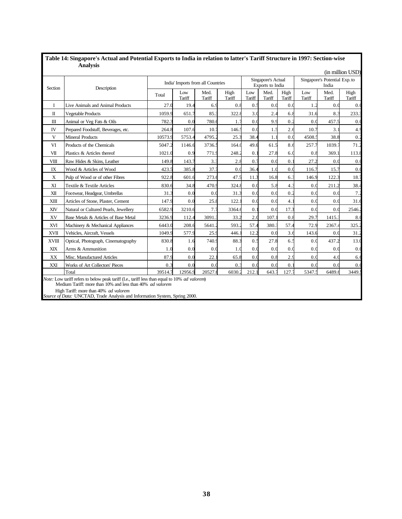|              | мпагуэіэ                                                                                                                                                                                                                                                                           |                |               |                                   |                |               |                                        |                |                                        |                | (in million USD) |  |
|--------------|------------------------------------------------------------------------------------------------------------------------------------------------------------------------------------------------------------------------------------------------------------------------------------|----------------|---------------|-----------------------------------|----------------|---------------|----------------------------------------|----------------|----------------------------------------|----------------|------------------|--|
| Section      | Description                                                                                                                                                                                                                                                                        |                |               | India' Imports from all Countries |                |               | Singapore's Actual<br>Exports to India |                | Singapore's Potential Exp. to<br>India |                |                  |  |
|              |                                                                                                                                                                                                                                                                                    | Total          | Low<br>Tariff | Med.<br>Tariff                    | High<br>Tariff | Low<br>Tariff | Med.<br>Tariff                         | High<br>Tariff | Low<br>Tariff                          | Med.<br>Tariff | High<br>Tariff   |  |
| I            | Live Animals and Animal Products                                                                                                                                                                                                                                                   | 27.0           | 19.4          | 6.9                               | 0.8            | 0.5           | 0.0                                    | 0.0            | 1.2                                    | 0.0            | 0.0              |  |
| $\mathbf{I}$ | <b>Vegetable Products</b>                                                                                                                                                                                                                                                          | 1059.9         | 651.7         | 85.3                              | 322.8          | 3.0           | 2.4                                    | 6.8            | 31.6                                   | 8.3            | 233.3            |  |
| $\rm III$    | Animal or Veg Fats & Oils                                                                                                                                                                                                                                                          | 782.3          | 0.0           | 780.6                             | 1.2            | 0.0           | 9.9                                    | 0.2            | 0.0                                    | 457.5          | 0.0              |  |
| IV           | Prepared Foodstuff, Beverages, etc.                                                                                                                                                                                                                                                | 264.8          | 107.6         | 10.7                              | 146.5          | 0.0           | 1.5                                    | 2.6            | 10.7                                   | 3.1            | 4.9              |  |
| V            | <b>Mineral Products</b>                                                                                                                                                                                                                                                            | 10573.9        | 5753.4        | 4795.2                            | 25.3           | 38.4          | 1.1                                    | 0.0            | 4508.                                  | 38.8           | 0.2              |  |
| VI           | Products of the Chemicals                                                                                                                                                                                                                                                          | 5047.2         | 1146.6        | 3736.5                            | 164.0          | 49.6          | 61.5                                   | 8.6            | 257.7                                  | 1039.7         | 71.2             |  |
| VII          | Plastics & Articles thereof                                                                                                                                                                                                                                                        | 1021.0         | 0.9           | 771.9                             | 248.2          | 0.1           | 27.8                                   | 6(             | $0.\xi$                                | 369.           | 113.8            |  |
| VIII         | Raw Hides & Skins, Leather                                                                                                                                                                                                                                                         | 149.8          | 143.7         | 3.3                               | 2.8            | 0.7           | 0.0                                    | 0.1            | 27.2                                   | 0.0            | 0.0              |  |
| IX           | Wood & Articles of Wood                                                                                                                                                                                                                                                            | 423.5          | 385.8         | 37.7                              | 0.0            | 36.4          | 1 <sub>0</sub>                         | 0.0            | 116.7                                  | 15.7           | 0.0              |  |
| X            | Pulp of Wood or of other Fibres                                                                                                                                                                                                                                                    | 922.8          | 601.6         | 273.6                             | 47.5           | 11.3          | 16.8                                   | 6.3            | 146.9                                  | 122.3          | 18.7             |  |
| XI           | Textile & Textile Articles                                                                                                                                                                                                                                                         | 830.6          | 34.8          | 470.9                             | 324.8          | 0.0           | 5.8                                    | 4.3            | 0.0                                    | 211.2          | 38.4             |  |
| XII          | Footwear, Headgear, Umbrellas                                                                                                                                                                                                                                                      | 31.3           | 0.0           | 0.0                               | 31.3           | 0.0           | 0.0                                    | 0.2            | 0.0                                    | 0.0            | 7.2              |  |
| XIII         | Articles of Stone, Plaster, Cement                                                                                                                                                                                                                                                 | 147.9          | 0.0           | 25.8                              | 122.           | 0.0           | 0.0                                    | 4.             | 0.0                                    | 0.0            | 31.6             |  |
| XIV          | Natural or Cultured Pearls, Jewellery                                                                                                                                                                                                                                              | 6582.9         | 3210.6        | 7.7                               | 3364.          | 0.1           | 0.0                                    | 17.3           | 0.0                                    | 0.0            | 2546.2           |  |
| XV           | Base Metals & Articles of Base Metal                                                                                                                                                                                                                                               | 3236.9         | 112.4         | 3091.3                            | 33.2           | 2.0           | 107.                                   | 0.8            | 29.7                                   | 1415.3         | 8.0              |  |
| <b>XVI</b>   | Machinery & Mechanical Appliances                                                                                                                                                                                                                                                  | 6443.0         | 208.6         | 5641.2                            | 593.2          | 57.4          | 380.3                                  | 57.4           | 72.9                                   | 2367.4         | 325.2            |  |
| <b>XVII</b>  | Vehicles, Aircraft, Vessels                                                                                                                                                                                                                                                        | 1049.9         | 577.9         | 25.9                              | 446.           | 12.2          | 0.0                                    | 3.6            | 143.6                                  | 0.0            | 31.2             |  |
| <b>XVIII</b> | Optical, Photograph, Cinematography                                                                                                                                                                                                                                                | 830.8          | 1.6           | 740.9                             | 88.3           | 0.5           | 27.8                                   | 6.5            | 0.0                                    | 437.2          | 13.0             |  |
| XIX          | Arms & Ammunition                                                                                                                                                                                                                                                                  | 1 <sub>0</sub> | 0.0           | 0.0                               | 1.0            | 0.0           | 0.0                                    | 0.0            | 0.0                                    | 0.0            | 0.0              |  |
| XX           | Misc. Manufactured Articles                                                                                                                                                                                                                                                        | 87.9           | 0.0           | 22.                               | 65.8           | 0.0           | 0.8                                    | 2.9            | 0.0                                    | 4.0            | 6.6              |  |
| XXI          | Works of Art Collectors' Pieces                                                                                                                                                                                                                                                    | 0.3            | 0.0           | 0.0                               | 0.3            | 0.0           | 0.0                                    | 0.1            | 0.0                                    | 0.0            | 0.(              |  |
|              | Total                                                                                                                                                                                                                                                                              | 39514.7        | 12956.9       | 20527.6                           | 6030.2         | 212.1         | 643.7                                  | 127.7          | 5347.5                                 | 6489.6         | 3449.            |  |
|              | Note: Low tariff refers to below peak tariff (I.e., tariff less than equal to 10% ad valorem)<br>Medium Tariff: more than 10% and less than 40% ad valorem<br>High Tariff: more than 40% ad valorem<br>Source of Data: UNCTAD, Trade Analysis and Information System, Spring 2000. |                |               |                                   |                |               |                                        |                |                                        |                |                  |  |

#### **Table 14: Singapore's Actual and Potential Exports to India in relation to latter's Tariff Structure in 1997: Section-wise Analysis**

*Source of Data:* UNCTAD, Trade Analysis and Information System, Spring 2000.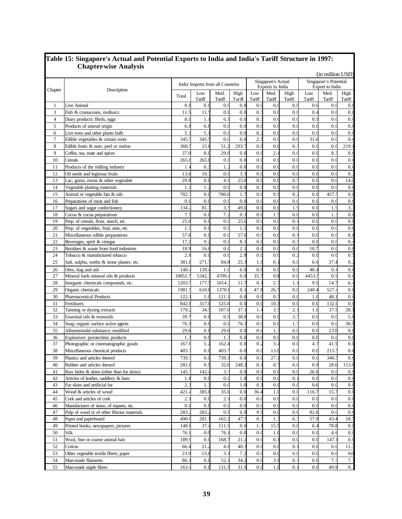|                |                                            | (in million USD) |                  |                                   |                |                    |                       |        |        |                 |                |
|----------------|--------------------------------------------|------------------|------------------|-----------------------------------|----------------|--------------------|-----------------------|--------|--------|-----------------|----------------|
|                |                                            |                  |                  |                                   |                | Singapore's Actual | Singapore's Potential |        |        |                 |                |
| Chapter        | Description                                |                  |                  | India' Imports from all Countries |                |                    | Exports to India      |        |        | Export to India |                |
|                |                                            | Total            | Low              | Med.                              | High           | Low                | Med.                  | High   | Low    | Med.            | High           |
|                |                                            |                  | Tariff           | Tariff                            | Tariff         | Tariff             | Tariff                | Tariff | Tariff | Tariff          | Tariff         |
| $\mathbf{1}$   | Live Animal                                | $0.\xi$          | 0.0              | 0.0                               | 0.8            | 0.0                | 0.0                   | 0.0    | 0.0    | 0.0             | 0.0            |
| 3              | Fish & crustaceans, molluscs               | 11.3             | 11.              | 0.0                               | 0.0            | 0.                 | 0.0                   | 0.0    | 0.4    | 0.0             | 0.0            |
| $\overline{4}$ | Diary products: Birds, eggs                | 8.0              | 1.               | 6.9                               | 0.0            | 0.3                | 0.1                   | 0.0    | 0.9    | 0.0             | 0.0            |
| 5              | Products of animal origin                  | 6.3              | 6.8              | 0.0                               | 0.0            | 0.0                | 0.0                   | 0.0    | 0.0    | 0.0             | 0.0            |
| 6              | Live trees and other plants bulb           | 5.               | 5.1              | 0.0                               | 0.0            | 0.2                | 0.1                   | 0.1    | 0.0    | 0.0             | 0.0            |
| $\overline{7}$ | Edible vegetables & certain roots          | 345.             | 345.5            | 0.0                               | 0.0            | 2.3                | 0.0                   | 0.1    | 31.6   | 0.0             | 0.0            |
| 8              | Edible fruits & nuts: peel or melon        | 360.             | 15.6             | 51.2                              | 293.7          | 0.0                | 0.1                   | 6.     | 0.1    | 0.0             | 219.1          |
| 9              | Coffee, tea, mate and spices               | 37.0             | 8.0              | 29.0                              | 0.0            | 0.(                | 2.                    | 0.0    | 0.0    | 8.3             | 0.0            |
| 10             | Cereals                                    | 265.             | 265.8            | 0.0                               | 0.0            | 0.0                | 0.1                   | 0.1    | 0.1    | 0.0             | 0.0            |
| 11             | Products of the milling industry           | 1.               | $\overline{0}$ . | 1.2                               | 0.0            | 0.0                | 0.0                   | 0.1    | 0.0    | 0.0             | 0.0            |
| 12             | Oil seeds and leginous fruits              | 13.6             | 10.              | 0.0                               | 3.3            | 0.0                | 0.0                   | 0.0    | 0.0    | 0.0             | 0.2            |
| 13             | Lac; gums, resins & other vegetable        | 29.8             | 0.0              | 4.0                               | 25.8           | 0.0                | 0.1                   | 0.3    | 0.0    | 0.0             | 14.0           |
| 14             | Vegetable plaiting materials               | 1.2              | 1.2              | 0.0                               | 0.0            | $0.\overline{3}$   | 0.0                   | 0.0    | 0.0    | 0.0             | 0.0            |
| 15             | Animal or vegetable fats & oils            | 782.             | 0.0              | 780.6                             | 1.7            | 0.0                | 9.1                   | 0.2    | 0.0    | 457.5           | 0.0            |
| 16             | Preparations of meat and fish              | 0.1              | 0.1              | 0.0                               | 0.0            | 0.0                | 0.1                   | 0.1    | 0.1    | 0.1             | 0.0            |
| 17             | Sugars and sugar confectionery             | 134.             | 81.              | 3:                                | 49.0           | 0.0                | 0.1                   | 1.9    | 0.0    | 1.9             | 3.1            |
| 18             | Cocoa & cocoa preparations                 | $7$ .            | 0.0              | 7.2                               | 0.3            | 0.0                | 1.                    | 0.0    | 0.0    | 1.              | 0.0            |
| 19             | Prep. of cereals, floor, starch, etc.      | 25.0             | 0.0              | 0.0                               | 25.0           | 0.0                | 0.1                   | 0.     | 0.0    | 0.0             | 0.0            |
| 20             | Prep. of vegetables, fruit, nuts, etc.     | $1$ .            | 0.0              | 0.0                               | 1.5            | 0.0                | 0.1                   | 0.0    | 0.0    | 0.0             | 0.0            |
| 21             | Miscellaneous edible preparations          | 57.6             | 0.0              | 0.0                               | 57.6           | 0.0                | 0.1                   | 0.     | 0.0    | 0.0             | $0.\xi$        |
| 22             | Beverages, spirit & vinegar                | 17.2             | 9.2              | 0.0                               | 8.1            | 0.0                | 0.0                   | 0.3    | 0.0    | 0.0             | 0.4            |
| 23             | Residues & waste from food industries      | 18.9             | 16.8             | 0.0                               | 2.1            | 0.0                | 0.0                   | 0.0    | 10.7   | 0.0             | 0.0            |
| 24             | Tobacco & manufactured tobacco             | 2.               | 0.0              | 0.0                               | 2.8            | 0.0                | 0.0                   | 0.2    | 0.0    | 0.1             | 0.5            |
| 25             | Salt, sulphu, earths & stone plaster, etc. | 381.8            | 271.             | 84.8                              | 25.3           | 1.9                | 0.                    | 0.0    | 6.6    | 37.4            | 0.2            |
| 26             | Ores, slag and ash                         | 140.             | 139.             | 1.0                               | 0.0            | 0.8                | 0.0                   | 0.0    | 48.    | 0.4             | 0.0            |
| 27             | Mineral fuels mineral oils & products      | 10051.           | 5342.            | 4709.                             | 0.0            | 35.7               | 0.9                   | 0.0    | 4453.  | 0.9             | 0.0            |
| 28             | Inorganic chemicals compounds, etc.        | 1203.            | 177.5            | 1014.                             | 11.7           | $\overline{0}$ .   | $\overline{2}$ .      | 1.     | 9.9    | 14.7            | 6.4            |
| 29             | Organic chemicals                          | 1981.            | 610.f            | 1370.                             | 0.1            | 47.9               | 26.7                  | 0.0    | 240.   | 527.            | 0.0            |
| 30             | <b>Pharmaceutical Products</b>             | 122.             | 1 <sub>0</sub>   | 121.1                             | 0.0            | 0.0                | 0.1                   | 0.1    | 1.0    | 48.             | 0.0            |
| 31             | Fertilisers                                | 842.             | 317.8            | 525.0                             | 0.0            | 0.0                | 10.3                  | 0.1    | 0.1    | 132.            | 0.0            |
| 32             | Tanning or dyeing extracts                 | 179.             | 34.5             | 107.6                             | 37.1           | 1.4                | $3$ .                 | 2.     | 1.6    | 37.3            | 28.1           |
| 33             | Essential oils & resinoids                 | 39.              | 0.0              | 0.9                               | 38.8           | 0.0                | 0.0                   | 3.7    | 0.0    | 0.0             | 5.8            |
| 34             | Soap, organic surface active agents        | 76.3             | 0.0              | 0.0                               | 76.3           | 0.0                | 0.1                   | 1.7    | 0.0    | 0.0             | 30.9           |
| 35             | Albuminiodal substance; modified           | 29.6             | 0.0              | 29.6                              | 0.0            | 0.0                | $\mathbf{1}$ .        | 0.0    | 0.0    | 23.0            | 0.0            |
| 36             | Explosives: pyrotechnic products           | 1.               | 0.0              | 1.                                | 0.0            | 0.0                | 0.1                   | 0.0    | 0.0    | 0.0             | 0.(            |
| 37             | Photographic or cinematographic goods      | 167.             | 5.2              | 162.4                             | 0.0            | 0.2                | 3.4                   | 0.1    | 4.'    | 41.5            | 0.0            |
| 38             | Miscellaneous chemical products            | 403.             | 0.0              | 403.7                             | 0.0            | 0.0                | 13.0                  | 0.0    | 0.0    | 215.5           | 0.0            |
| 39             | Plastics and articles thereof              | 739.             | 0.0              | 739.3                             | 0.0            | 0.0                | 27.1                  | 0.0    | 0.0    | 340.5           | 0.0            |
| $40\,$         | Rubber and articles thereof                | 281.8            | 0.9              | 32.6                              | 248.2          | 0.1                | 0.2                   | 6.0    | 0.8    | 28.6            | 113.8          |
| 41             | Raw hides & skins (other than fur skins)   | 145.             | 142.             | 3.3                               | 0.0            | 0.6                | 0.0                   | 0.0    | 26.6   | 0.0             | 0.0            |
| 42             | Articles of leather, saddlery & ham        | 1.8              | 0.0              | 0.0                               | 1.8            | 0.0                | 0.0                   | 0.1    | 0.0    | 0.0             | 0.0            |
| 43             | Fur skins and artificial fur               | 2.3              | $1.\overline{3}$ | 0.0                               | 1 <sub>0</sub> | 0.1                | 0.0                   | 0.0    | 0.6    | 0.0             | 0.0            |
| 44             | Wood & articles of wood                    | 421.             | 385.8            | 35.6                              | 0.0            | 36.4               | 1.0                   | 0.0    | 116.7  | 15.7            | 0.0            |
| 45             | Cork and articles of cork                  | 2.               | 0.0              | 2.1                               | 0.0            | 0.0                | 0.0                   | 0.0    | 0.0    | 0.0             | 0.0            |
| 46             | Manufactures of straw, of esparto, etc.    | 0.0              | 0.0              | 0.0                               | 0.0            | 0.0                | 0.0                   | 0.0    | 0.0    | 0.0             | 0.0            |
| 47             | Pulp of wood or of other fibrous materials | 283.2            | 283.2            | 0.0                               | 0.0            | 9.9                | 0.0                   | 0.0    | 82.6   | 0.0             | 0.0            |
| 48             | Paper and paperboard                       | 490.             | 281.             | 162.2                             | 47.5           | $0.\overline{3}$   | 1.                    | $6$ .  | 57.9   | 43.4            | 18.7           |
| 49             | Printed books, newspapers, pictures        | 148.8            | 37.4             |                                   | 0.0            | 1.1                | 15.5                  | 0.0    | 6.4    | 78.8            | 0.0            |
|                | Silk                                       |                  |                  | 111.5<br>76.1                     | 0.0            |                    |                       |        |        |                 |                |
| 50             |                                            | 76.1             | 0.0              |                                   |                | 0.0                | 1.0                   | 0.0    | 0.0    | 4.6             | 0.0            |
| 51             | Wool, fine or coarse animal hair           | 189.9            | 0.0              | 168.7                             | 21.2           | 0.0                | $\overline{0}$ .      | 0.0    | 0.0    | 147.            | 0.0            |
| 52             | Cotton                                     | 66.              | 21.2             | 4.8                               | 40.3           | 0.0                | 0.0                   | 0.     | 0.0    | 0.0             | 11.3           |
| 53             | Other vegetable textile fibres; paper      | 23.9             | 13.6             | 3.1                               | 7.2            | 0.0                | 0.0                   | 0.0    | 0.0    | 0.0             | 0 <sub>0</sub> |
| 54             | Man-made filaments                         | 86.3             | 0.0              | 52.1                              | 34.2           | 0.0                | 3.6                   | 0.3    | 0.0    | 7.3             | 7:             |
| 55             | Man-made staple fibres                     | 163.4            | 0.0              | 131.5                             | 31.9           | 0.0                | 1.0                   | 0.1    | 0.0    | 49.9            | 9.3            |

#### **Table 15: Singapore's Actual and Potential Exports to India and India's Tariff Structure in 1997: Chapter-wise Analysis**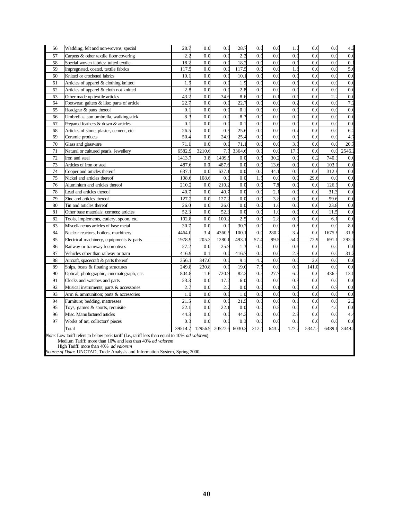| 56 | Wadding, felt and non-wovens; special                                                                                                                                                               | 28.7             | 0.0     | 0.0     | 28.7   | 0.0   | 0.0              | 1.7              | 0.0    | 0.0   | 4.2              |  |  |
|----|-----------------------------------------------------------------------------------------------------------------------------------------------------------------------------------------------------|------------------|---------|---------|--------|-------|------------------|------------------|--------|-------|------------------|--|--|
| 57 | Carpets & other textile floor covering                                                                                                                                                              | 2.2              | 0.0     | 0.0     | 2.2    | 0.0   | 0.0              | 0.0              | 0.0    | 0.0   | 0.0              |  |  |
| 58 | Special woven fabrics; tufted textile                                                                                                                                                               | 18.              | 0.0     | 0.0     | 18.2   | 0.0   | 0.0              | $0$ .            | 0.0    | 0.0   | 0.1              |  |  |
| 59 | Impregnated, coated, textile fabrics                                                                                                                                                                | 117.             | 0.0     | 0.0     | 117.5  | 0.0   | 0.0              | 1.8              | 0.0    | 0.0   | $\overline{5.6}$ |  |  |
| 60 | Knitted or crocheted fabrics                                                                                                                                                                        | 10.              | 0.0     | 0.0     | 10.1   | 0.0   | 0.0              | 0.0              | 0.0    | 0.0   | 0.0              |  |  |
| 61 | Articles of apparel & clothing knitted                                                                                                                                                              | 1.9              | 0.0     | 0.0     | 1.9    | 0.0   | 0.0              | $0$ .            | 0.0    | 0.0   | 0.0              |  |  |
| 62 | Articles of apparel & cloth not knitted                                                                                                                                                             | $\overline{2}$ . | 0.0     | 0.0     | 2.8    | 0.0   | 0.0              | 0.0              | 0.0    | 0.0   | 0.0              |  |  |
| 63 | Other made up textile articles                                                                                                                                                                      | 43.2             | 0.0     | 34.6    | 8.6    | 0.0   | $\overline{0}$ . | 0.               | 0.0    | 2.2   | 0.0              |  |  |
| 64 | Footwear, gaiters & like; parts of article                                                                                                                                                          | 22.7             | 0.0     | 0.0     | 22.7   | 0.0   | 0.0              | 0.2              | 0.0    | 0.0   | 7.2              |  |  |
| 65 | Headgear & parts thereof                                                                                                                                                                            | $\overline{0}$ . | 0.0     | 0.0     | 0.1    | 0.0   | 0.0              | 0.0              | 0.0    | 0.0   | 0.0              |  |  |
| 66 | Umbrellas, sun umbrella, walking-stick                                                                                                                                                              | 8.               | 0.0     | 0.0     | 8.3    | 0.0   | 0.0              | 0.0              | 0.0    | 0.0   | 0.0              |  |  |
| 67 | Prepared feathers & down & articles                                                                                                                                                                 | $\overline{0}$ . | 0.0     | 0.0     | 0.1    | 0.0   | 0.0              | 0.0              | 0.0    | 0.0   | 0.0              |  |  |
| 68 | Articles of stone, plaster, cement, etc.                                                                                                                                                            | 26.5             | 0.0     | 0.9     | 25.6   | 0.0   | 0.0              | 0.4              | 0.0    | 0.0   | 6.2              |  |  |
| 69 | Ceramic products                                                                                                                                                                                    | 50.4             | 0.0     | 24.9    | 25.4   | 0.0   | 0.0              | $\overline{0}$ . | 0.0    | 0.0   | 4.1              |  |  |
| 70 | Glass and glassware                                                                                                                                                                                 | 71.              | 0.0     | 0.0     | 71.1   | 0.0   | 0.0              | 3.1              | 0.0    | 0.0   | 20.7             |  |  |
| 71 | Natural or cultured pearls, Jewellery                                                                                                                                                               | 6582.            | 3210.6  | 7.7     | 3364.6 | $0$ . | 0.0              | 17.              | 0.0    | 0.0   | 2546.2           |  |  |
| 72 | Iron and steel                                                                                                                                                                                      | 1413.            | 3.8     | 1409.   | 0.0    | 0.3   | 30.2             | 0.0              | 0.2    | 740.  | 0.0              |  |  |
| 73 | Articles of Iron or steel                                                                                                                                                                           | 487.             | 0.0     | 487.6   | 0.0    | 0.0   | 13.6             | 0.0              | 0.0    | 103.  | 0.0              |  |  |
| 74 | Cooper and articles thereof                                                                                                                                                                         | 637.             | 0.0     | 637.1   | 0.0    | 0.0   | 44.1             | 0.0              | 0.0    | 312.  | 0.0              |  |  |
| 75 | Nickel and articles thereof                                                                                                                                                                         | 108.             | 108.6   | 0.0     | 0.0    | $1$ . | 0.0              | 0.0              | 29.6   | 0.1   | 0.0              |  |  |
| 76 | Aluminium and articles thereof                                                                                                                                                                      | 210.             | 0.0     | 210.2   | 0.0    | 0.0   | 7.8              | 0.0              | 0.0    | 126.  | 0.0              |  |  |
| 78 | Lead and articles thereof                                                                                                                                                                           | 40.              | 0.0     | 40.7    | 0.0    | 0.0   | $\overline{2}$ . | 0.0              | 0.0    | 31.   | 0.0              |  |  |
| 79 | Zinc and articles thereof                                                                                                                                                                           | 127.             | 0.0     | 127.2   | 0.0    | 0.0   | 3.8              | 0.0              | 0.0    | 59.   | 0.0              |  |  |
| 80 | Tin and articles thereof                                                                                                                                                                            | 26.0             | 0.0     | 26.0    | 0.0    | 0.0   | 1.6              | 0.0              | 0.0    | 23.8  | 0.0              |  |  |
| 81 | Other base materials; cermets; articles                                                                                                                                                             | 52.              | 0.0     | 52.3    | 0.0    | 0.0   | 1.0              | 0.0              | 0.0    | 11.5  | 0.0              |  |  |
| 82 | Tools, implements, cutlery, spoon, etc.                                                                                                                                                             | 102.             | 0.0     | 100.2   | 2.5    | 0.0   | 2.3              | 0.0              | 0.0    | 6.1   | 0.0              |  |  |
| 83 | Miscellaneous articles of base metal                                                                                                                                                                | 30.7             | 0.0     | 0.0     | 30.7   | 0.0   | 0.0              | 0.8              | 0.0    | 0.0   | 8.0              |  |  |
| 84 | Nuclear reactors, boilers, machinery                                                                                                                                                                | 4464.            | 3.4     | 4360.   | 100.1  | 0.0   | 280.             | 3.4              | 0.0    | 1675. | 31.8             |  |  |
| 85 | Electrical machinery, equipments & parts                                                                                                                                                            | 1978.            | 205.    | 1280.   | 493.1  | 57.4  | 99.              | 54.0             | 72.9   | 691.  | 293.3            |  |  |
| 86 | Railway or tramway locomotives                                                                                                                                                                      | 27.2             | 0.0     | 25.9    | 1.3    | 0.0   | 0.0              | 0.6              | 0.0    | 0.0   | 0.0              |  |  |
| 87 | Vehicles other than railway or tram                                                                                                                                                                 | 416.             | 0.1     | 0.0     | 416.7  | 0.0   | 0.0              | 2.8              | 0.0    | 0.0   | 31.2             |  |  |
| 88 | Aircraft, spacecraft & parts thereof                                                                                                                                                                | 356.             | 347.0   | 0.0     | 9.1    | 4.1   | 0.0              | 0.0              | 2.6    | 0.0   | 0.0              |  |  |
| 89 | Ships, boats & floating structures                                                                                                                                                                  | 249.             | 230.    | 0.1     | 19.0   | 7.3   | 0.0              | 0.               | 141.   | 0.0   | 0.0              |  |  |
| 90 | Optical, photographic, cinematograph, etc.                                                                                                                                                          | 804.             | 1.6     | 720.9   | 82.2   | 0.3   | 27.7             | 6.2              | 0.0    | 436.  | 13.0             |  |  |
| 91 | Clocks and watches and parts                                                                                                                                                                        | 23.3             | 0.0     | 17.2    | 6.0    | 0.0   | 0.0              | 0.3              | 0.0    | 0.0   | 0.0              |  |  |
| 92 | Musical instruments; parts & accessories                                                                                                                                                            | 2.1              | 0.0     | 2.7     | 0.0    | 0.0   | $\overline{0}$ . | 0.0              | 0.0    | 0.9   | 0.0              |  |  |
| 93 | Arm & ammunition; parts & accessories                                                                                                                                                               | 1.0              | 0.0     | 0.0     | 1.0    | 0.0   | 0.0              | 0.0              | 0.0    | 0.0   | 0.0              |  |  |
| 94 | Furniture; bedding, mattresses                                                                                                                                                                      | 21.3             | 0.0     | 0.0     | 21.5   | 0.0   | 0.0              | $\overline{0}$ . | 0.0    | 0.0   | 2.2              |  |  |
| 95 | Toys, games & sports, requisite                                                                                                                                                                     | 22.              | 0.0     | 22.1    | 0.0    | 0.0   | 0.8              | 0.0              | 0.0    | 4.0   | 0.0              |  |  |
| 96 | Misc. Manu factured articles                                                                                                                                                                        | 44.3             | 0.0     | 0.0     | 44.3   | 0.0   | 0.0              | 2.8              | 0.0    | 0.0   | 4.4              |  |  |
| 97 | Works of art, collectors' pieces                                                                                                                                                                    | 0.               | 0.0     | 0.0     | 0.3    | 0.0   | 0.0              | 0.               | 0.0    | 0.0   | 0.0              |  |  |
|    | Total                                                                                                                                                                                               | 39514.7          | 12956.9 | 20527.6 | 6030.2 | 212.  | 643.             | 127.             | 5347.5 | 6489. | 3449.            |  |  |
|    | Note: Low tariff refers to below peak tariff (I.e., tariff less than equal to 10% ad valorem)<br>Medium Tariff: more than 10% and less than 40% ad valorem<br>High Tariff: more than 40% ad valorem |                  |         |         |        |       |                  |                  |        |       |                  |  |  |
|    | Source of Data: UNCTAD, Trade Analysis and Information System, Spring 2000.                                                                                                                         |                  |         |         |        |       |                  |                  |        |       |                  |  |  |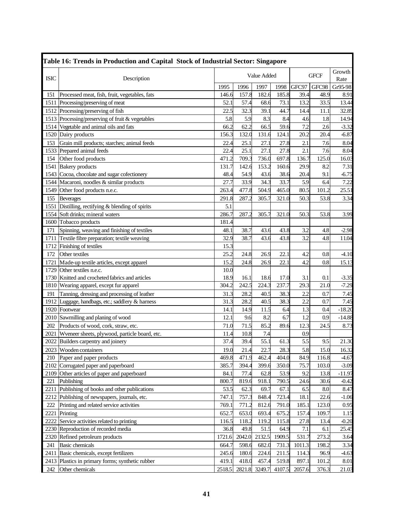|             | Table 16: Trends in Production and Capital Stock of Industrial Sector: Singapore |        |        |             |        |        |             |                |
|-------------|----------------------------------------------------------------------------------|--------|--------|-------------|--------|--------|-------------|----------------|
| <b>ISIC</b> | Description                                                                      |        |        | Value Added |        |        | <b>GFCF</b> | Growth<br>Rate |
|             |                                                                                  | 1995   | 1996   | 1997        | 1998   | GFC97  | GFC98       | Gr95-98        |
| 151         | Processed meat, fish, fruit, vegetables, fats                                    | 146.6  | 157.8  | 182.6       | 185.8  | 39.4   | 48.9        | 8.91           |
|             | 1511 Processing/preserving of meat                                               | 52.1   | 57.4   | 68.6        | 73.1   | 13.2   | 33.5        | 13.44          |
|             | 1512 Processing/preserving of fish                                               | 22.5   | 32.3   | 39.1        | 44.7   | 14.4   | 11.1        | 32.89          |
|             | 1513 Processing/preserving of fruit & vegetables                                 | 5.8    | 5.9    | 8.3         | 8.4    | 4.6    | 1.8         | 14.94          |
|             | 1514 Vegetable and animal oils and fats                                          | 66.2   | 62.2   | 66.5        | 59.6   | 7.2    | 2.6         | $-3.32$        |
|             | 1520 Dairy products                                                              | 156.3  | 132.0  | 131.6       | 124.1  | 20.2   | 20.4        | $-6.87$        |
| 153         | Grain mill products; starches; animal feeds                                      | 22.4   | 25.1   | 27.1        | 27.8   | 2.1    | 7.6         | 8.04           |
|             | 1533 Prepared animal feeds                                                       | 22.4   | 25.1   | 27.1        | 27.8   | 2.1    | 7.6         | 8.04           |
| 154         | Other food products                                                              | 471.2  | 709.3  | 736.0       | 697.8  | 136.7  | 125.0       | 16.03          |
| 1541        | <b>Bakery</b> products                                                           | 131.7  | 142.6  | 153.2       | 160.6  | 29.9   | 8.2         | 7.31           |
| 1543        | Cocoa, chocolate and sugar cofectionery                                          | 48.4   | 54.9   | 43.6        | 38.6   | 20.4   | 9.1         | $-6.75$        |
|             | 1544 Macaroni, noodles & similar products                                        | 27.7   | 33.9   | 34.3        | 33.7   | 5.9    | 6.4         | 7.22           |
| 1549        | Other food products n.e.c.                                                       | 263.4  | 477.8  | 504.9       | 465.0  | 80.5   | 101.2       | 25.51          |
| 155         | <b>Beverages</b>                                                                 | 291.8  | 287.2  | 305.7       | 321.0  | 50.3   | 53.8        | 3.34           |
| 1551        | Distilling, rectifying & blending of spirits                                     | 5.1    |        |             |        |        |             |                |
|             | 1554 Soft drinks; mineral waters                                                 | 286.7  | 287.2  | 305.7       | 321.0  | 50.3   | 53.8        | 3.99           |
|             | 1600 Tobacco products                                                            | 181.4  |        |             |        |        |             |                |
| 171         | Spinning, weaving and finishing of textiles                                      | 48.1   | 38.7   | 43.6        | 43.8   | 3.2    | 4.8         | $-2.98$        |
| 1711        | Textile fibre preparation; textile weaving                                       | 32.9   | 38.7   | 43.6        | 43.8   | 3.2    | 4.8         | 11.04          |
| 1712        | Finishing of textiles                                                            | 15.3   |        |             |        |        |             |                |
| 172         | Other textiles                                                                   | 25.2   | 24.8   | 26.9        | 22.1   | 4.2    | 0.8         | $-4.10$        |
| 1721        | Made-up textile articles, except apparel                                         | 15.2   | 24.8   | 26.9        | 22.1   | 4.2    | 0.8         | 15.13          |
|             | 1729 Other textiles n.e.c.                                                       | 10.0   |        |             |        |        |             |                |
|             | 1730 Knitted and crocheted fabrics and articles                                  | 18.9   | 16.1   | 18.6        | 17.0   | 3.1    | 0.1         | $-3.35$        |
|             | 1810 Wearing apparel, except fur apparel                                         | 304.2  | 242.5  | 224.3       | 237.7  | 29.3   | 21.0        | $-7.29$        |
| 191         | Tanning, dressing and processing of leather                                      | 31.3   | 28.2   | 40.5        | 38.3   | 2.2    | 0.7         | 7.45           |
|             | 1912 Luggage, handbags, etc.; saddlery & harness                                 | 31.3   | 28.2   | 40.5        | 38.3   | 2.2    | 0.7         | 7.45           |
|             | 1920 Footwear                                                                    | 14.1   | 14.9   | 11.5        | 6.4    | 1.3    | 0.4         | $-18.20$       |
|             | 2010 Sawmilling and planing of wood                                              | 12.1   | 9.6    | 8.2         | 6.7    | 1.2    | 0.9         | $-14.88$       |
| 202         | Products of wood, cork, straw, etc.                                              | 71.0   | 71.5   | 85.2        | 89.6   | 12.3   | 24.5        | 8.73           |
| 2021        | Wyeneer sheets, plywood, particle board, etc.                                    | 11.4   | 10.8   | 7.4         |        | 0.9    |             |                |
|             | 2022 Builders carpentry and joinery                                              | 37.4   | 39.4   | 55.1        | 61.3   | 5.5    | 9.5         | 21.30          |
|             | 2023 Wooden containers                                                           | 19.0   | 21.4   | 22.7        | 28.3   | 5.8    | 15.0        | 16.32          |
| 210         | Paper and paper products                                                         | 469.8  | 471.9  | 462.4       | 404.0  | 84.9   | 116.8       | -4.67          |
|             | 2102 Corrugated paper and paperboard                                             | 385.7  | 394.4  | 399.6       | 350.0  | 75.7   | 103.0       | $-3.09$        |
|             | 2109 Other articles of paper and paperboard                                      | 84.1   | 77.4   | 62.8        | 53.9   | 9.2    | 13.8        | $-11.97$       |
| 221         | Publishing                                                                       | 800.7  | 819.6  | 918.1       | 790.5  | 24.6   | 30.6        | $-0.42$        |
|             | 2211 Publishing of books and other publications                                  | 53.5   | 62.3   | 69.7        | 67.1   | 6.5    | 8.0         | 8.47           |
|             | 2212 Publishing of newspapers, journals, etc.                                    | 747.1  | 757.3  | 848.4       | 723.4  | 18.1   | 22.6        | $-1.06$        |
| 222         | Printing and related service activities                                          | 769.1  | 771.2  | 812.6       | 791.0  | 185.1  | 123.0       | 0.95           |
|             | 2221 Printing                                                                    | 652.7  | 653.0  | 693.4       | 675.2  | 157.4  | 109.7       | 1.15           |
|             | 2222 Service activities related to printing                                      | 116.5  | 118.2  | 119.2       | 115.8  | 27.8   | 13.4        | $-0.20$        |
|             | 2230 Reproduction of recorded media                                              | 36.8   | 49.8   | 51.5        | 64.9   | 7.1    | 6.1         | 25.45          |
|             | 2320 Refined petroleum products                                                  | 1721.6 | 2042.0 | 2132.5      | 1909.5 | 531.7  | 273.2       | 3.64           |
| 241         | <b>Basic chemicals</b>                                                           | 664.7  | 598.6  | 682.0       | 731.3  | 1011.3 | 198.2       | 3.34           |
|             | 2411 Basic chemicals, except fertilizers                                         | 245.6  | 180.6  | 224.6       | 211.5  | 114.3  | 96.9        | $-4.63$        |
|             | 2413 Plastics in primary forms; synthetic rubber                                 | 419.1  | 418.0  | 457.4       | 519.8  | 897.1  | 101.2       | 8.01           |
| 242         | Other chemicals                                                                  | 2518.5 | 2821.8 | 3249.7      | 4107.5 | 2057.6 | 376.3       | 21.03          |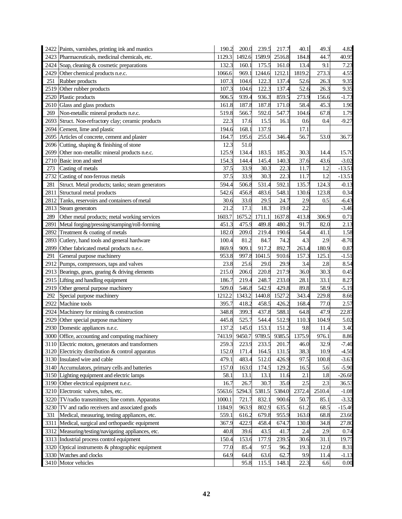|      | 2422 Paints, varnishes, printing ink and mastics  | 190.2  | 200.0  | 239.5  | 217.7  | 40.1   | 49.3   | 4.82     |
|------|---------------------------------------------------|--------|--------|--------|--------|--------|--------|----------|
|      | 2423 Pharmaceuticals, medicinal chemicals, etc.   | 1129.3 | 1492.6 | 1589.9 | 2516.8 | 184.8  | 44.7   | 40.95    |
| 2424 | Soap, cleaning & cosmetic preparations            | 132.3  | 160.1  | 175.5  | 161.0  | 13.4   | 9.1    | 7.23     |
| 2429 | Other chemical products n.e.c.                    | 1066.6 | 969.1  | 1244.6 | 1212.1 | 1819.2 | 273.3  | 4.55     |
| 251  | Rubber products                                   | 107.3  | 104.6  | 122.3  | 137.4  | 52.6   | 26.3   | 9.35     |
| 2519 | Other rubber products                             | 107.3  | 104.6  | 122.3  | 137.4  | 52.6   | 26.3   | 9.35     |
| 2520 | Plastic products                                  | 906.5  | 939.4  | 936.3  | 859.5  | 273.9  | 156.6  | $-1.73$  |
| 2610 | Glass and glass products                          | 161.8  | 187.8  | 187.8  | 171.0  | 58.4   | 45.3   | 1.90     |
| 269  | Non-metallic mineral products n.e.c.              | 519.8  | 566.7  | 592.0  | 547.7  | 104.6  | 67.8   | 1.79     |
| 2693 | Struct. Non-refractory clay; ceramic products     | 22.3   | 17.6   | 15.5   | 16.1   | 0.6    | 0.4    | $-9.27$  |
| 2694 | Cement, lime and plastic                          | 194.6  | 168.1  | 137.9  |        | 17.1   |        |          |
| 2695 | Articles of concrete, cement and plaster          | 164.7  | 195.6  | 255.0  | 346.4  | 56.7   | 53.0   | 36.77    |
| 2696 | Cutting, shaping & finishing of stone             | 12.3   | 51.0   |        |        |        |        |          |
| 2699 | Other non-metallic mineral products n.e.c.        | 125.9  | 134.4  | 183.5  | 185.2  | 30.3   | 14.4   | 15.70    |
| 2710 | Basic iron and steel                              | 154.3  | 144.4  | 145.4  | 140.3  | 37.6   | 43.6   | $-3.02$  |
| 273  | Casting of metals                                 | 37.5   | 33.9   | 30.3   | 22.3   | 11.7   | 1.2    | $-13.51$ |
| 2732 | Casting of non-ferrous metals                     | 37.5   | 33.9   | 30.3   | 22.3   | 11.7   | 1.2    | $-13.51$ |
| 281  | Struct. Metal products; tanks; steam generators   | 594.4  | 506.8  | 531.4  | 592.1  | 135.7  | 124.3  | $-0.13$  |
| 2811 | Structural metal products                         | 542.6  | 456.8  | 483.6  | 548.1  | 130.6  | 123.8  | 0.34     |
| 2812 | Tanks, reservoirs and containers of metal         | 30.6   | 33.0   | 29.5   | 24.7   | 2.9    | 0.5    | $-6.43$  |
| 2813 | Steam generators                                  | 21.2   | 17.1   | 18.3   | 19.0   | 2.2    |        | $-3.46$  |
| 289  | Other metal products; metal working services      | 1603.7 | 1675.2 | 1711.1 | 1637.8 | 413.8  | 306.9  | 0.71     |
| 2891 | Metal forging/pressing/stamping/roll-forming      | 451.3  | 475.9  | 489.8  | 480.2  | 91.7   | 82.0   | 2.13     |
| 2892 | Treatment & coating of metals                     | 182.0  | 209.0  | 219.4  | 190.6  | 54.4   | 41.1   | 1.58     |
| 2893 | Cutlery, hand tools and general hardware          | 100.4  | 81.2   | 84.7   | 74.2   | 4.3    | 2.9    | $-8.70$  |
| 2899 | Other fabricated metal products n.e.c.            | 869.9  | 909.1  | 917.2  | 892.7  | 263.4  | 180.9  | 0.87     |
| 291  | General purpose machinery                         | 953.8  | 997.8  | 1041.5 | 910.6  | 157.3  | 125.1  | $-1.51$  |
| 2912 | Pumps, compressors, taps and valves               | 23.8   | 25.6   | 29.0   | 29.9   | 3.4    | 2.8    | 8.54     |
|      | 2913 Bearings, gears, gearing & driving elements  | 215.0  | 206.0  | 220.8  | 217.9  | 36.0   | 30.3   | 0.45     |
|      | 2915 Lifting and handling equipment               | 186.7  | 219.4  | 248.7  | 233.0  | 28.1   | 33.1   | 8.27     |
| 2919 | Other general purpose machinery                   | 509.0  | 546.8  | 542.9  | 429.8  | 89.8   | 58.9   | $-5.19$  |
| 292  | Special purpose machinery                         | 1212.2 | 1343.2 | 1440.8 | 1527.2 | 343.4  | 229.8  | 8.66     |
| 2922 | Machine tools                                     | 395.7  | 418.2  | 458.5  | 426.2  | 168.4  | 77.0   | 2.57     |
|      | 2924   Machinery for mining & construction        | 348.8  | 399.3  | 437.8  | 588.1  | 64.8   | 47.9   | 22.87    |
| 2929 | Other special purpose machinery                   | 445.8  | 525.7  | 544.4  | 512.9  | 110.3  | 104.9  | 5.02     |
|      | 2930 Domestic appliances n.e.c.                   | 137.2  | 145.0  | 153.1  | 151.2  | 9.8    | 11.4   | 3.40     |
|      | 3000 Office, accounting and computing machinery   | 7413.9 | 9450.7 | 9789.5 | 9385.5 | 1375.9 | 976.1  | 8.86     |
|      | 3110 Electric motors, generators and transformers | 259.3  | 223.9  | 233.5  | 201.7  | 46.0   | 32.9   | $-7.40$  |
|      | 3120 Electricity distribution & control apparatus | 152.0  | 171.4  | 164.5  | 131.5  | 38.3   | 10.9   | $-4.50$  |
|      | 3130 Insulated wire and cable                     | 479.1  | 483.4  | 512.0  | 426.9  | 97.5   | 100.8  | $-3.63$  |
|      | 3140 Accumulators, primary cells and batteries    | 157.0  | 163.0  | 174.5  | 129.2  | 16.5   | 5.6    | $-5.90$  |
|      | 3150 Lighting equipment and electric lamps        | 58.1   | 13.1   | 13.1   | 11.6   | 2.1    | 1.8    | $-26.68$ |
| 3190 | Other electrical equipment n.e.c.                 | 16.7   | 26.7   | 30.7   | 35.0   | 2.5    | 2.3    | 36.53    |
|      | 3210 Electronic valves, tubes, etc.               | 5563.6 | 5294.3 | 5381.5 | 5384.0 | 2372.4 | 2510.4 | $-1.08$  |
| 3220 | TV/radio transmitters; line comm. Apparatus       | 1000.1 | 721.7  | 832.1  | 900.6  | 50.7   | 85.1   | $-3.32$  |
| 3230 | TV and radio receivers and associated goods       | 1184.9 | 963.9  | 802.9  | 635.5  | 61.2   | 68.5   | $-15.46$ |
| 331  | Medical, measuring, testing appliances, etc.      | 559.1  | 616.2  | 679.8  | 955.9  | 163.0  | 68.8   | 23.66    |
| 3311 | Medical, surgical and orthopaedic equipment       | 367.9  | 422.9  | 458.4  | 674.7  | 130.0  | 34.8   | 27.80    |
| 3312 | Measuring/testing/navigating appliances, etc.     | 40.8   | 39.6   | 43.5   | 41.7   | 2.4    | 2.9    | 0.74     |
| 3313 | Industrial process control equipment              | 150.4  | 153.6  | 177.9  | 239.5  | 30.6   | 31.1   | 19.75    |
| 3320 | Optical instruments & phtographic equipment       | 77.0   | 85.4   | 97.5   | 96.2   | 19.3   | 12.0   | 8.31     |
| 3330 | Watches and clocks                                | 64.9   | 64.0   | 63.6   | 62.7   | 9.9    | 11.4   | $-1.13$  |
| 3410 | Motor vehicles                                    |        | 95.8   | 115.5  | 148.1  | 22.3   | 6.6    | 0.00     |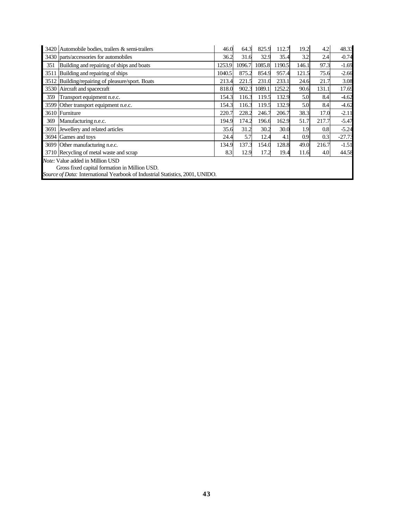|      | 3420 Automobile bodies, trailers & semi-trailers                                                                                                                          | 46.0   | 64.3   | 825.9  | 112.7  | 19.2             | 4.2   | 48.33    |  |  |
|------|---------------------------------------------------------------------------------------------------------------------------------------------------------------------------|--------|--------|--------|--------|------------------|-------|----------|--|--|
|      | 3430 parts/accessories for automobiles                                                                                                                                    | 36.2   | 31.6   | 32.9   | 35.4   | 3.2              | 2.4   | $-0.74$  |  |  |
| 351  | Building and repairing of ships and boats                                                                                                                                 | 1253.9 | 1096.7 | 1085.8 | 1190.5 | 146.1            | 97.3  | $-1.69$  |  |  |
| 3511 | Building and repairing of ships                                                                                                                                           | 1040.5 | 875.2  | 854.9  | 957.4  | 121.5            | 75.6  | $-2.66$  |  |  |
|      | 3512 Building/repairing of pleasure/sport. Boats                                                                                                                          | 213.4  | 221.5  | 231.0  | 233.1  | 24.6             | 21.7  | 3.08     |  |  |
|      | 3530 Aircraft and spacecraft                                                                                                                                              | 818.0  | 902.3  | 1089.1 | 1252.2 | 90.6             | 131.1 | 17.69    |  |  |
| 359  | Transport equipment n.e.c.                                                                                                                                                | 154.3  | 116.3  | 119.5  | 132.9  | 5.0              | 8.4   | $-4.62$  |  |  |
| 3599 | Other transport equipment n.e.c.                                                                                                                                          | 154.3  | 116.3  | 119.5  | 132.9  | 5.0              | 8.4   | $-4.62$  |  |  |
|      | 3610 Furniture                                                                                                                                                            | 220.7  | 228.2  | 246.7  | 206.7  | 38.3             | 17.0  | $-2.11$  |  |  |
| 369  | Manufacturing n.e.c.                                                                                                                                                      | 194.9  | 174.2  | 196.6  | 162.9  | 51.7             | 217.7 | $-5.47$  |  |  |
| 3691 | Jewellery and related articles                                                                                                                                            | 35.6   | 31.2   | 30.2   | 30.0   | 1.9              | 0.8   | $-5.24$  |  |  |
|      | 3694 Games and toys                                                                                                                                                       | 24.4   | 5.7    | 12.4   | 4.1    | 0.9 <sup>°</sup> | 0.3   | $-27.73$ |  |  |
|      | 3699 Other manufacturing n.e.c.                                                                                                                                           | 134.9  | 137.3  | 154.0  | 128.8  | 49.0             | 216.7 | $-1.51$  |  |  |
|      | 3710 Recycling of metal waste and scrap                                                                                                                                   | 8.3    | 12.9   | 17.2   | 19.4   | 11.6             | 4.0   | 44.58    |  |  |
|      | <i>Note:</i> Value added in Million USD<br>Gross fixed capital formation in Million USD.<br>Source of Data: International Yearbook of Industrial Statistics, 2001, UNIDO. |        |        |        |        |                  |       |          |  |  |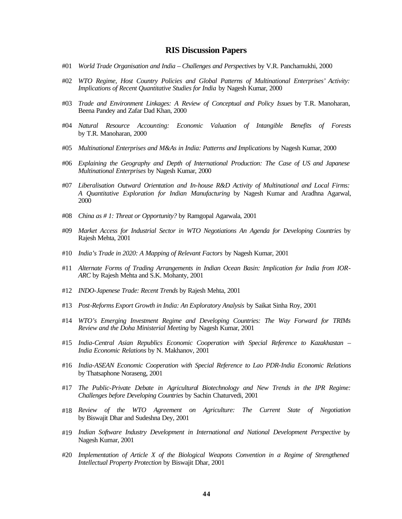#### **RIS Discussion Papers**

- #01 *World Trade Organisation and India Challenges and Perspectives* by V.R. Panchamukhi, 2000
- #02 *WTO Regime, Host Country Policies and Global Patterns of Multinational Enterprises' Activity: Implications of Recent Quantitative Studies for India* by Nagesh Kumar, 2000
- #03 *Trade and Environment Linkages: A Review of Conceptual and Policy Issues* by T.R. Manoharan, Beena Pandey and Zafar Dad Khan, 2000
- #04 *Natural Resource Accounting: Economic Valuation of Intangible Benefits of Forests* by T.R. Manoharan, 2000
- #05 *Multinational Enterprises and M&As in India: Patterns and Implications* by Nagesh Kumar, 2000
- #06 *Explaining the Geography and Depth of International Production: The Case of US and Japanese Multinational Enterprises* by Nagesh Kumar, 2000
- #07 *Liberalisation Outward Orientation and In-house R&D Activity of Multinational and Local Firms: A Quantitative Exploration for Indian Manufacturing* by Nagesh Kumar and Aradhna Agarwal, 2000
- #08 *China as # 1: Threat or Opportunity?* by Ramgopal Agarwala, 2001
- #09 *Market Access for Industrial Sector in WTO Negotiations An Agenda for Developing Countries* by Rajesh Mehta, 2001
- #10 *India's Trade in 2020: A Mapping of Relevant Factors* by Nagesh Kumar, 2001
- #11 *Alternate Forms of Trading Arrangements in Indian Ocean Basin: Implication for India from IOR-ARC* by Rajesh Mehta and S.K. Mohanty, 2001
- #12 *INDO-Japenese Trade: Recent Trends* by Rajesh Mehta, 2001
- #13 *Post-Reforms Export Growth in India: An Exploratory Analysis* by Saikat Sinha Roy, 2001
- #14 *WTO's Emerging Investment Regime and Developing Countries: The Way Forward for TRIMs Review and the Doha Ministerial Meeting* by Nagesh Kumar, 2001
- #15 *India-Central Asian Republics Economic Cooperation with Special Reference to Kazakhastan – India Economic Relations* by N. Makhanov, 2001
- #16 *India-ASEAN Economic Cooperation with Special Reference to Lao PDR-India Economic Relations* by Thatsaphone Noraseng, 2001
- #17 *The Public-Private Debate in Agricultural Biotechnology and New Trends in the IPR Regime: Challenges before Developing Countries* by Sachin Chaturvedi, 2001
- #18 *Review of the WTO Agreement on Agriculture: The Current State of Negotiation* by Biswajit Dhar and Sudeshna Dey, 2001
- #19 *Indian Software Industry Development in International and National Development Perspective* by Nagesh Kumar, 2001
- #20 *Implementation of Article X of the Biological Weapons Convention in a Regime of Strengthened Intellectual Property Protection* by Biswajit Dhar, 2001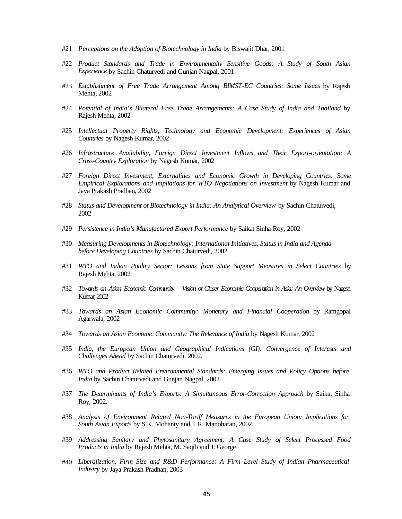- #21 *Perceptions on the Adoption of Biotechnology in India* by Biswajit Dhar, 2001
- #22 *Product Standards and Trade in Environmentally Sensitive Goods: A Study of South Asian Experience* by Sachin Chaturvedi and Gunjan Nagpal, 2001
- #23 *Establishment of Free Trade Arrangement Among BIMST-EC Countries: Some Issues* by Rajesh Mehta, 2002
- #24 *Potential of India's Bilateral Free Trade Arrangements: A Case Study of India and Thailand* by Rajesh Mehta, 2002
- #25 *Intellectual Property Rights, Technology and Economic Development: Experiences of Asian Countries* by Nagesh Kumar, 2002
- #26 *Infrastructure Availability, Foreign Direct Investment Inflows and Their Export-orientation: A Cross-Country Exploration* by Nagesh Kumar, 2002
- #27 *Foreign Direct Investment, Externalities and Economic Growth in Developing Countries: Some Empirical Explorations and Impliations for WTO Negotiations on Investment* by Nagesh Kumar and Jaya Prakash Pradhan, 2002
- #28 *Status and Development of Biotechnology in India: An Analytical Overview* by Sachin Chaturvedi, 2002
- #29 *Persistence in India's Manufactured Export Performance* by Saikat Sinha Roy, 2002
- #30 *Measuring Developments in Biotechnology: International Initiatives, Status in India and Agenda before Developing Countries* by Sachin Chaturvedi, 2002
- #31 *WTO and Indian Poultry Sector: Lessons from State Support Measures in Select Countries* by Rajesh Mehta, 2002
- #32 *Towards an Asian Economic Community Vision of Closer Economic Cooperation in Asia: An Overview* by Nagesh Kumar, 2002
- #33 *Towards an Asian Economic Community: Monetary and Financial Cooperation* by Ramgopal Agarwala, 2002
- #34 *Towards an Asian Economic Community: The Relevance of India* by Nagesh Kumar, 2002
- #35 *India, the European Union and Geographical Indications (GI): Convergence of Interests and Challenges Ahead* by Sachin Chaturvedi, 2002.
- #36 *WTO and Product Related Environmental Standards: Emerging Issues and Policy Options before India* by Sachin Chaturvedi and Gunjan Nagpal, 2002.
- #37 *The Determinants of India's Exports: A Simultaneous Error-Correction Approach* by Saikat Sinha Roy, 2002.
- #38 *Analysis of Environment Related Non-Tariff Measures in the European Union: Implications for South Asian Exports* by S.K. Mohanty and T.R. Manoharan, 2002.
- #39 *Addressing Sanitary and Phytosanitary Agreement: A Case Study of Select Processed Food Products in India* by Rajesh Mehta, M. Saqib and J. George
- #40 *Liberalization, Firm Size and R&D Performance: A Firm Level Study of Indian Pharmaceutical Industry* by Jaya Prakash Pradhan, 2003